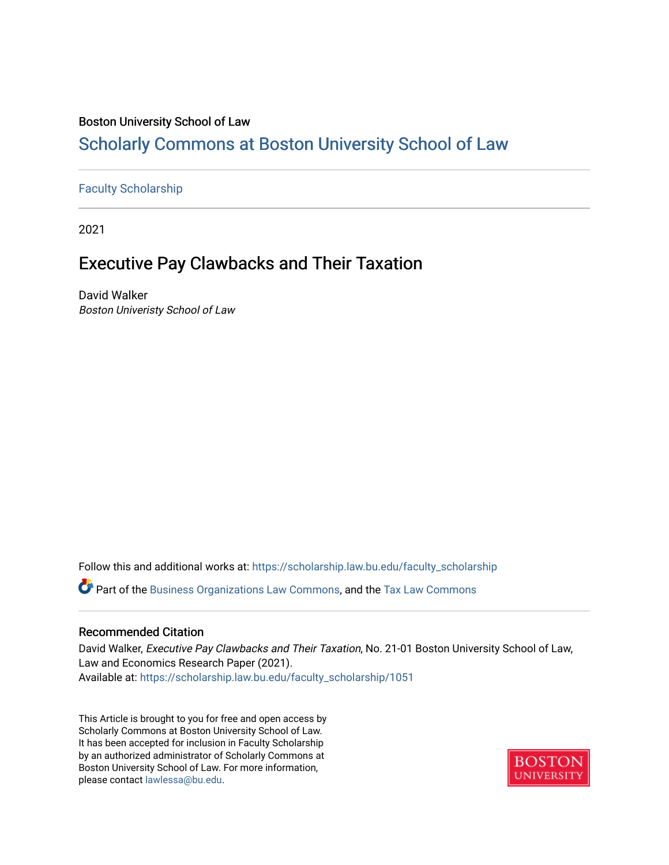#### Boston University School of Law

## [Scholarly Commons at Boston University School of Law](https://scholarship.law.bu.edu/)

#### [Faculty Scholarship](https://scholarship.law.bu.edu/faculty_scholarship)

2021

## Executive Pay Clawbacks and Their Taxation

David Walker Boston Univeristy School of Law

Follow this and additional works at: [https://scholarship.law.bu.edu/faculty\\_scholarship](https://scholarship.law.bu.edu/faculty_scholarship?utm_source=scholarship.law.bu.edu%2Ffaculty_scholarship%2F1051&utm_medium=PDF&utm_campaign=PDFCoverPages) Part of the [Business Organizations Law Commons](http://network.bepress.com/hgg/discipline/900?utm_source=scholarship.law.bu.edu%2Ffaculty_scholarship%2F1051&utm_medium=PDF&utm_campaign=PDFCoverPages), and the [Tax Law Commons](http://network.bepress.com/hgg/discipline/898?utm_source=scholarship.law.bu.edu%2Ffaculty_scholarship%2F1051&utm_medium=PDF&utm_campaign=PDFCoverPages)

#### Recommended Citation

David Walker, Executive Pay Clawbacks and Their Taxation, No. 21-01 Boston University School of Law, Law and Economics Research Paper (2021). Available at: [https://scholarship.law.bu.edu/faculty\\_scholarship/1051](https://scholarship.law.bu.edu/faculty_scholarship/1051?utm_source=scholarship.law.bu.edu%2Ffaculty_scholarship%2F1051&utm_medium=PDF&utm_campaign=PDFCoverPages)

This Article is brought to you for free and open access by Scholarly Commons at Boston University School of Law. It has been accepted for inclusion in Faculty Scholarship by an authorized administrator of Scholarly Commons at Boston University School of Law. For more information, please contact [lawlessa@bu.edu](mailto:lawlessa@bu.edu).

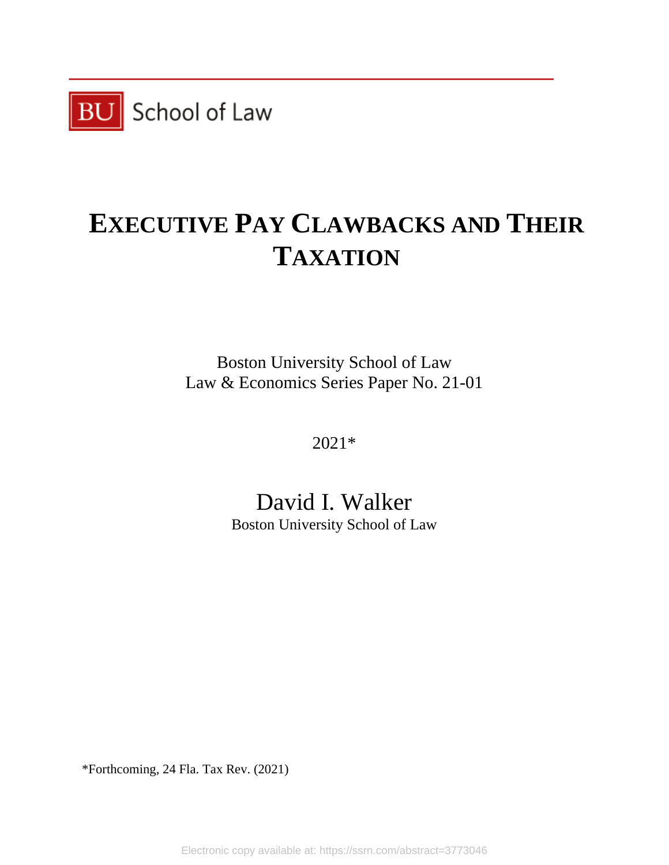

# **EXECUTIVE PAY CLAWBACKS AND THEIR TAXATION**

Boston University School of Law Law & Economics Series Paper No. 21-01

2021\*

## David I. Walker

Boston University School of Law

\*Forthcoming, 24 Fla. Tax Rev. (2021)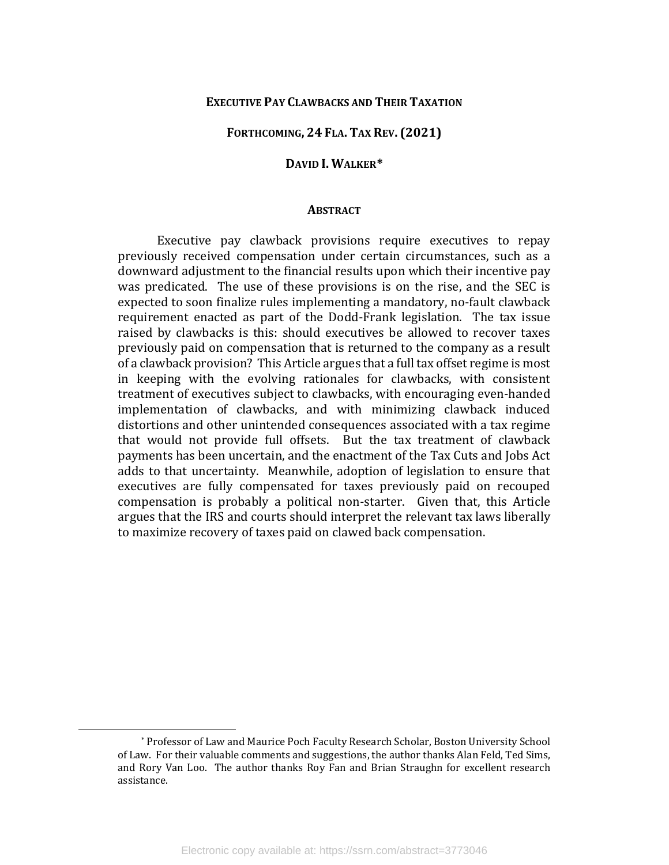#### **EXECUTIVE PAY CLAWBACKS AND THEIR TAXATION**

#### **FORTHCOMING, 24 FLA. TAX REV. (2021)**

#### **DAVID I. WALKER[\\*](#page-2-0)**

#### **ABSTRACT**

Executive pay clawback provisions require executives to repay previously received compensation under certain circumstances, such as a downward adjustment to the financial results upon which their incentive pay was predicated. The use of these provisions is on the rise, and the SEC is expected to soon finalize rules implementing a mandatory, no-fault clawback requirement enacted as part of the Dodd-Frank legislation. The tax issue raised by clawbacks is this: should executives be allowed to recover taxes previously paid on compensation that is returned to the company as a result of a clawback provision? This Article argues that a full tax offset regime is most in keeping with the evolving rationales for clawbacks, with consistent treatment of executives subject to clawbacks, with encouraging even-handed implementation of clawbacks, and with minimizing clawback induced distortions and other unintended consequences associated with a tax regime that would not provide full offsets. But the tax treatment of clawback payments has been uncertain, and the enactment of the Tax Cuts and Jobs Act adds to that uncertainty. Meanwhile, adoption of legislation to ensure that executives are fully compensated for taxes previously paid on recouped compensation is probably a political non-starter. Given that, this Article argues that the IRS and courts should interpret the relevant tax laws liberally to maximize recovery of taxes paid on clawed back compensation.

<span id="page-2-0"></span><sup>\*</sup> Professor of Law and Maurice Poch Faculty Research Scholar, Boston University School of Law. For their valuable comments and suggestions, the author thanks Alan Feld, Ted Sims, and Rory Van Loo. The author thanks Roy Fan and Brian Straughn for excellent research assistance.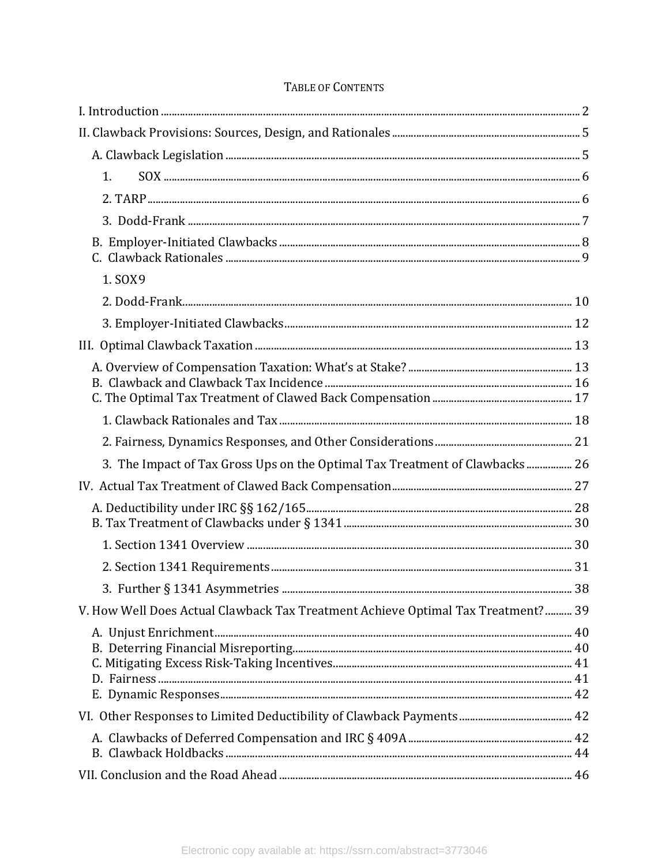| 1.                                                                               |  |
|----------------------------------------------------------------------------------|--|
|                                                                                  |  |
|                                                                                  |  |
|                                                                                  |  |
|                                                                                  |  |
| 1. SOX9                                                                          |  |
|                                                                                  |  |
|                                                                                  |  |
|                                                                                  |  |
|                                                                                  |  |
|                                                                                  |  |
|                                                                                  |  |
|                                                                                  |  |
|                                                                                  |  |
| 3. The Impact of Tax Gross Ups on the Optimal Tax Treatment of Clawbacks  26     |  |
|                                                                                  |  |
|                                                                                  |  |
|                                                                                  |  |
|                                                                                  |  |
|                                                                                  |  |
| V. How Well Does Actual Clawback Tax Treatment Achieve Optimal Tax Treatment? 39 |  |
|                                                                                  |  |
|                                                                                  |  |
|                                                                                  |  |
|                                                                                  |  |
|                                                                                  |  |
|                                                                                  |  |
|                                                                                  |  |
|                                                                                  |  |

### TABLE OF CONTENTS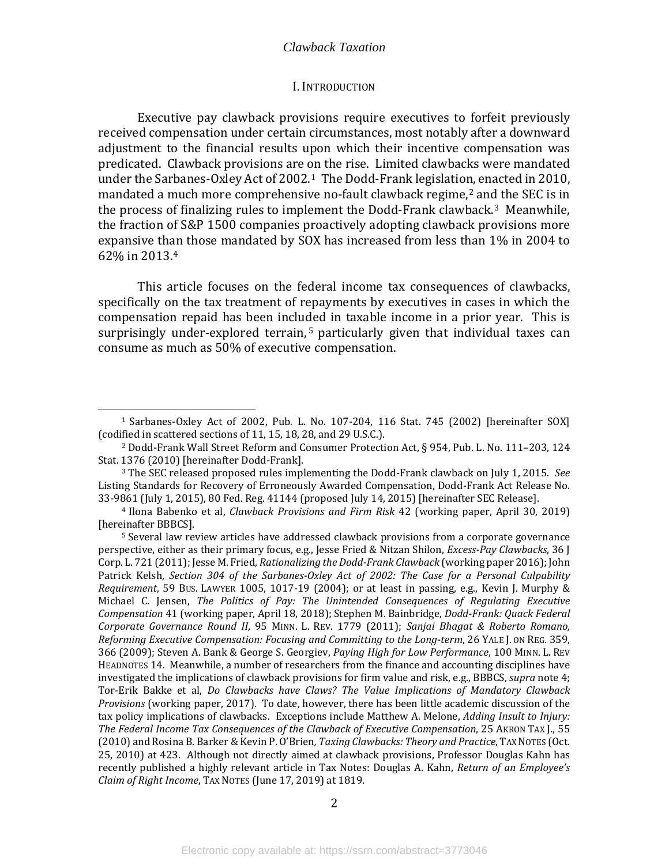#### I. INTRODUCTION

<span id="page-4-0"></span>Executive pay clawback provisions require executives to forfeit previously received compensation under certain circumstances, most notably after a downward adjustment to the financial results upon which their incentive compensation was predicated. Clawback provisions are on the rise. Limited clawbacks were mandated under the Sarbanes-Oxley Act of 2002. [1](#page-4-1) The Dodd-Frank legislatio[n,](#page-4-2) enacted in 2010, mandated a much more comprehensive no-fault clawback regime, <sup>2</sup> and the SEC is in the process of finalizing rules to implement the Dodd-Frank clawback.[3](#page-4-3) Meanwhile, the fraction of S&P 1500 companies proactively adopting clawback provisions more expansive th[an](#page-4-4) those mandated by SOX has increased from less than 1% in 2004 to 62% in 2013. 4

This article focuses on the federal income tax consequences of clawbacks, specifically on the tax treatment of repayments by executives in cases in which the compensation repaid has been inclu[de](#page-4-5)d in taxable income in a prior year. This is surprisingly under-explored terrain, <sup>5</sup> particularly given that individual taxes can consume as much as 50% of executive compensation.

<span id="page-4-1"></span><sup>1</sup> Sarbanes-Oxley Act of 2002, Pub. L. No. 107-204, 116 Stat. 745 (2002) [hereinafter SOX] (codified in scattered sections of 11, 15, 18, 28, and 29 U.S.C.).

<span id="page-4-2"></span><sup>2</sup> Dodd-Frank Wall Street Reform and Consumer Protection Act, § 954, Pub. L. No. 111–203, 124 Stat. 1376 (2010) [hereinafter Dodd-Frank].

<span id="page-4-3"></span><sup>3</sup> The SEC released proposed rules implementing the Dodd-Frank clawback on July 1, 2015. *See* Listing Standards for Recovery of Erroneously Awarded Compensation, Dodd-Frank Act Release No. 33-9861 (July 1, 2015), 80 Fed. Reg. 41144 (proposed July 14, 2015) [hereinafter SEC Release].

<span id="page-4-4"></span><sup>4</sup> Ilona Babenko et al, *Clawback Provisions and Firm Risk* 42 (working paper, April 30, 2019) [hereinafter BBBCS].

<span id="page-4-5"></span><sup>5</sup> Several law review articles have addressed clawback provisions from a corporate governance perspective, either as their primary focus, e.g., Jesse Fried & Nitzan Shilon, *Excess-Pay Clawbacks*, 36 J Corp. L. 721 (2011); Jesse M. Fried, *Rationalizing the Dodd-Frank Clawback* (working paper 2016); John Patrick Kelsh, *Section 304 of the Sarbanes-Oxley Act of 2002: The Case for a Personal Culpability Requirement*, 59 BUS. LAWYER 1005, 1017-19 (2004); or at least in passing, e.g., Kevin J. Murphy & Michael C. Jensen, *The Politics of Pay: The Unintended Consequences of Regulating Executive Compensation* 41 (working paper, April 18, 2018); Stephen M. Bainbridge, *Dodd-Frank: Quack Federal Corporate Governance Round II*, 95 MINN. L. REV. 1779 (2011); *Sanjai Bhagat & Roberto Romano, Reforming Executive Compensation: Focusing and Committing to the Long-term*, 26 YALE J. ON REG. 359, 366 (2009); Steven A. Bank & George S. Georgiev, *Paying High for Low Performance*, 100 MINN. L. REV HEADNOTES 14. Meanwhile, a number of researchers from the finance and accounting disciplines have investigated the implications of clawback provisions for firm value and risk, e.g., BBBCS, *supra* note 4; Tor-Erik Bakke et al, *Do Clawbacks have Claws? The Value Implications of Mandatory Clawback Provisions* (working paper, 2017). To date, however, there has been little academic discussion of the tax policy implications of clawbacks. Exceptions include Matthew A. Melone, *Adding Insult to Injury: The Federal Income Tax Consequences of the Clawback of Executive Compensation*, 25 AKRON TAX J., 55 (2010) and Rosina B. Barker & Kevin P. O'Brien*, Taxing Clawbacks: Theory and Practice*, TAX NOTES (Oct. 25, 2010) at 423. Although not directly aimed at clawback provisions, Professor Douglas Kahn has recently published a highly relevant article in Tax Notes: Douglas A. Kahn, *Return of an Employee's Claim of Right Income*, TAX NOTES (June 17, 2019) at 1819.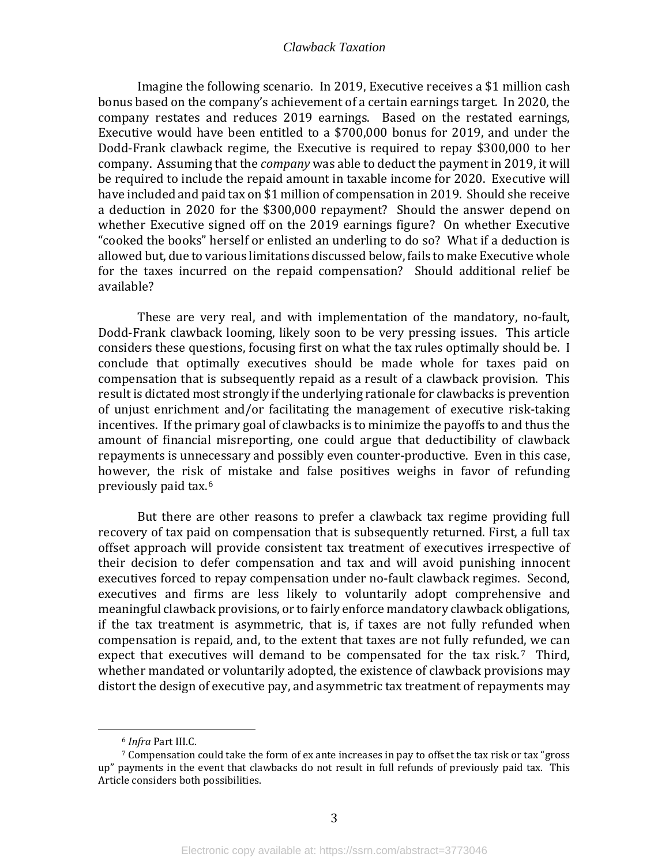Imagine the following scenario. In 2019, Executive receives a \$1 million cash bonus based on the company's achievement of a certain earnings target. In 2020, the company restates and reduces 2019 earnings. Based on the restated earnings, Executive would have been entitled to a \$700,000 bonus for 2019, and under the Dodd-Frank clawback regime, the Executive is required to repay \$300,000 to her company. Assuming that the *company* was able to deduct the payment in 2019, it will be required to include the repaid amount in taxable income for 2020. Executive will have included and paid tax on \$1 million of compensation in 2019. Should she receive a deduction in 2020 for the \$300,000 repayment? Should the answer depend on whether Executive signed off on the 2019 earnings figure? On whether Executive "cooked the books" herself or enlisted an underling to do so? What if a deduction is allowed but, due to various limitations discussed below, fails to make Executive whole for the taxes incurred on the repaid compensation? Should additional relief be available?

These are very real, and with implementation of the mandatory, no-fault, Dodd-Frank clawback looming, likely soon to be very pressing issues. This article considers these questions, focusing first on what the tax rules optimally should be. I conclude that optimally executives should be made whole for taxes paid on compensation that is subsequently repaid as a result of a clawback provision. This result is dictated most strongly if the underlying rationale for clawbacks is prevention of unjust enrichment and/or facilitating the management of executive risk-taking incentives. If the primary goal of clawbacks is to minimize the payoffs to and thus the amount of financial misreporting, one could argue that deductibility of clawback repayments is unnecessary and possibly even counter-productive. Even in this case, however, the risk of mistake and false positives weighs in favor of refunding previously paid tax.[6](#page-5-0)

But there are other reasons to prefer a clawback tax regime providing full recovery of tax paid on compensation that is subsequently returned. First, a full tax offset approach will provide consistent tax treatment of executives irrespective of their decision to defer compensation and tax and will avoid punishing innocent executives forced to repay compensation under no-fault clawback regimes. Second, executives and firms are less likely to voluntarily adopt comprehensive and meaningful clawback provisions, or to fairly enforce mandatory clawback obligations, if the tax treatment is asymmetric, that is, if taxes are not fully refunded when compensation is repaid, and, to the extent that taxes are not fully refunded, we can expect that executives will demand to be compensated for the tax risk.<sup>[7](#page-5-1)</sup> Third, whether mandated or voluntarily adopted, the existence of clawback provisions may distort the design of executive pay, and asymmetric tax treatment of repayments may

<sup>6</sup> *Infra* Part III.C.

<span id="page-5-1"></span><span id="page-5-0"></span> $7$  Compensation could take the form of ex ante increases in pay to offset the tax risk or tax "gross" up" payments in the event that clawbacks do not result in full refunds of previously paid tax. This Article considers both possibilities.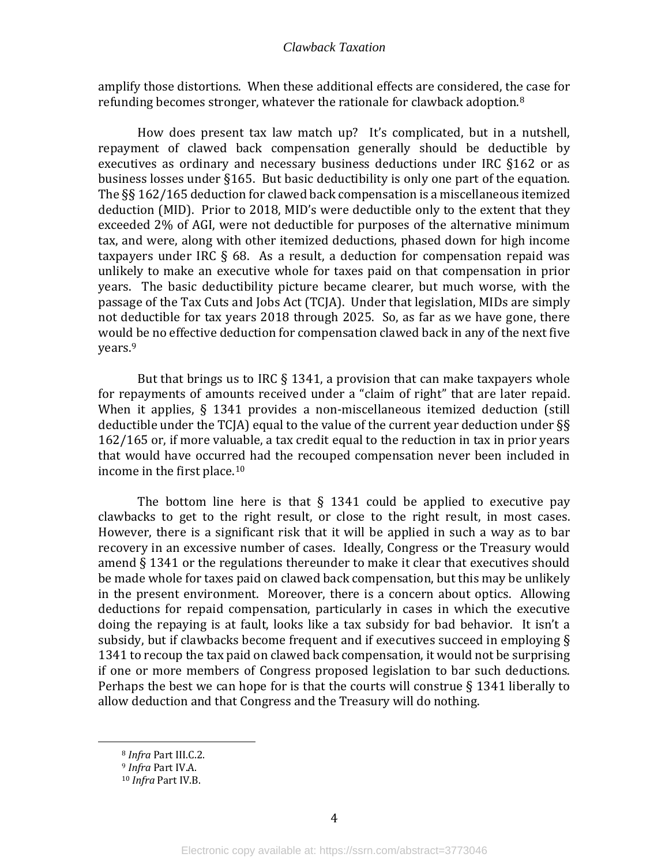amplify those distortions. When these additional effects are considered, the case for refunding becomes stronger, whatever the rationale for clawback adoption.<sup>[8](#page-6-0)</sup>

How does present tax law match up? It's complicated, but in a nutshell, repayment of clawed back compensation generally should be deductible by executives as ordinary and necessary business deductions under IRC §162 or as business losses under §165. But basic deductibility is only one part of the equation. The §§ 162/165 deduction for clawed back compensation is a miscellaneous itemized deduction (MID). Prior to 2018, MID's were deductible only to the extent that they exceeded 2% of AGI, were not deductible for purposes of the alternative minimum tax, and were, along with other itemized deductions, phased down for high income taxpayers under IRC  $\S$  68. As a result, a deduction for compensation repaid was unlikely to make an executive whole for taxes paid on that compensation in prior years. The basic deductibility picture became clearer, but much worse, with the passage of the Tax Cuts and Jobs Act (TCJA). Under that legislation, MIDs are simply not deductible for tax years 2018 through 2025. So, as far as we have gone, there would be no effective deduction for compensation clawed back in any of the next five years.[9](#page-6-1)

But that brings us to IRC  $\S$  1341, a provision that can make taxpayers whole for repayments of amounts received under a "claim of right" that are later repaid. When it applies, § 1341 provides a non-miscellaneous itemized deduction (still deductible under the TCJA) equal to the value of the current year deduction under §§ 162/165 or, if more valuable, a tax credit equal to the reduction in tax in prior years that would have occurred had the recouped compensation never been included in income in the first place. [10](#page-6-2) 

The bottom line here is that  $\S$  1341 could be applied to executive pay clawbacks to get to the right result, or close to the right result, in most cases. However, there is a significant risk that it will be applied in such a way as to bar recovery in an excessive number of cases. Ideally, Congress or the Treasury would amend § 1341 or the regulations thereunder to make it clear that executives should be made whole for taxes paid on clawed back compensation, but this may be unlikely in the present environment. Moreover, there is a concern about optics. Allowing deductions for repaid compensation, particularly in cases in which the executive doing the repaying is at fault, looks like a tax subsidy for bad behavior. It isn't a subsidy, but if clawbacks become frequent and if executives succeed in employing § 1341 to recoup the tax paid on clawed back compensation, it would not be surprising if one or more members of Congress proposed legislation to bar such deductions. Perhaps the best we can hope for is that the courts will construe  $\S 1341$  liberally to allow deduction and that Congress and the Treasury will do nothing.

<span id="page-6-0"></span><sup>8</sup> *Infra* Part III.C.2.

<span id="page-6-2"></span><span id="page-6-1"></span><sup>9</sup> *Infra* Part IV.A.

<sup>10</sup> *Infra* Part IV.B.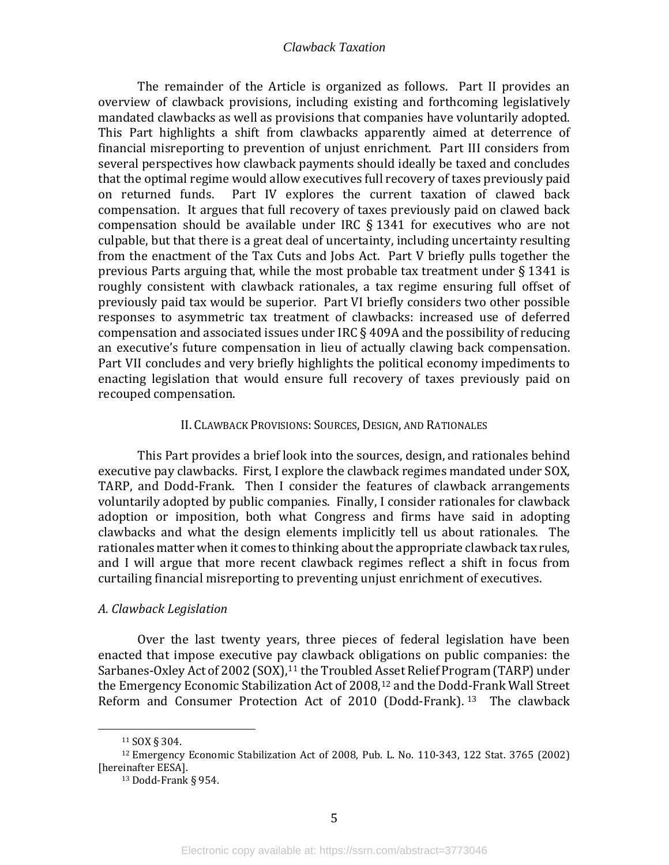The remainder of the Article is organized as follows. Part II provides an overview of clawback provisions, including existing and forthcoming legislatively mandated clawbacks as well as provisions that companies have voluntarily adopted. This Part highlights a shift from clawbacks apparently aimed at deterrence of financial misreporting to prevention of unjust enrichment. Part III considers from several perspectives how clawback payments should ideally be taxed and concludes that the optimal regime would allow executives full recovery of taxes previously paid<br>on returned funds. Part IV explores the current taxation of clawed back Part IV explores the current taxation of clawed back compensation. It argues that full recovery of taxes previously paid on clawed back compensation should be available under IRC § 1341 for executives who are not culpable, but that there is a great deal of uncertainty, including uncertainty resulting from the enactment of the Tax Cuts and Jobs Act. Part V briefly pulls together the previous Parts arguing that, while the most probable tax treatment under § 1341 is roughly consistent with clawback rationales, a tax regime ensuring full offset of previously paid tax would be superior. Part VI briefly considers two other possible responses to asymmetric tax treatment of clawbacks: increased use of deferred compensation and associated issues under IRC § 409A and the possibility of reducing an executive's future compensation in lieu of actually clawing back compensation. Part VII concludes and very briefly highlights the political economy impediments to enacting legislation that would ensure full recovery of taxes previously paid on recouped compensation.

#### II. CLAWBACK PROVISIONS: SOURCES, DESIGN, AND RATIONALES

<span id="page-7-0"></span>This Part provides a brief look into the sources, design, and rationales behind executive pay clawbacks. First, I explore the clawback regimes mandated under SOX, TARP, and Dodd-Frank. Then I consider the features of clawback arrangements voluntarily adopted by public companies. Finally, I consider rationales for clawback adoption or imposition, both what Congress and firms have said in adopting clawbacks and what the design elements implicitly tell us about rationales. The rationales matter when it comes to thinking about the appropriate clawback tax rules, and I will argue that more recent clawback regimes reflect a shift in focus from curtailing financial misreporting to preventing unjust enrichment of executives.

#### <span id="page-7-1"></span>*A. Clawback Legislation*

Over the last twenty years, three pieces of federal legislation have been enacted that impose executive pay clawback obligations on public companies: the Sarbanes-Oxley Act of 2002 (SOX),<sup>[11](#page-7-2)</sup> the Troubled [Ass](#page-7-3)et Relief Program (TARP) under the Emergency Economic Stabilization Act of 2008,<sup>12</sup> and the Dodd-Frank Wall Street Reform and Consumer Protection Act of 2010 (Dodd-Frank). [13](#page-7-4) The clawback

<sup>11</sup> SOX § 304.

<span id="page-7-4"></span><span id="page-7-3"></span><span id="page-7-2"></span><sup>12</sup> Emergency Economic Stabilization Act of 2008, Pub. L. No. 110-343, 122 Stat. 3765 (2002) [hereinafter EESA].

<sup>13</sup> Dodd-Frank § 954.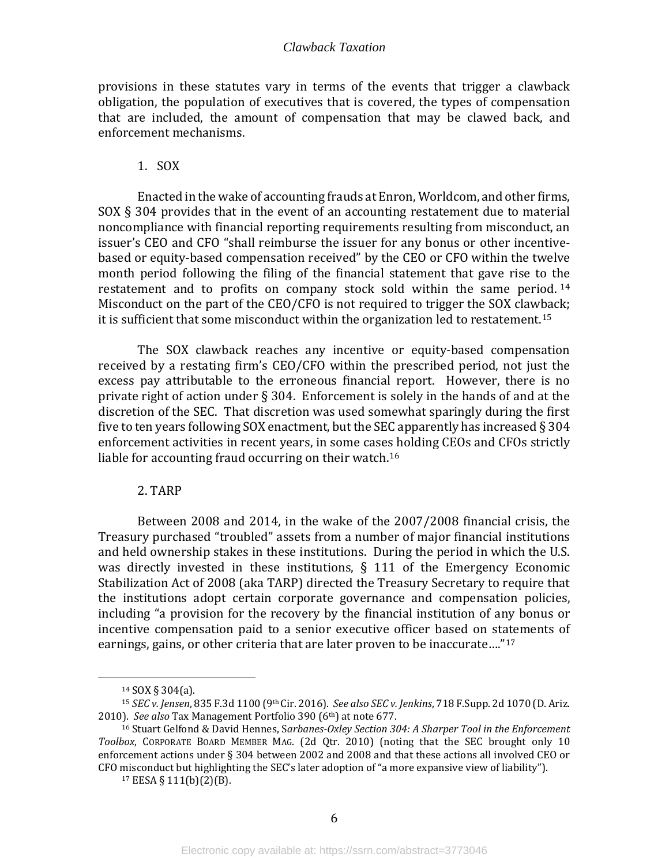provisions in these statutes vary in terms of the events that trigger a clawback obligation, the population of executives that is covered, the types of compensation that are included, the amount of compensation that may be clawed back, and enforcement mechanisms.

#### 1. SOX

<span id="page-8-0"></span>Enacted in the wake of accounting frauds at Enron, Worldcom, and other firms, SOX § 304 provides that in the event of an accounting restatement due to material noncompliance with financial reporting requirements resulting from misconduct, an issuer's CEO and CFO "shall reimburse the issuer for any bonus or other incentivebased or equity-based compensation received" by the CEO or CFO within the twelve month period following the filing of the financial statement that gave rise to the restatement and to profits on company stock sold within the same period. [14](#page-8-2) Misconduct on the part of the CEO/CFO is not required to trigger the SOX clawback; it is sufficient that some misconduct within the organization led to restatement.[15](#page-8-3)

The SOX clawback reaches any incentive or equity-based compensation received by a restating firm's CEO/CFO within the prescribed period, not just the excess pay attributable to the erroneous financial report. However, there is no private right of action under § 304. Enforcement is solely in the hands of and at the discretion of the SEC. That discretion was used somewhat sparingly during the first five to ten years following SOX enactment, but the SEC apparently has increased § 304 enforcement activities in recent years, in some cases holding CEOs and CFOs strictly liable for accounting fraud occurring on their watch.<sup>[16](#page-8-4)</sup>

#### 2. TARP

<span id="page-8-1"></span>Between 2008 and 2014, in the wake of the 2007/2008 financial crisis, the Treasury purchased "troubled" assets from a number of major financial institutions and held ownership stakes in these institutions. During the period in which the U.S. was directly invested in these institutions, § 111 of the Emergency Economic Stabilization Act of 2008 (aka TARP) directed the Treasury Secretary to require that the institutions adopt certain corporate governance and compensation policies, including "a provision for the recovery by the financial institution of any bonus or incentive compensation paid to a senior executive officer based on statements of earnings, gains, or other criteria that are later proven to be inaccurate…."[17](#page-8-5)

<sup>14</sup> SOX § 304(a).

<span id="page-8-3"></span><span id="page-8-2"></span><sup>15</sup> *SEC v. Jensen*, 835 F.3d 1100 (9th Cir. 2016). *See also SEC v. Jenkins*, 718 F.Supp. 2d 1070 (D. Ariz. 2010). *See also* Tax Management Portfolio 390 (6th) at note 677.

<span id="page-8-5"></span><span id="page-8-4"></span><sup>16</sup> Stuart Gelfond & David Hennes, S*arbanes-Oxley Section 304: A Sharper Tool in the Enforcement Toolbox*, CORPORATE BOARD MEMBER MAG. (2d Qtr. 2010) (noting that the SEC brought only 10 enforcement actions under § 304 between 2002 and 2008 and that these actions all involved CEO or CFO misconduct but highlighting the SEC's later adoption of "a more expansive view of liability").

 $17$  EESA § 111(b)(2)(B).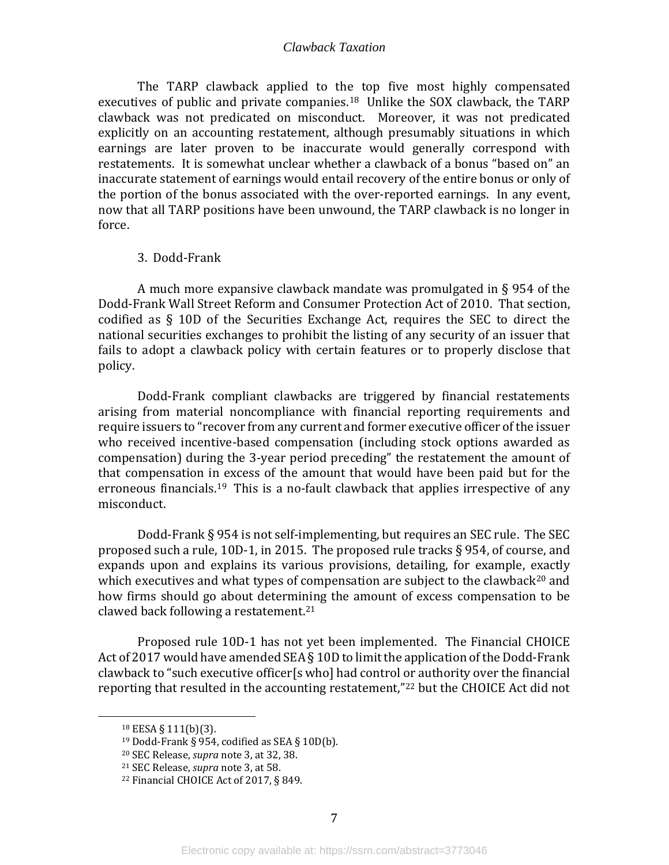The TARP clawback applied to the top five most highly compensated executives of public and private companies.[18](#page-9-1) Unlike the SOX clawback, the TARP clawback was not predicated on misconduct. Moreover, it was not predicated explicitly on an accounting restatement, although presumably situations in which earnings are later proven to be inaccurate would generally correspond with restatements. It is somewhat unclear whether a clawback of a bonus "based on" an inaccurate statement of earnings would entail recovery of the entire bonus or only of the portion of the bonus associated with the over-reported earnings. In any event, now that all TARP positions have been unwound, the TARP clawback is no longer in force.

#### 3. Dodd-Frank

<span id="page-9-0"></span>A much more expansive clawback mandate was promulgated in § 954 of the Dodd-Frank Wall Street Reform and Consumer Protection Act of 2010. That section, codified as § 10D of the Securities Exchange Act, requires the SEC to direct the national securities exchanges to prohibit the listing of any security of an issuer that fails to adopt a clawback policy with certain features or to properly disclose that policy.

Dodd-Frank compliant clawbacks are triggered by financial restatements arising from material noncompliance with financial reporting requirements and require issuers to "recover from any current and former executive officer of the issuer who received incentive-based compensation (including stock options awarded as compensation) during the 3-year period preceding" the restatement the amount of that compensation in excess of the amount that would have been paid but for the erroneous financials.<sup>19</sup> This is a no-fault clawback that applies irrespective of any misconduct.

Dodd-Frank § 954 is not self-implementing, but requires an SEC rule. The SEC proposed such a rule, 10D-1, in 2015. The proposed rule tracks § 954, of course, and expands upon and explains its various provisions, detailing, for example, exactly which executives and what types of compensation are subject to the clawback<sup>[20](#page-9-3)</sup> and how firms should go about determining the amount of excess compensation to be clawed back following a restatement.<sup>[21](#page-9-4)</sup>

Proposed rule 10D-1 has not yet been implemented. The Financial CHOICE Act of 2017 would have amended SEA § 10D to limit the application of the Dodd-Frank clawback to "such executive officer[s who] had control or authority over the financial reporting that resulted in the accounting restatement,["22](#page-9-5) but the CHOICE Act did not

<span id="page-9-2"></span><span id="page-9-1"></span><sup>18</sup> EESA § 111(b)(3).

<sup>&</sup>lt;sup>19</sup> Dodd-Frank § 954, codified as SEA § 10D(b).

<span id="page-9-3"></span><sup>20</sup> SEC Release, *supra* note 3, at 32, 38.

<span id="page-9-4"></span><sup>21</sup> SEC Release, *supra* note 3, at 58.

<span id="page-9-5"></span><sup>22</sup> Financial CHOICE Act of 2017, § 849.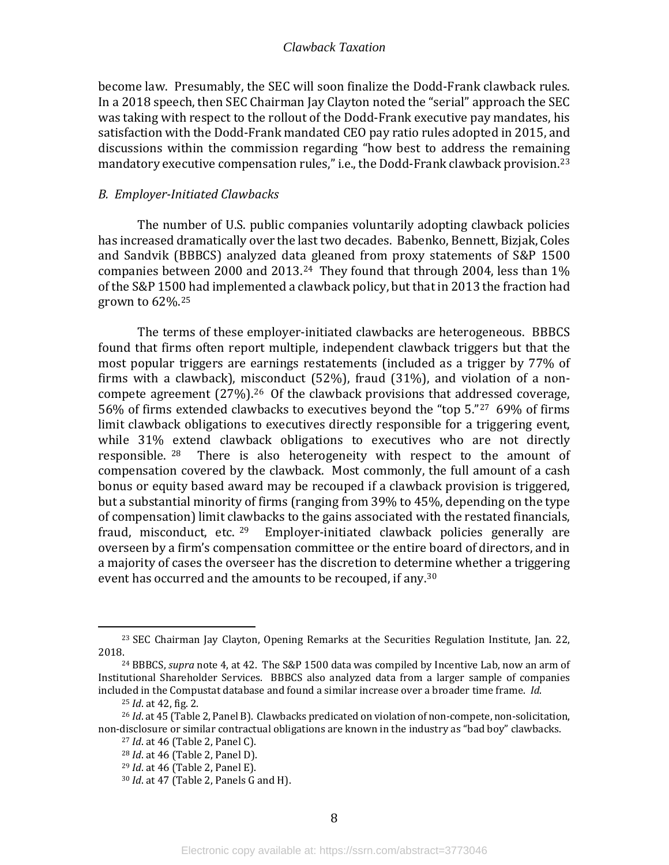become law. Presumably, the SEC will soon finalize the Dodd-Frank clawback rules. In a 2018 speech, then SEC Chairman Jay Clayton noted the "serial" approach the SEC was taking with respect to the rollout of the Dodd-Frank executive pay mandates, his satisfaction with the Dodd-Frank mandated CEO pay ratio rules adopted in 2015, and discussions within the commission regarding "how best to address the remaining mandatory executive compensation rules," i.e., the Dodd-Frank clawback provision.<sup>[23](#page-10-1)</sup>

#### <span id="page-10-0"></span>*B. Employer-Initiated Clawbacks*

The number of U.S. public companies voluntarily adopting clawback policies has increased dramatically over the last two decades. Babenko, Bennett, Bizjak, Coles and Sandvik (BBBCS) analyzed data gleaned from proxy statements of S&P 1500 companies between 2000 and 2013.[24](#page-10-2) They found that through 2004, less than 1% of the S&P 1500 had implemented a clawback policy, but that in 2013 the fraction had grown to 62%.[25](#page-10-3)

The terms of these employer-initiated clawbacks are heterogeneous. BBBCS found that firms often report multiple, independent clawback triggers but that the most popular triggers are earnings restatements (included as a trigger by 77% of firms with a clawback), misconduct (52%), fraud (31%), and violation of a noncompete agreement (27%).[26](#page-10-4) Of the clawback provisions that addressed coverage, 56% of firms extended clawbacks to executives beyond the "top 5."[27](#page-10-5) 69% of firms limit clawback obligations to executives directly responsible for a triggering event, while 31% extend clawback obligations to executives who are not directly responsible.  $28$  There is also heterogeneity with respect to the amount of There is also heterogeneity with respect to the amount of compensation covered by the clawback. Most commonly, the full amount of a cash bonus or equity based award may be recouped if a clawback provision is triggered, but a substantial minority of firms (ranging from 39% to 45%, depending on the type of compensation) limit clawbacks to the gains associated with the restated financials, fraud, misconduct, etc.<sup>[29](#page-10-7)</sup> Employer-initiated clawback policies generally are overseen by a firm's compensation committee or the entire board of directors, and in a majority of cases the overseer has the discretion to determine whether a triggering event has occurred and the amounts to be recouped, if any.<sup>[30](#page-10-8)</sup>

<span id="page-10-1"></span><sup>&</sup>lt;sup>23</sup> SEC Chairman Jay Clayton, Opening Remarks at the Securities Regulation Institute, Jan. 22, 2018.

<span id="page-10-2"></span><sup>&</sup>lt;sup>24</sup> BBBCS, *supra* note 4, at 42. The S&P 1500 data was compiled by Incentive Lab, now an arm of Institutional Shareholder Services. BBBCS also analyzed data from a larger sample of companies included in the Compustat database and found a similar increase over a broader time frame. *Id*.

<sup>25</sup> *Id*. at 42, fig. 2.

<span id="page-10-8"></span><span id="page-10-7"></span><span id="page-10-6"></span><span id="page-10-5"></span><span id="page-10-4"></span><span id="page-10-3"></span><sup>26</sup> *Id*. at 45 (Table 2, Panel B). Clawbacks predicated on violation of non-compete, non-solicitation, non-disclosure or similar contractual obligations are known in the industry as "bad boy" clawbacks.

<sup>27</sup> *Id*. at 46 (Table 2, Panel C).

<sup>28</sup> *Id*. at 46 (Table 2, Panel D).

<sup>29</sup> *Id*. at 46 (Table 2, Panel E).

<sup>30</sup> *Id*. at 47 (Table 2, Panels G and H).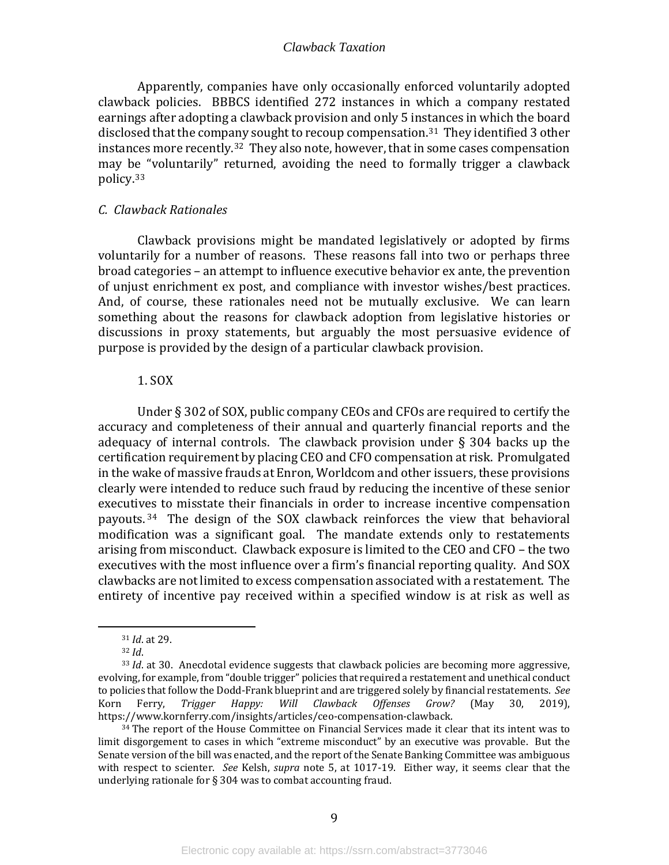Apparently, companies have only occasionally enforced voluntarily adopted clawback policies. BBBCS identified 272 instances in which a company restated earnings after adopting a clawback provision and only 5 instances in which the board disclosed that the comp[any](#page-11-3) sought to recoup compensation.<sup>31</sup> They identified 3 other instances more recently.32 They also note, however, that in some cases compensation may be "voluntarily" returned, avoiding the need to formally trigger a clawback policy.[33](#page-11-4)

#### <span id="page-11-0"></span>*C. Clawback Rationales*

Clawback provisions might be mandated legislatively or adopted by firms voluntarily for a number of reasons. These reasons fall into two or perhaps three broad categories – an attempt to influence executive behavior ex ante, the prevention of unjust enrichment ex post, and compliance with investor wishes/best practices. And, of course, these rationales need not be mutually exclusive. We can learn something about the reasons for clawback adoption from legislative histories or discussions in proxy statements, but arguably the most persuasive evidence of purpose is provided by the design of a particular clawback provision.

#### 1. SOX

<span id="page-11-1"></span>Under § 302 of SOX, public company CEOs and CFOs are required to certify the accuracy and completeness of their annual and quarterly financial reports and the adequacy of internal controls. The clawback provision under § 304 backs up the certification requirement by placing CEO and CFO compensation at risk. Promulgated in the wake of massive frauds at Enron, Worldcom and other issuers, these provisions clearly were intended to reduce such fraud by reducing the incentive of these senior executiv[es](#page-11-5) to misstate their financials in order to increase incentive compensation payouts. <sup>34</sup> The design of the SOX clawback reinforces the view that behavioral modification was a significant goal. The mandate extends only to restatements arising from misconduct. Clawback exposure is limited to the CEO and CFO – the two executives with the most influence over a firm's financial reporting quality. And SOX clawbacks are not limited to excess compensation associated with a restatement. The entirety of incentive pay received within a specified window is at risk as well as

<sup>31</sup> *Id*. at 29.

<sup>32</sup> *Id*.

<span id="page-11-4"></span><span id="page-11-3"></span><span id="page-11-2"></span><sup>33</sup> *Id*. at 30. Anecdotal evidence suggests that clawback policies are becoming more aggressive, evolving, for example, from "double trigger" policies that required a restatement and unethical conduct to policies that follow the Dodd-Frank blueprint and are triggered solely by financial restatements. *See* Happy: Will Clawback Offenses Grow? https://www.kornferry.com/insights/articles/ceo-compensation-clawback.

<span id="page-11-5"></span> $34$  The report of the House Committee on Financial Services made it clear that its intent was to limit disgorgement to cases in which "extreme misconduct" by an executive was provable. But the Senate version of the bill was enacted, and the report of the Senate Banking Committee was ambiguous with respect to scienter. *See* Kelsh, *supra* note 5, at 1017-19. Either way, it seems clear that the underlying rationale for § 304 was to combat accounting fraud.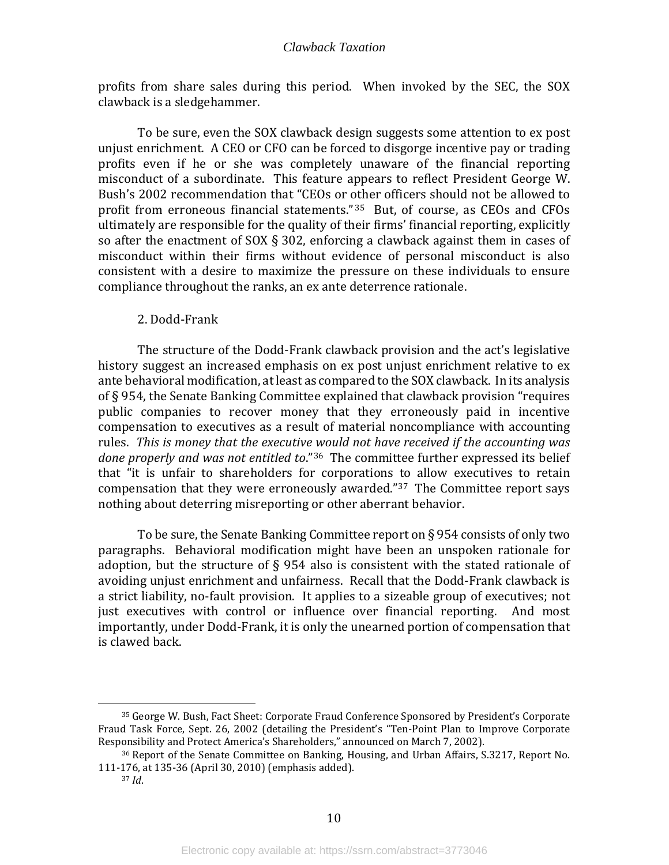profits from share sales during this period. When invoked by the SEC, the SOX clawback is a sledgehammer.

To be sure, even the SOX clawback design suggests some attention to ex post unjust enrichment. A CEO or CFO can be forced to disgorge incentive pay or trading profits even if he or she was completely unaware of the financial reporting misconduct of a subordinate. This feature appears to reflect President George W. Bush's 2002 recommendation that "CEOs or other officers should not be allowed to profit from erroneous financial statements." [35](#page-12-1) But, of course, as CEOs and CFOs ultimately are responsible for the quality of their firms' financial reporting, explicitly so after the enactment of SOX § 302, enforcing a clawback against them in cases of misconduct within their firms without evidence of personal misconduct is also consistent with a desire to maximize the pressure on these individuals to ensure compliance throughout the ranks, an ex ante deterrence rationale.

#### 2. Dodd-Frank

<span id="page-12-0"></span>The structure of the Dodd-Frank clawback provision and the act's legislative history suggest an increased emphasis on ex post unjust enrichment relative to ex ante behavioral modification, at least as compared to the SOX clawback. In its analysis of § 954, the Senate Banking Committee explained that clawback provision "requires public companies to recover money that they erroneously paid in incentive compensation to executives as a result of material noncompliance with accounting rules. *This is money that the executive would not have received if the accounting was done properly and was not entitled to*."[36](#page-12-2) The committee further expressed its belief that "it is unfair to shareholders for corporations to allow executives to retain compensation that they were erroneously awarded."[37](#page-12-3) The Committee report says nothing about deterring misreporting or other aberrant behavior.

To be sure, the Senate Banking Committee report on § 954 consists of only two paragraphs. Behavioral modification might have been an unspoken rationale for adoption, but the structure of § 954 also is consistent with the stated rationale of avoiding unjust enrichment and unfairness. Recall that the Dodd-Frank clawback is a strict liability, no-fault provision. It applies to a sizeable group of executives; not just executives with control or influence over financial reporting. And most importantly, under Dodd-Frank, it is only the unearned portion of compensation that is clawed back.

<span id="page-12-1"></span><sup>35</sup> George W. Bush, Fact Sheet: Corporate Fraud Conference Sponsored by President's Corporate Fraud Task Force, Sept. 26, 2002 (detailing the President's "Ten-Point Plan to Improve Corporate Responsibility and Protect America's Shareholders," announced on March 7, 2002).

<span id="page-12-3"></span><span id="page-12-2"></span><sup>36</sup> Report of the Senate Committee on Banking, Housing, and Urban Affairs, S.3217, Report No. 111-176, at 135-36 (April 30, 2010) (emphasis added).

<sup>37</sup> *Id*.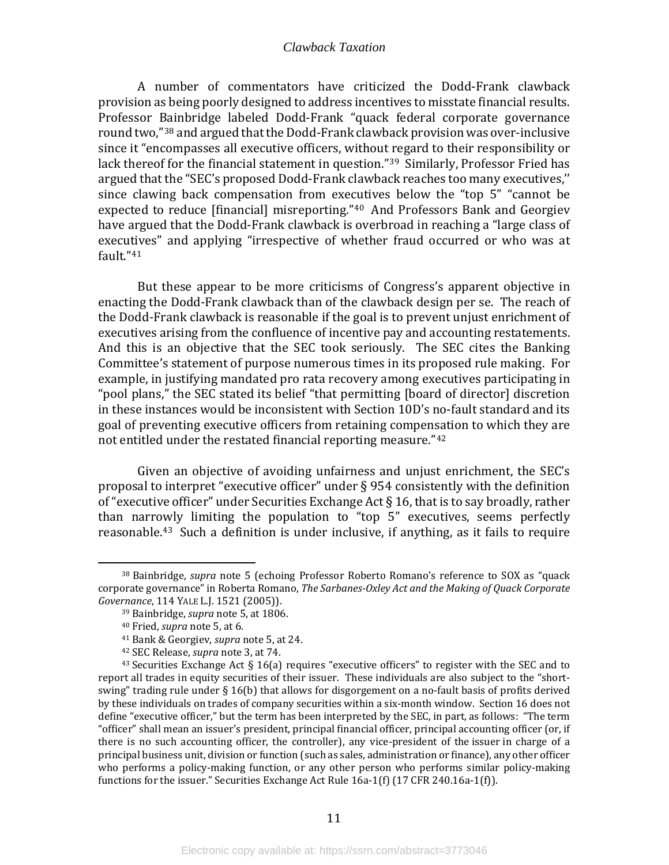A number of commentators have criticized the Dodd-Frank clawback provision as being poorly designed to address incentives to misstate financial results. Professor Bainbridge labeled Dodd-Frank "quack federal corporate governance round two,"[38](#page-13-0) and argued that the Dodd-Frank clawback provision was over-inclusive since it "encompasses all executive officers, without regard to their responsibility or lack thereof for the financial statement in question."[39](#page-13-1) Similarly, Professor Fried has argued that the "SEC's proposed Dodd-Frank clawback reaches too many executives,'' since clawing back compensation from executives below the "top 5" "cannot be expected to reduce [financial] misreporting."[40](#page-13-2) And Professors Bank and Georgiev have argued that the Dodd-Frank clawback is overbroad in reaching a "large class of executives" and applying "irrespective of whether fraud occurred or who was at fault."[41](#page-13-3)

But these appear to be more criticisms of Congress's apparent objective in enacting the Dodd-Frank clawback than of the clawback design per se. The reach of the Dodd-Frank clawback is reasonable if the goal is to prevent unjust enrichment of executives arising from the confluence of incentive pay and accounting restatements. And this is an objective that the SEC took seriously. The SEC cites the Banking Committee's statement of purpose numerous times in its proposed rule making. For example, in justifying mandated pro rata recovery among executives participating in "pool plans," the SEC stated its belief "that permitting [board of director] discretion in these instances would be inconsistent with Section 10D's no-fault standard and its goal of preventing executive officers from retaining compensation to which they are not entitled under the restated financial reporting measure."[42](#page-13-4)

Given an objective of avoiding unfairness and unjust enrichment, the SEC's proposal to interpret "executive officer" under § 954 consistently with the definition of "executive officer" under Securities Exchange Act  $\S 16$ , that is to say broadly, rather than narr[ow](#page-13-5)ly limiting the population to "top 5" executives, seems perfectly reasonable. <sup>43</sup> Such a definition is under inclusive, if anything, as it fails to require

<span id="page-13-1"></span><span id="page-13-0"></span><sup>38</sup> Bainbridge, *supra* note 5 (echoing Professor Roberto Romano's reference to SOX as "quack corporate governance" in Roberta Romano, *The Sarbanes-Oxley Act and the Making of Quack Corporate Governance*, 114 YALE L.J. 1521 (2005)).

<sup>39</sup> Bainbridge, *supra* note 5, at 1806.

<sup>40</sup> Fried, *supra* note 5, at 6.

<sup>41</sup> Bank & Georgiev, *supra* note 5, at 24.

<sup>42</sup> SEC Release, *supra* note 3, at 74.

<span id="page-13-5"></span><span id="page-13-4"></span><span id="page-13-3"></span><span id="page-13-2"></span> $43$  Securities Exchange Act § 16(a) requires "executive officers" to register with the SEC and to report all trades in equity securities of their issuer. These individuals are also subject to the "shortswing" trading rule under § 16(b) that allows for disgorgement on a no-fault basis of profits derived by these individuals on trades of company securities within a six-month window. Section 16 does not define "executive officer," but the term has been interpreted by the SEC, in part, as follows: "The term "officer" shall mean an [issuer](https://www.law.cornell.edu/cfr/text/17/240.16a-1)'s president, principal financial officer, principal accounting officer (or, if there is no such accounting officer, the controller), any vice-president of the [issuer](https://www.law.cornell.edu/cfr/text/17/240.16a-1) in charge of a principal business unit, division or function (such as sales, administration or finance), any other officer who performs a policy-making function, or any other person who performs similar policy-making functions for th[e issuer."](https://www.law.cornell.edu/cfr/text/17/240.16a-1) Securities Exchange Act Rule 16a-1(f) (17 CFR 240.16a-1(f)).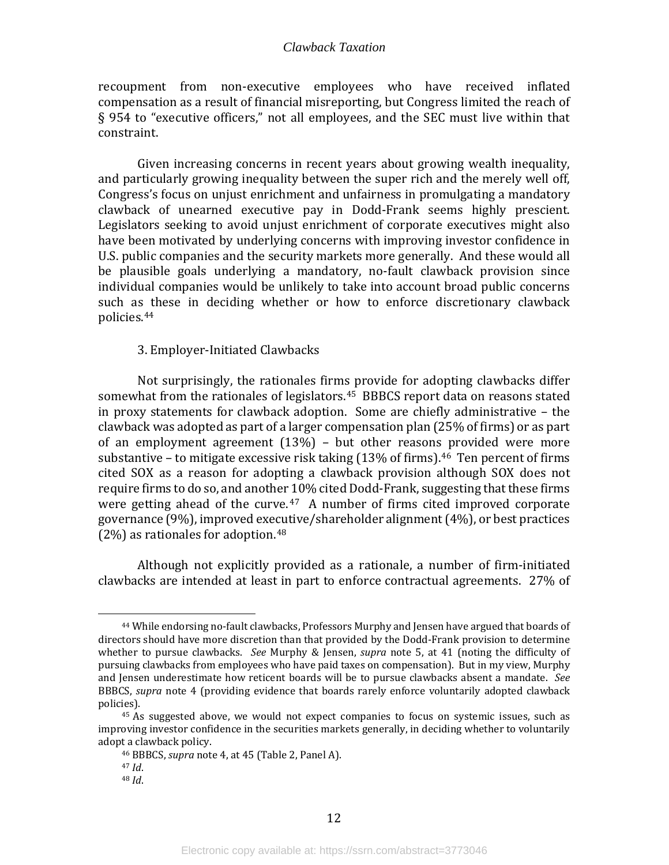recoupment from non-executive employees who have received inflated compensation as a result of financial misreporting, but Congress limited the reach of § 954 to "executive officers," not all employees, and the SEC must live within that constraint.

Given increasing concerns in recent years about growing wealth inequality, and particularly growing inequality between the super rich and the merely well off, Congress's focus on unjust enrichment and unfairness in promulgating a mandatory clawback of unearned executive pay in Dodd-Frank seems highly prescient. Legislators seeking to avoid unjust enrichment of corporate executives might also have been motivated by underlying concerns with improving investor confidence in U.S. public companies and the security markets more generally. And these would all be plausible goals underlying a mandatory, no-fault clawback provision since individual companies would be unlikely to take into account broad public concerns such as these in deciding whether or how to enforce discretionary clawback policies.[44](#page-14-1)

#### 3. Employer-Initiated Clawbacks

<span id="page-14-0"></span>Not surprisingly, the rationales firms provide for adopting clawbacks differ somewhat from the rationales of legislators.<sup>[45](#page-14-2)</sup> BBBCS report data on reasons stated in proxy statements for clawback adoption. Some are chiefly administrative – the clawback was adopted as part of a larger compensation plan (25% of firms) or as part of an employment agreement (13%) – but other reasons provided were more substantive – to mitigate excessive risk taking  $(13\% \text{ of firms})$ .<sup>[46](#page-14-3)</sup> Ten percent of firms cited SOX as a reason for adopting a clawback provision although SOX does not require firms to do so, and another 10% cited Dodd-Frank, suggesting that these firms were getting ahead of the curve. $47$  A number of firms cited improved corporate governance (9%), improved executive/shareholder alignment (4%), or best practices (2%) as rationales for adoption.<sup>[48](#page-14-5)</sup>

Although not explicitly provided as a rationale, a number of firm-initiated clawbacks are intended at least in part to enforce contractual agreements. 27% of

<span id="page-14-1"></span><sup>44</sup> While endorsing no-fault clawbacks, Professors Murphy and Jensen have argued that boards of directors should have more discretion than that provided by the Dodd-Frank provision to determine whether to pursue clawbacks. *See* Murphy & Jensen, *supra* note 5, at 41 (noting the difficulty of pursuing clawbacks from employees who have paid taxes on compensation). But in my view, Murphy and Jensen underestimate how reticent boards will be to pursue clawbacks absent a mandate. *See* BBBCS, *supra* note 4 (providing evidence that boards rarely enforce voluntarily adopted clawback policies).

<span id="page-14-5"></span><span id="page-14-4"></span><span id="page-14-3"></span><span id="page-14-2"></span><sup>&</sup>lt;sup>45</sup> As suggested above, we would not expect companies to focus on systemic issues, such as improving investor confidence in the securities markets generally, in deciding whether to voluntarily adopt a clawback policy.

<sup>46</sup> BBBCS, *supra* note 4, at 45 (Table 2, Panel A).

 $48$  *Id.*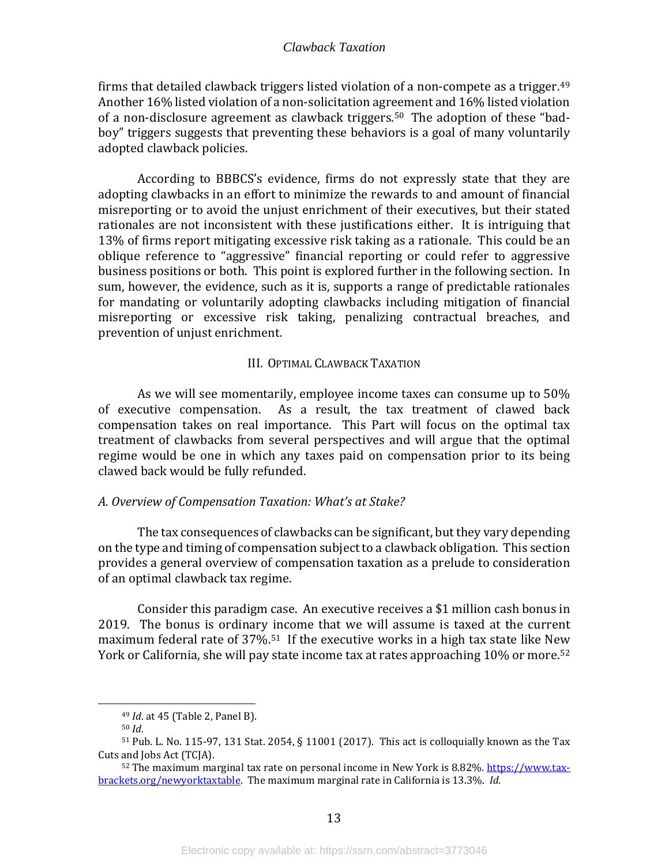firms that detailed clawback triggers listed violation of a non-compete as a trigger.[49](#page-15-2) Another 16% listed violation of a non-solicitation agreement and 16% listed violation of a non-disclosure agreement as clawback triggers. [50](#page-15-3) The adoption of these "badboy" triggers suggests that preventing these behaviors is a goal of many voluntarily adopted clawback policies.

According to BBBCS's evidence, firms do not expressly state that they are adopting clawbacks in an effort to minimize the rewards to and amount of financial misreporting or to avoid the unjust enrichment of their executives, but their stated rationales are not inconsistent with these justifications either. It is intriguing that 13% of firms report mitigating excessive risk taking as a rationale. This could be an oblique reference to "aggressive" financial reporting or could refer to aggressive business positions or both. This point is explored further in the following section. In sum, however, the evidence, such as it is, supports a range of predictable rationales for mandating or voluntarily adopting clawbacks including mitigation of financial misreporting or excessive risk taking, penalizing contractual breaches, and prevention of unjust enrichment.

#### III. OPTIMAL CLAWBACK TAXATION

<span id="page-15-0"></span>As we will see momentarily, employee income taxes can consume up to 50% of executive compensation. As a result, the tax treatment of clawed back compensation takes on real importance. This Part will focus on the optimal tax treatment of clawbacks from several perspectives and will argue that the optimal regime would be one in which any taxes paid on compensation prior to its being clawed back would be fully refunded.

#### <span id="page-15-1"></span>*A. Overview of Compensation Taxation: What's at Stake?*

The tax consequences of clawbacks can be significant, but they vary depending on the type and timing of compensation subject to a clawback obligation. This section provides a general overview of compensation taxation as a prelude to consideration of an optimal clawback tax regime.

Consider this paradigm case. An executive receives a \$1 million cash bonus in 2019. The bonus is ordinary income that we will assume is taxed at the current maximum federal rate of 37%[.51](#page-15-4) If the executive works in a high tax state like Ne[w](#page-15-5) York or California, she will pay state income tax at rates approaching 10% or more.<sup>52</sup>

<sup>49</sup> *Id*. at 45 (Table 2, Panel B).

<sup>50</sup> *Id*.

<span id="page-15-4"></span><span id="page-15-3"></span><span id="page-15-2"></span> $51$  Pub. L. No. 115-97, 131 Stat. 2054, § 11001 (2017). This act is colloquially known as the Tax Cuts and Jobs Act (TCJA).

<span id="page-15-5"></span><sup>52</sup> The maximum marginal tax rate on personal income in New York is 8.82%[. https://www.tax](https://www.tax-brackets.org/newyorktaxtable)[brackets.org/newyorktaxtable.](https://www.tax-brackets.org/newyorktaxtable) The maximum marginal rate in California is 13.3%. *Id*.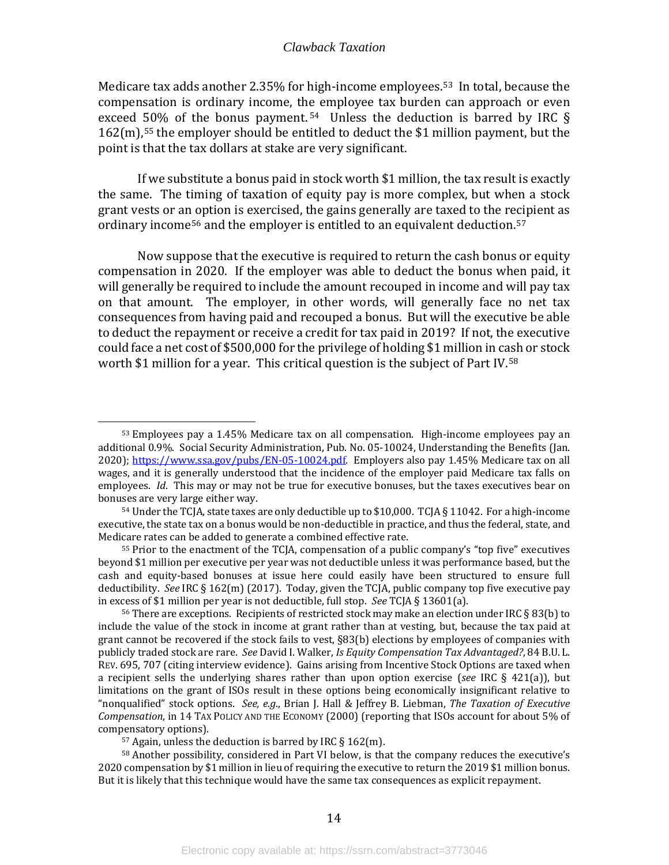Medicare tax adds another 2.35% for high-income employees. [53](#page-16-0) In total, because the compensation is ordinary income, the employee tax burden can approach or even exceed 50% of the bonus payment.<sup>[54](#page-16-1)</sup> Unless the deduction is barred by IRC  $\S$ 162(m),[55](#page-16-2) the employer should be entitled to deduct the \$1 million payment, but the point is that the tax dollars at stake are very significant.

If we substitute a bonus paid in stock worth \$1 million, the tax result is exactly the same. The timing of taxation of equity pay is more complex, but when a stock grant vests or an option is exercised, the gains generally are taxed to the recipient as ordinary income<sup>[56](#page-16-3)</sup> and the employer is entitled to an equivalent deduction.<sup>[57](#page-16-4)</sup>

Now suppose that the executive is required to return the cash bonus or equity compensation in 2020. If the employer was able to deduct the bonus when paid, it will generally be required to include the amount recouped in income and will pay tax on that amount. The employer, in other words, will generally face no net tax consequences from having paid and recouped a bonus. But will the executive be able to deduct the repayment or receive a credit for tax paid in 2019? If not, the executive could face a net cost of \$500,000 for the privilege of holding \$1 million in c[ash](#page-16-5) or stock worth \$1 million for a year. This critical question is the subject of Part IV.<sup>58</sup>

<span id="page-16-2"></span><sup>55</sup> Prior to the enactment of the TCJA, compensation of a public company's "top five" executives beyond \$1 million per executive per year was not deductible unless it was performance based, but the cash and equity-based bonuses at issue here could easily have been structured to ensure full deductibility. *See* IRC § 162(m) (2017). Today, given the TCJA, public company top five executive pay in excess of \$1 million per year is not deductible, full stop. *See* TCJA § 13601(a).

<sup>57</sup> Again, unless the deduction is barred by IRC  $\S 162(m)$ .

<span id="page-16-5"></span><span id="page-16-4"></span><sup>58</sup> Another possibility, considered in Part VI below, is that the company reduces the executive's 2020 compensation by \$1 million in lieu of requiring the executive to return the 2019 \$1 million bonus. But it is likely that this technique would have the same tax consequences as explicit repayment.

<span id="page-16-0"></span><sup>53</sup> Employees pay a 1.45% Medicare tax on all compensation. High-income employees pay an additional 0.9%. Social Security Administration, Pub. No. 05-10024, Understanding the Benefits (Jan. 2020); [https://www.ssa.gov/pubs/EN-05-10024.pdf.](https://www.ssa.gov/pubs/EN-05-10024.pdf) Employers also pay 1.45% Medicare tax on all wages, and it is generally understood that the incidence of the employer paid Medicare tax falls on employees. *Id*. This may or may not be true for executive bonuses, but the taxes executives bear on bonuses are very large either way.

<span id="page-16-1"></span> $54$  Under the TCJA, state taxes are only deductible up to \$10,000. TCJA § 11042. For a high-income executive, the state tax on a bonus would be non-deductible in practice, and thus the federal, state, and Medicare rates can be added to generate a combined effective rate.

<span id="page-16-3"></span> $56$  There are exceptions. Recipients of restricted stock may make an election under IRC § 83(b) to include the value of the stock in income at grant rather than at vesting, but, because the tax paid at grant cannot be recovered if the stock fails to vest, §83(b) elections by employees of companies with publicly traded stock are rare. *See* David I. Walker, *Is Equity Compensation Tax Advantaged?*, 84 B.U. L. REV. 695, 707 (citing interview evidence). Gains arising from Incentive Stock Options are taxed when a recipient sells the underlying shares rather than upon option exercise (*see* IRC § 421(a)), but limitations on the grant of ISOs result in these options being economically insignificant relative to "nonqualified" stock options. *See, e.g*., Brian J. Hall & Jeffrey B. Liebman, *The Taxation of Executive Compensation*, in 14 TAX POLICY AND THE ECONOMY (2000) (reporting that ISOs account for about 5% of compensatory options).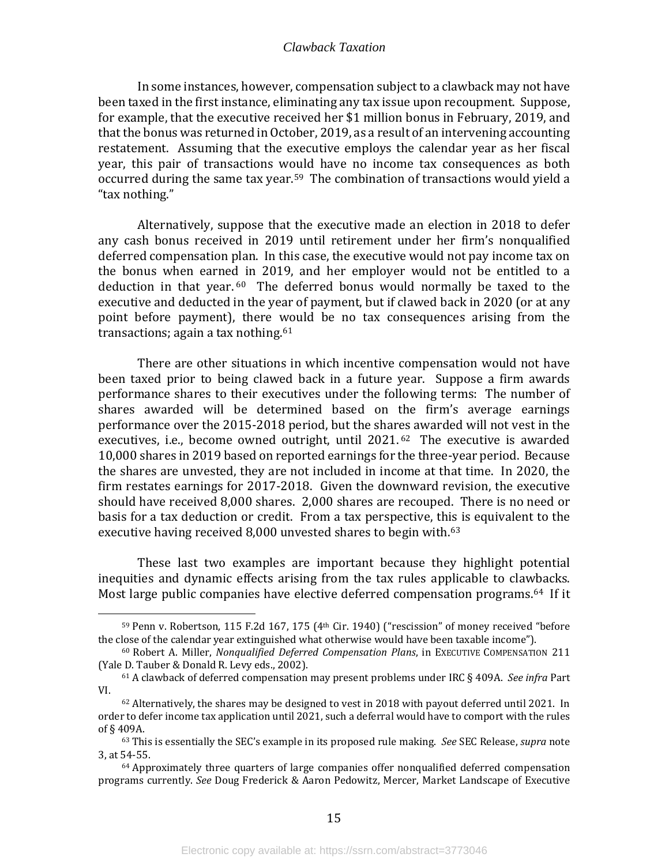In some instances, however, compensation subject to a clawback may not have been taxed in the first instance, eliminating any tax issue upon recoupment. Suppose, for example, that the executive received her \$1 million bonus in February, 2019, and that the bonus was returned in October, 2019, as a result of an intervening accounting restatement. Assuming that the executive employs the calendar year as her fiscal year, this pair of transactions would have no income tax consequences as both occurred during the same tax year.[59](#page-17-0) The combination of transactions would yield a "tax nothing."

Alternatively, suppose that the executive made an election in 2018 to defer any cash bonus received in 2019 until retirement under her firm's nonqualified deferred compensation plan. In this case, the executive would not pay income tax on the bonus when earned in 2019, and her employer would not be entitled to a deduction in that year.  $60$  The deferred bonus would normally be taxed to the executive and deducted in the year of payment, but if clawed back in 2020 (or at any point before payment), there would be no tax consequences arising from the transactions; again a tax nothing.[61](#page-17-2)

There are other situations in which incentive compensation would not have been taxed prior to being clawed back in a future year. Suppose a firm awards performance shares to their executives under the following terms: The number of shares awarded will be determined based on the firm's average earnings performance over the 2015-2018 period, but the shar[es](#page-17-3) awarded will not vest in the executives, i.e., become owned outright, until 2021.<sup>62</sup> The executive is awarded 10,000 shares in 2019 based on reported earnings for the three-year period. Because the shares are unvested, they are not included in income at that time. In 2020, the firm restates earnings for 2017-2018. Given the downward revision, the executive should have received 8,000 shares. 2,000 shares are recouped. There is no need or basis for a tax deduction or credit. From a tax perspective, this is equivalent to the executive having received 8,000 unvested shares to begin with.<sup>[63](#page-17-4)</sup>

These last two examples are important because they highlight potential inequities and dynamic effects arising from the tax rules applicable to clawbacks. Most large public companies have elective deferred compensation programs.[64](#page-17-5) If it

<span id="page-17-0"></span><sup>&</sup>lt;sup>59</sup> Penn v. Robertson, 115 F.2d 167, 175 ( $4<sup>th</sup>$  Cir. 1940) ("rescission" of money received "before the close of the calendar year extinguished what otherwise would have been taxable income").

<span id="page-17-1"></span><sup>&</sup>lt;sup>60</sup> Robert A. Miller, *Nonqualified Deferred Compensation Plans*, in EXECUTIVE COMPENSATION 211 (Yale D. Tauber & Donald R. Levy eds., 2002).

<span id="page-17-2"></span><sup>61</sup> A clawback of deferred compensation may present problems under IRC § 409A. *See infra* Part VI.

<span id="page-17-3"></span> $62$  Alternatively, the shares may be designed to vest in 2018 with payout deferred until 2021. In order to defer income tax application until 2021, such a deferral would have to comport with the rules of  $\S$  409A.

<span id="page-17-4"></span><sup>&</sup>lt;sup>63</sup> This is essentially the SEC's example in its proposed rule making. *See* SEC Release, *supra* note 3, at 54-55.

<span id="page-17-5"></span> $64$  Approximately three quarters of large companies offer nonqualified deferred compensation programs currently. *See* Doug Frederick & Aaron Pedowitz, Mercer, Market Landscape of Executive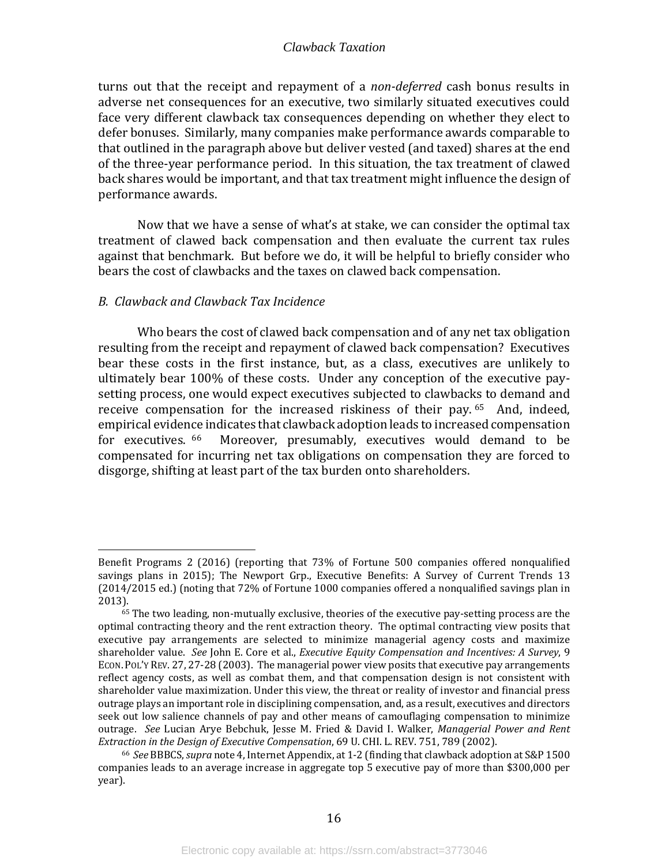turns out that the receipt and repayment of a *non-deferred* cash bonus results in adverse net consequences for an executive, two similarly situated executives could face very different clawback tax consequences depending on whether they elect to defer bonuses. Similarly, many companies make performance awards comparable to that outlined in the paragraph above but deliver vested (and taxed) shares at the end of the three-year performance period. In this situation, the tax treatment of clawed back shares would be important, and that tax treatment might influence the design of performance awards.

Now that we have a sense of what's at stake, we can consider the optimal tax treatment of clawed back compensation and then evaluate the current tax rules against that benchmark. But before we do, it will be helpful to briefly consider who bears the cost of clawbacks and the taxes on clawed back compensation.

#### <span id="page-18-0"></span>*B. Clawback and Clawback Tax Incidence*

Who bears the cost of clawed back compensation and of any net tax obligation resulting from the receipt and repayment of clawed back compensation? Executives bear these costs in the first instance, but, as a class, executives are unlikely to ultimately bear 100% of these costs. Under any conception of the executive paysetting process, one would expect executives subjected to clawbacks to demand and receive compensation for the increased riskiness of their pay. [65](#page-18-1) And, indeed, empirical evidence indicates that clawback adoption leads to increased compensation<br>for executives. <sup>66</sup> Moreover, presumably, executives would demand to be Moreover, presumably, executives would demand to be compensated for incurring net tax obligations on compensation they are forced to disgorge, shifting at least part of the tax burden onto shareholders.

Benefit Programs 2 (2016) (reporting that 73% of Fortune 500 companies offered nonqualified savings plans in 2015); The Newport Grp., Executive Benefits: A Survey of Current Trends 13 (2014/2015 ed.) (noting that 72% of Fortune 1000 companies offered a nonqualified savings plan in 2013).

<span id="page-18-1"></span> $65$  The two leading, non-mutually exclusive, theories of the executive pay-setting process are the optimal contracting theory and the rent extraction theory. The optimal contracting view posits that executive pay arrangements are selected to minimize managerial agency costs and maximize shareholder value. *See* John E. Core et al., *Executive Equity Compensation and Incentives: A Survey*, 9 ECON. POL'Y REV. 27, 27-28 (2003). The managerial power view posits that executive pay arrangements reflect agency costs, as well as combat them, and that compensation design is not consistent with shareholder value maximization. Under this view, the threat or reality of investor and financial press outrage plays an important role in disciplining compensation, and, as a result, executives and directors seek out low salience channels of pay and other means of camouflaging compensation to minimize outrage. *See* Lucian Arye Bebchuk, Jesse M. Fried & David I. Walker, *Managerial Power and Rent* 

<span id="page-18-2"></span>*Extraction in the Design of Executive Compensation*, 69 U. CHI. L. REV. 751, 789 (2002). 66 *See* BBBCS, *supra* note 4, Internet Appendix, at 1-2 (finding that clawback adoption at S&P 1500 companies leads to an average increase in aggregate top 5 executive pay of more than \$300,000 per year).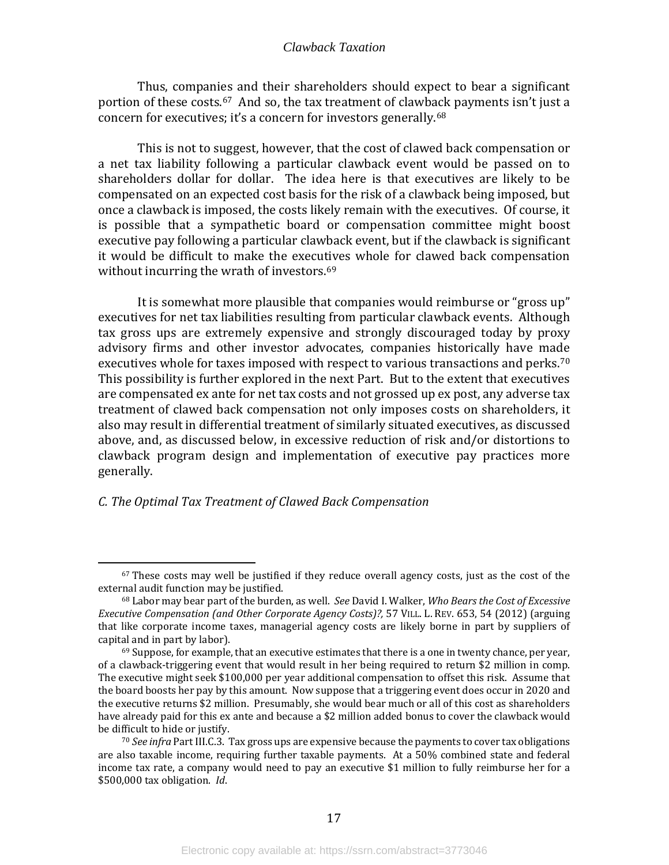Thus, companies and their shareholders should expect to bear a significant portion of these costs.<sup>[67](#page-19-1)</sup> And so, the tax treatment of clawback payments isn't just a concern for executives; it's a concern for investors generally.[68](#page-19-2) 

This is not to suggest, however, that the cost of clawed back compensation or a net tax liability following a particular clawback event would be passed on to shareholders dollar for dollar. The idea here is that executives are likely to be compensated on an expected cost basis for the risk of a clawback being imposed, but once a clawback is imposed, the costs likely remain with the executives. Of course, it is possible that a sympathetic board or compensation committee might boost executive pay following a particular clawback event, but if the clawback is significant it would be difficult to make the execu[tiv](#page-19-3)es whole for clawed back compensation without incurring the wrath of investors. 69

It is somewhat more plausible that companies would reimburse or "gross up" executives for net tax liabilities resulting from particular clawback events. Although tax gross ups are extremely expensive and strongly discouraged today by proxy advisory firms and other investor advocates, companies historically have made executives whole for taxes imposed with respect to various transactions and perks.<sup>[70](#page-19-4)</sup> This possibility is further explored in the next Part. But to the extent that executives are compensated ex ante for net tax costs and not grossed up ex post, any adverse tax treatment of clawed back compensation not only imposes costs on shareholders, it also may result in differential treatment of similarly situated executives, as discussed above, and, as discussed below, in excessive reduction of risk and/or distortions to clawback program design and implementation of executive pay practices more generally.

#### <span id="page-19-0"></span>*C. The Optimal Tax Treatment of Clawed Back Compensation*

<span id="page-19-1"></span><sup>&</sup>lt;sup>67</sup> These costs may well be justified if they reduce overall agency costs, just as the cost of the external audit function may be justified.

<span id="page-19-2"></span><sup>68</sup> Labor may bear part of the burden, as well. *See* David I. Walker, *Who Bears the Cost of Excessive Executive Compensation (and Other Corporate Agency Costs)?,* 57 VILL. L. REV. 653, 54 (2012) (arguing that like corporate income taxes, managerial agency costs are likely borne in part by suppliers of capital and in part by labor).

<span id="page-19-3"></span> $69$  Suppose, for example, that an executive estimates that there is a one in twenty chance, per year, of a clawback-triggering event that would result in her being required to return \$2 million in comp. The executive might seek \$100,000 per year additional compensation to offset this risk. Assume that the board boosts her pay by this amount. Now suppose that a triggering event does occur in 2020 and the executive returns \$2 million. Presumably, she would bear much or all of this cost as shareholders have already paid for this ex ante and because a \$2 million added bonus to cover the clawback would be difficult to hide or justify.

<span id="page-19-4"></span><sup>70</sup> *See infra* Part III.C.3. Tax gross ups are expensive because the payments to cover tax obligations are also taxable income, requiring further taxable payments. At a 50% combined state and federal income tax rate, a company would need to pay an executive \$1 million to fully reimburse her for a \$500,000 tax obligation. *Id*.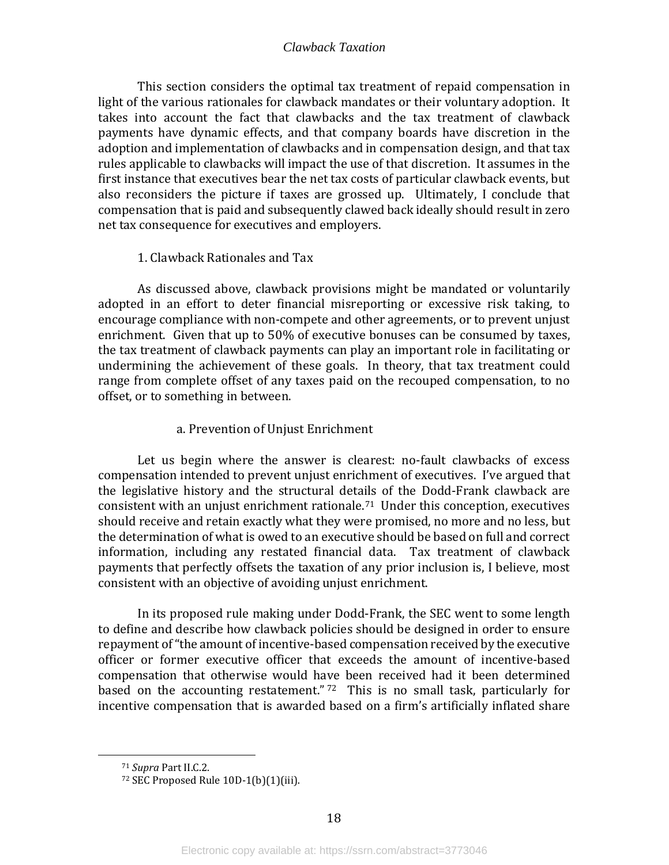This section considers the optimal tax treatment of repaid compensation in light of the various rationales for clawback mandates or their voluntary adoption. It takes into account the fact that clawbacks and the tax treatment of clawback payments have dynamic effects, and that company boards have discretion in the adoption and implementation of clawbacks and in compensation design, and that tax rules applicable to clawbacks will impact the use of that discretion. It assumes in the first instance that executives bear the net tax costs of particular clawback events, but also reconsiders the picture if taxes are grossed up. Ultimately, I conclude that compensation that is paid and subsequently clawed back ideally should result in zero net tax consequence for executives and employers.

#### 1. Clawback Rationales and Tax

<span id="page-20-0"></span>As discussed above, clawback provisions might be mandated or voluntarily adopted in an effort to deter financial misreporting or excessive risk taking, to encourage compliance with non-compete and other agreements, or to prevent unjust enrichment. Given that up to 50% of executive bonuses can be consumed by taxes, the tax treatment of clawback payments can play an important role in facilitating or undermining the achievement of these goals. In theory, that tax treatment could range from complete offset of any taxes paid on the recouped compensation, to no offset, or to something in between.

#### a. Prevention of Unjust Enrichment

Let us begin where the answer is clearest: no-fault clawbacks of excess compensation intended to prevent unjust enrichment of executives. I've argued that the legislative history and the structural details of the Dodd-Frank clawback are consistent with an unjust enrichment rationale. [71](#page-20-1) Under this conception, executives should receive and retain exactly what they were promised, no more and no less, but the determination of what is owed to an executive should be based on full and correct information, including any restated financial data. Tax treatment of clawback payments that perfectly offsets the taxation of any prior inclusion is, I believe, most consistent with an objective of avoiding unjust enrichment.

In its proposed rule making under Dodd-Frank, the SEC went to some length to define and describe how clawback policies should be designed in order to ensure repayment of "the amount of incentive-based compensation received by the executive officer or former executive officer that exceeds the amount of incentive-based compensation that otherwise would have been received had it been determined based on the accounting restatement."<sup>[72](#page-20-2)</sup> This is no small task, particularly for incentive compensation that is awarded based on a firm's artificially inflated share

<span id="page-20-1"></span><sup>71</sup> *Supra* Part II.C.2.

<span id="page-20-2"></span><sup>72</sup> SEC Proposed Rule 10D-1(b)(1)(iii).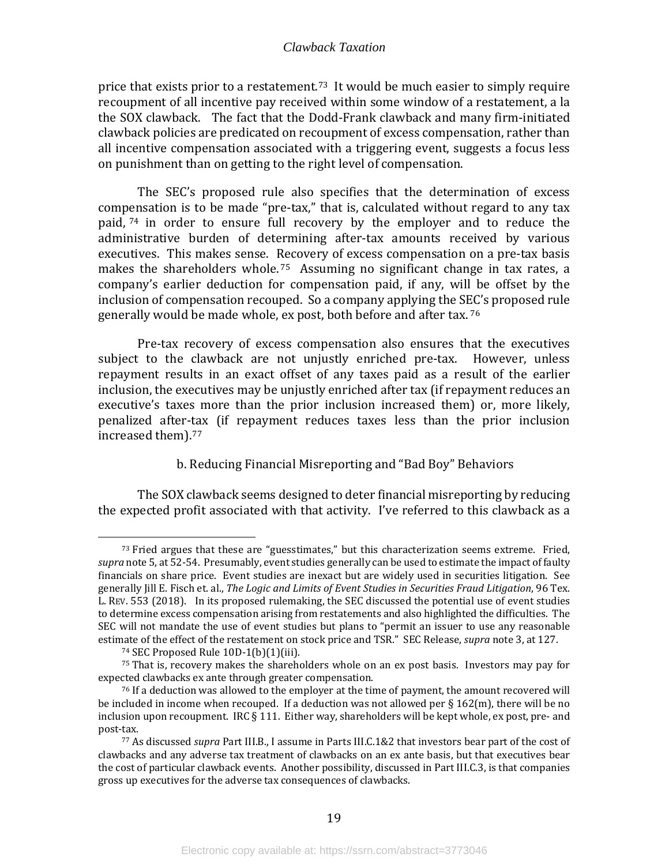price that exists prior to a restatement.<sup>73</sup> It would be much easier to simply require recoupment of all incentive pay received within some window of a restatement, a la the SOX clawback. The fact that the Dodd-Frank clawback and many firm-initiated clawback policies are predicated on recoupment of excess compensation, rather than all incentive compensation associated with a triggering event, suggests a focus less on punishment than on getting to the right level of compensation.

The SEC's proposed rule also specifies that the determination of excess com[pen](#page-21-1)sation is to be made "pre-tax," that is, calculated without regard to any tax paid, <sup>74</sup> in order to ensure full recovery by the employer and to reduce the administrative burden of determining after-tax amounts received by various executives. This makes sense. Recovery of excess compensation on a pre-tax basis makes the shareholders whole.<sup>[75](#page-21-2)</sup> Assuming no significant change in tax rates, a company's earlier deduction for compensation paid, if any, will be offset by the inclusion of compensation recouped. So a company applying the SEC's proposed rule generally would be made whole, ex post, both before and after tax. [76](#page-21-3)

Pre-tax recovery of excess compensation also ensures that the executives subject to the clawback are not unjustly enriched pre-tax. However, unless repayment results in an exact offset of any taxes paid as a result of the earlier inclusion, the executives may be unjustly enriched after tax (if repayment reduces an executive's taxes more than the prior inclusion increased them) or, more likely, penalized after-tax (if repayment reduces taxes less than the prior inclusion increased them).[77](#page-21-4)

#### b. Reducing Financial Misreporting and "Bad Boy" Behaviors

The SOX clawback seems designed to deter financial misreporting by reducing the expected profit associated with that activity. I've referred to this clawback as a

<span id="page-21-0"></span> $73$  Fried argues that these are "guesstimates," but this characterization seems extreme. Fried, *supra* note 5, at 52-54. Presumably, event studies generally can be used to estimate the impact of faulty financials on share price. Event studies are inexact but are widely used in securities litigation. See generally Jill E. Fisch et. al., *The Logic and Limits of Event Studies in Securities Fraud Litigation*, 96 Tex. L. REV. 553 (2018). In its proposed rulemaking, the SEC discussed the potential use of event studies to determine excess compensation arising from restatements and also highlighted the difficulties. The SEC will not mandate the use of event studies but plans to "permit an issuer to use any reasonable estimate of the effect of the restatement on stock price and TSR." SEC Release, *supra* note 3, at 127.

<sup>74</sup> SEC Proposed Rule 10D-1(b)(1)(iii).

<span id="page-21-2"></span><span id="page-21-1"></span><sup>75</sup> That is, recovery makes the shareholders whole on an ex post basis. Investors may pay for expected clawbacks ex ante through greater compensation.

<span id="page-21-3"></span> $76$  If a deduction was allowed to the employer at the time of payment, the amount recovered will be included in income when recouped. If a deduction was not allowed per § 162(m), there will be no inclusion upon recoupment. IRC § 111. Either way, shareholders will be kept whole, ex post, pre- and post-tax.

<span id="page-21-4"></span><sup>77</sup> As discussed *supra* Part III.B., I assume in Parts III.C.1&2 that investors bear part of the cost of clawbacks and any adverse tax treatment of clawbacks on an ex ante basis, but that executives bear the cost of particular clawback events. Another possibility, discussed in Part III.C.3, is that companies gross up executives for the adverse tax consequences of clawbacks.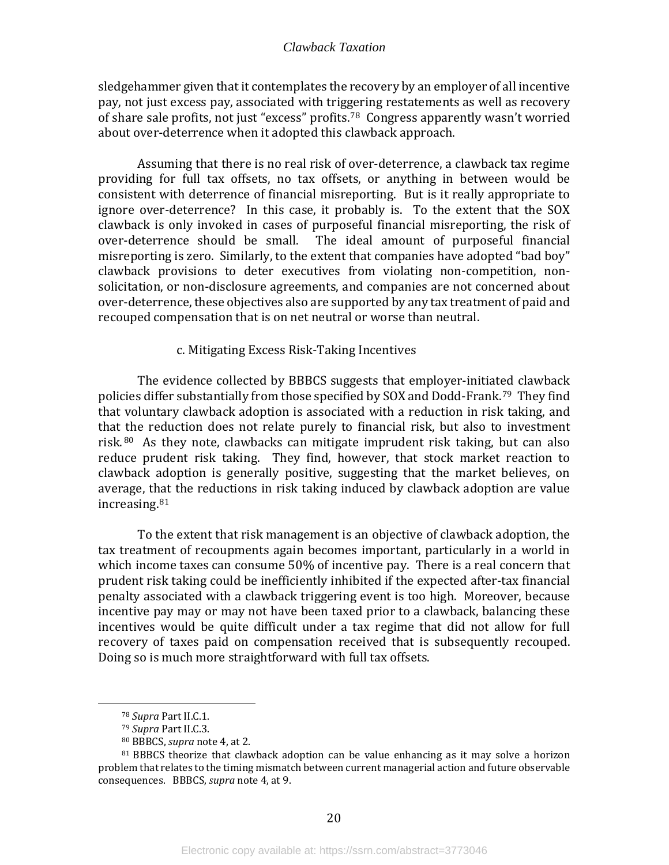sledgehammer given that it contemplates the recovery by an employer of all incentive pay, not just excess pay, associated with triggering restatements as well as recovery of share sale profits, not just "excess" profits.[78](#page-22-0) Congress apparently wasn't worried about over-deterrence when it adopted this clawback approach.

Assuming that there is no real risk of over-deterrence, a clawback tax regime providing for full tax offsets, no tax offsets, or anything in between would be consistent with deterrence of financial misreporting. But is it really appropriate to ignore over-deterrence? In this case, it probably is. To the extent that the SOX clawback is only invoked in cases of purposeful financial misreporting, the risk of over-deterrence should be small. The ideal amount of purposeful financial misreporting is zero. Similarly, to the extent that companies have adopted "bad boy" clawback provisions to deter executives from violating non-competition, nonsolicitation, or non-disclosure agreements, and companies are not concerned about over-deterrence, these objectives also are supported by any tax treatment of paid and recouped compensation that is on net neutral or worse than neutral.

#### c. Mitigating Excess Risk-Taking Incentives

The evidence collected by BBBCS suggests that employer-initiated clawback policies differ substantially from those specified by SOX and Dodd-Frank.[79](#page-22-1) They find that voluntary clawback adoption is associated with a reduction in risk taking, and that the reduction does not relate purely to financial risk, but also to investment risk. [80](#page-22-2) As they note, clawbacks can mitigate imprudent risk taking, but can also reduce prudent risk taking. They find, however, that stock market reaction to clawback adoption is generally positive, suggesting that the market believes, on average, t[hat](#page-22-3) the reductions in risk taking induced by clawback adoption are value increasing. 81

To the extent that risk management is an objective of clawback adoption, the tax treatment of recoupments again becomes important, particularly in a world in which income taxes can consume 50% of incentive pay. There is a real concern that prudent risk taking could be inefficiently inhibited if the expected after-tax financial penalty associated with a clawback triggering event is too high. Moreover, because incentive pay may or may not have been taxed prior to a clawback, balancing these incentives would be quite difficult under a tax regime that did not allow for full recovery of taxes paid on compensation received that is subsequently recouped. Doing so is much more straightforward with full tax offsets.

<sup>78</sup> *Supra* Part II.C.1.

<sup>79</sup> *Supra* Part II.C.3.

<sup>80</sup> BBBCS, *supra* note 4, at 2.

<span id="page-22-3"></span><span id="page-22-2"></span><span id="page-22-1"></span><span id="page-22-0"></span><sup>&</sup>lt;sup>81</sup> BBBCS theorize that clawback adoption can be value enhancing as it may solve a horizon problem that relates to the timing mismatch between current managerial action and future observable consequences. BBBCS, *supra* note 4, at 9.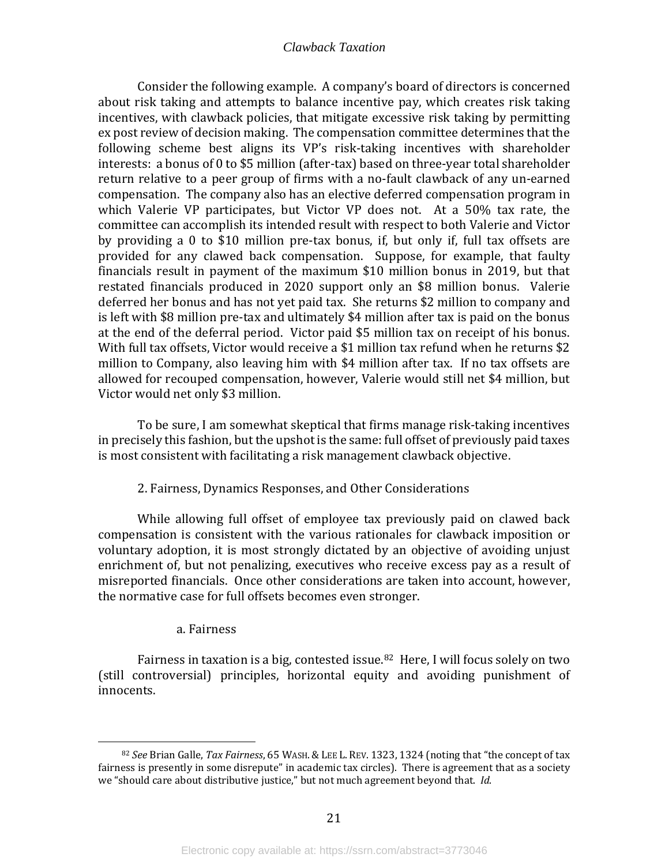Consider the following example. A company's board of directors is concerned about risk taking and attempts to balance incentive pay, which creates risk taking incentives, with clawback policies, that mitigate excessive risk taking by permitting ex post review of decision making. The compensation committee determines that the following scheme best aligns its VP's risk-taking incentives with shareholder interests: a bonus of 0 to \$5 million (after-tax) based on three-year total shareholder return relative to a peer group of firms with a no-fault clawback of any un-earned compensation. The company also has an elective deferred compensation program in which Valerie VP participates, but Victor VP does not. At a 50% tax rate, the committee can accomplish its intended result with respect to both Valerie and Victor by providing a 0 to \$10 million pre-tax bonus, if, but only if, full tax offsets are provided for any clawed back compensation. Suppose, for example, that faulty financials result in payment of the maximum \$10 million bonus in 2019, but that restated financials produced in 2020 support only an \$8 million bonus. Valerie deferred her bonus and has not yet paid tax. She returns \$2 million to company and is left with \$8 million pre-tax and ultimately \$4 million after tax is paid on the bonus at the end of the deferral period. Victor paid \$5 million tax on receipt of his bonus. With full tax offsets, Victor would receive a \$1 million tax refund when he returns \$2 million to Company, also leaving him with \$4 million after tax. If no tax offsets are allowed for recouped compensation, however, Valerie would still net \$4 million, but Victor would net only \$3 million.

To be sure, I am somewhat skeptical that firms manage risk-taking incentives in precisely this fashion, but the upshot is the same: full offset of previously paid taxes is most consistent with facilitating a risk management clawback objective.

#### 2. Fairness, Dynamics Responses, and Other Considerations

<span id="page-23-0"></span>While allowing full offset of employee tax previously paid on clawed back compensation is consistent with the various rationales for clawback imposition or voluntary adoption, it is most strongly dictated by an objective of avoiding unjust enrichment of, but not penalizing, executives who receive excess pay as a result of misreported financials. Once other considerations are taken into account, however, the normative case for full offsets becomes even stronger.

#### a. Fairness

Fairness in taxation is a big, contested issue.<sup>[82](#page-23-1)</sup> Here, I will focus solely on two (still controversial) principles, horizontal equity and avoiding punishment of innocents.

<span id="page-23-1"></span><sup>82</sup> *See* Brian Galle, *Tax Fairness*, 65 WASH.& LEE L. REV. 1323, 1324 (noting that "the concept of tax fairness is presently in some disrepute" in academic tax circles). There is agreement that as a society we "should care about distributive justice," but not much agreement beyond that. *Id*.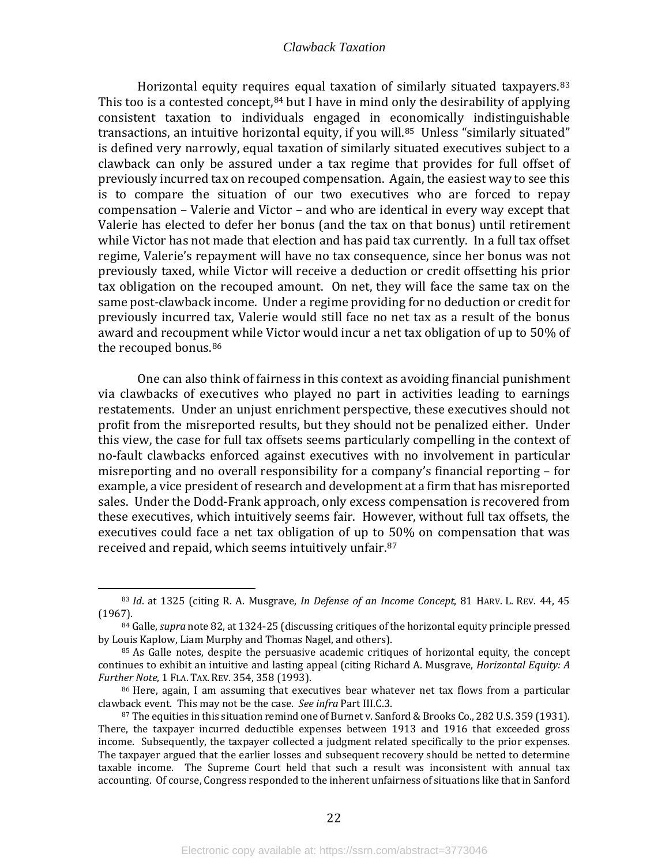Horizontal equity [re](#page-24-1)quires equal taxation of similarly situated taxpayers.<sup>[83](#page-24-0)</sup> This too is a contested concept,  $84$  but I have in mind only the desirability of applying consistent taxation to individuals engaged in economically indistinguishable transactions, an intuitive horizontal equity, if you will.<sup>85</sup> Unless "similarly situated" is defined very narrowly, equal taxation of similarly situated executives subject to a clawback can only be assured under a tax regime that provides for full offset of previously incurred tax on recouped compensation. Again, the easiest way to see this is to compare the situation of our two executives who are forced to repay compensation – Valerie and Victor – and who are identical in every way except that Valerie has elected to defer her bonus (and the tax on that bonus) until retirement while Victor has not made that election and has paid tax currently. In a full tax offset regime, Valerie's repayment will have no tax consequence, since her bonus was not previously taxed, while Victor will receive a deduction or credit offsetting his prior tax obligation on the recouped amount. On net, they will face the same tax on the same post-clawback income. Under a regime providing for no deduction or credit for previously incurred tax, Valerie would still face no net tax as a result of the bonus award and recoupment while Victor would incur a net tax obligation of up to 50% of the recouped bonus.<sup>[86](#page-24-3)</sup>

One can also think of fairness in this context as avoiding financial punishment via clawbacks of executives who played no part in activities leading to earnings restatements. Under an unjust enrichment perspective, these executives should not profit from the misreported results, but they should not be penalized either. Under this view, the case for full tax offsets seems particularly compelling in the context of no-fault clawbacks enforced against executives with no involvement in particular misreporting and no overall responsibility for a company's financial reporting – for example, a vice president of research and development at a firm that has misreported sales. Under the Dodd-Frank approach, only excess compensation is recovered from these executives, which intuitively seems fair. However, without full tax offsets, the executives could face a net tax obligation of up to 50% on compensation that was received and repaid, which seems intuitively unfair.[87](#page-24-4) 

<span id="page-24-0"></span><sup>83</sup> *Id*. at 1325 (citing R. A. Musgrave, *In Defense of an Income Concept*, 81 HARV. L. REV. 44, 45

<span id="page-24-1"></span><sup>&</sup>lt;sup>84</sup> Galle, *supra* note 82, at 1324-25 (discussing critiques of the horizontal equity principle pressed by Louis Kaplow, Liam Murphy and Thomas Nagel, and others).

<span id="page-24-2"></span><sup>&</sup>lt;sup>85</sup> As Galle notes, despite the persuasive academic critiques of horizontal equity, the concept continues to exhibit an intuitive and lasting appeal (citing Richard A. Musgrave, *Horizontal Equity: A Further Note*, 1 FLA. TAX. REV. 354, 358 (1993).

<span id="page-24-3"></span><sup>&</sup>lt;sup>86</sup> Here, again, I am assuming that executives bear whatever net tax flows from a particular clawback event. This may not be the case. *See infra* Part III.C.3.

<span id="page-24-4"></span> $87$  The equities in this situation remind one of Burnet v. Sanford & Brooks Co., 282 U.S. 359 (1931). There, the taxpayer incurred deductible expenses between 1913 and 1916 that exceeded gross income. Subsequently, the taxpayer collected a judgment related specifically to the prior expenses. The taxpayer argued that the earlier losses and subsequent recovery should be netted to determine taxable income. The Supreme Court held that such a result was inconsistent with annual tax accounting. Of course, Congress responded to the inherent unfairness of situations like that in Sanford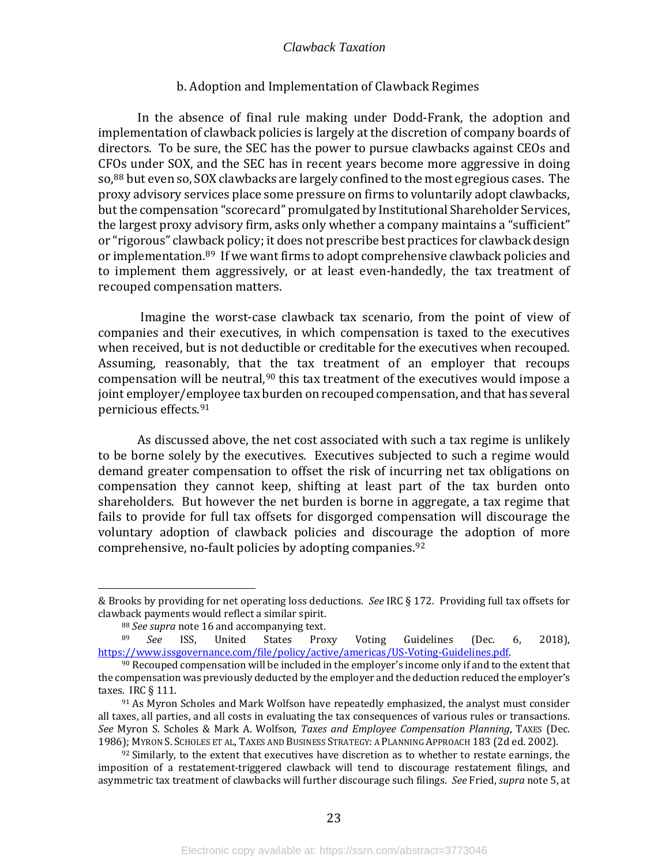#### b. Adoption and Implementation of Clawback Regimes

In the absence of final rule making under Dodd-Frank, the adoption and implementation of clawback policies is largely at the discretion of company boards of directors. To be sure, the SEC has the power to pursue clawbacks against CEOs and CF[Os](#page-25-0) under SOX, and the SEC has in recent years become more aggressive in doing so, <sup>88</sup> but even so, SOX clawbacks are largely confined to the most egregious cases. The proxy advisory services place some pressure on firms to voluntarily adopt clawbacks, but the compensation "scorecard" promulgated by Institutional Shareholder Services, the largest proxy advisory firm, asks only whether a company maintains a "sufficient" or "rigorous" clawback policy; it does not prescribe best practices for clawback design or implementation[.89](#page-25-1) If we want firms to adopt comprehensive clawback policies and to implement them aggressively, or at least even-handedly, the tax treatment of recouped compensation matters.

Imagine the worst-case clawback tax scenario, from the point of view of companies and their executives, in which compensation is taxed to the executives when received, but is not deductible or creditable for the executives when recouped. Assuming, reasonably, that the tax treatment of an employer that recoups compensation will be neutral,  $90$  this tax treatment of the executives would impose a joint employer/employee tax burden on recouped compensation, and that has several pernicious effects.[91](#page-25-3)

As discussed above, the net cost associated with such a tax regime is unlikely to be borne solely by the executives. Executives subjected to such a regime would demand greater compensation to offset the risk of incurring net tax obligations on compensation they cannot keep, shifting at least part of the tax burden onto shareholders. But however the net burden is borne in aggregate, a tax regime that fails to provide for full tax offsets for disgorged compensation will discourage the voluntary adoption of clawback policies and discourage the adoption of more comprehensive, no-fault policies by adopting companies.[92](#page-25-4)

<sup>&</sup>amp; Brooks by providing for net operating loss deductions. *See* IRC § 172. Providing full tax offsets for clawback payments would reflect a similar spirit.

<sup>&</sup>lt;sup>88</sup> *See supra* note 16 and accompanying text.<br><sup>89</sup> *See* ISS, United States Proxy

<span id="page-25-1"></span><span id="page-25-0"></span><sup>&</sup>lt;sup>89</sup> *See* ISS, United States Proxy Voting Guidelines (Dec. 6, 2018), https://www.issgovernance.com/file/policy/active/americas/US-Voting-Guidelines.pdf.

<span id="page-25-2"></span> $90$  Recouped compensation will be included in the employer's income only if and to the extent that the compensation was previously deducted by the employer and the deduction reduced the employer's taxes. IRC § 111.

<span id="page-25-3"></span><sup>91</sup> As Myron Scholes and Mark Wolfson have repeatedly emphasized, the analyst must consider all taxes, all parties, and all costs in evaluating the tax consequences of various rules or transactions. *See* Myron S. Scholes & Mark A. Wolfson, *Taxes and Employee Compensation Planning*, TAXES (Dec. 1986); MYRON S. SCHOLES ET AL, TAXES AND BUSINESS STRATEGY: A PLANNING APPROACH 183 (2d ed. 2002).

<span id="page-25-4"></span> $92$  Similarly, to the extent that executives have discretion as to whether to restate earnings, the imposition of a restatement-triggered clawback will tend to discourage restatement filings, and asymmetric tax treatment of clawbacks will further discourage such filings. *See* Fried, *supra* note 5, at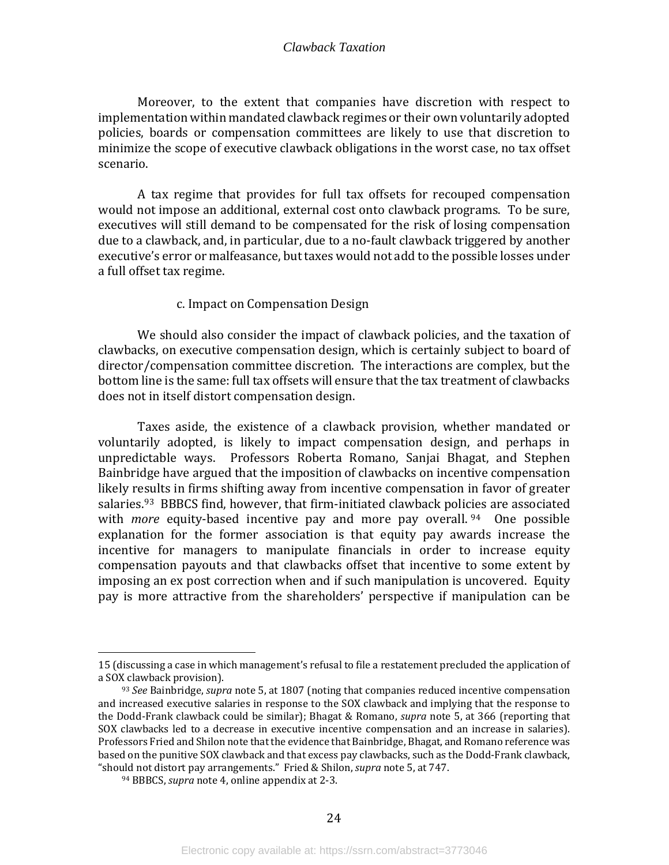Moreover, to the extent that companies have discretion with respect to implementation within mandated clawback regimes or their own voluntarily adopted policies, boards or compensation committees are likely to use that discretion to minimize the scope of executive clawback obligations in the worst case, no tax offset scenario.

A tax regime that provides for full tax offsets for recouped compensation would not impose an additional, external cost onto clawback programs. To be sure, executives will still demand to be compensated for the risk of losing compensation due to a clawback, and, in particular, due to a no-fault clawback triggered by another executive's error or malfeasance, but taxes would not add to the possible losses under a full offset tax regime.

#### c. Impact on Compensation Design

We should also consider the impact of clawback policies, and the taxation of clawbacks, on executive compensation design, which is certainly subject to board of director/compensation committee discretion. The interactions are complex, but the bottom line is the same: full tax offsets will ensure that the tax treatment of clawbacks does not in itself distort compensation design.

Taxes aside, the existence of a clawback provision, whether mandated or voluntarily adopted, is likely to impact compensation design, and perhaps in unpredictable ways. Professors Roberta Romano, Sanjai Bhagat, and Stephen Bainbridge have argued that the imposition of clawbacks on incentive compensation likely results in firms shifting away from incentive compensation in favor of greater salaries.<sup>[93](#page-26-0)</sup> BBBCS find, however, that firm-initiated clawback policies are associated with *more* equity-based incentive pay and more pay overall. <sup>[94](#page-26-1)</sup> One possible explanation for the former association is that equity pay awards increase the incentive for managers to manipulate financials in order to increase equity compensation payouts and that clawbacks offset that incentive to some extent by imposing an ex post correction when and if such manipulation is uncovered. Equity pay is more attractive from the shareholders' perspective if manipulation can be

<sup>15 (</sup>discussing a case in which management's refusal to file a restatement precluded the application of a SOX clawback provision).

<span id="page-26-0"></span><sup>93</sup> *See* Bainbridge, *supra* note 5, at 1807 (noting that companies reduced incentive compensation and increased executive salaries in response to the SOX clawback and implying that the response to the Dodd-Frank clawback could be similar); Bhagat & Romano, *supra* note 5, at 366 (reporting that SOX clawbacks led to a decrease in executive incentive compensation and an increase in salaries). Professors Fried and Shilon note that the evidence that Bainbridge, Bhagat, and Romano reference was based on the punitive SOX clawback and that excess pay clawbacks, such as the Dodd-Frank clawback, "should not distort pay arrangements." Fried & Shilon, *supra* note 5, at 747.

<span id="page-26-1"></span><sup>94</sup> BBBCS, *supra* note 4, online appendix at 2-3.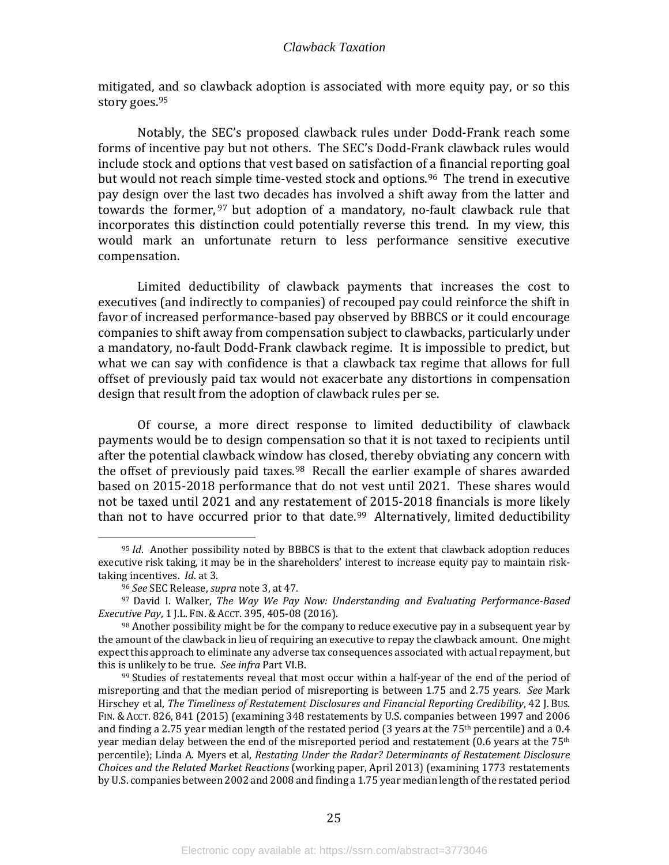mitigated, and so clawback adoption is associated with more equity pay, or so this story goes. [95](#page-27-0)

Notably, the SEC's proposed clawback rules under Dodd-Frank reach some forms of incentive pay but not others. The SEC's Dodd-Frank clawback rules would include stock and options that vest based on satisfaction of a financial reporting goal but would not reach simple time-vested stock and options.<sup>96</sup> The trend in executive pay design over the [las](#page-27-2)t two decades has involved a shift away from the latter and towards the former, <sup>97</sup> but adoption of a mandatory, no-fault clawback rule that incorporates this distinction could potentially reverse this trend. In my view, this would mark an unfortunate return to less performance sensitive executive compensation.

Limited deductibility of clawback payments that increases the cost to executives (and indirectly to companies) of recouped pay could reinforce the shift in favor of increased performance-based pay observed by BBBCS or it could encourage companies to shift away from compensation subject to clawbacks, particularly under a mandatory, no-fault Dodd-Frank clawback regime. It is impossible to predict, but what we can say with confidence is that a clawback tax regime that allows for full offset of previously paid tax would not exacerbate any distortions in compensation design that result from the adoption of clawback rules per se.

Of course, a more direct response to limited deductibility of clawback payments would be to design compensation so that it is not taxed to recipients until after the potential clawback window has closed, thereby obviating any concern with the offset of previously paid taxes.<sup>[98](#page-27-3)</sup> Recall the earlier example of shares awarded based on 2015-2018 performance that do not vest until 2021. These shares would not be taxed until 2021 and any restatement of 2015-2018 financials is more likely than not to have occurred prior to that date.<sup>[99](#page-27-4)</sup> Alternatively, limited deductibility

<span id="page-27-0"></span><sup>95</sup> *Id*. Another possibility noted by BBBCS is that to the extent that clawback adoption reduces executive risk taking, it may be in the shareholders' interest to increase equity pay to maintain risk-<br>taking incentives. *Id*. at 3.

<sup>&</sup>lt;sup>96</sup> See SEC Release, *supra* note 3, at 47.

<span id="page-27-2"></span><span id="page-27-1"></span><sup>97</sup> David I. Walker, *The Way We Pay Now: Understanding and Evaluating Performance-Based Executive Pay*, 1 J.L. FIN. & ACCT. 395, 405-08 (2016).

<span id="page-27-3"></span> $98$  Another possibility might be for the company to reduce executive pay in a subsequent year by the amount of the clawback in lieu of requiring an executive to repay the clawback amount. One might expect this approach to eliminate any adverse tax consequences associated with actual repayment, but this is unlikely to be true. *See infra* Part VI.B.

<span id="page-27-4"></span><sup>&</sup>lt;sup>99</sup> Studies of restatements reveal that most occur within a half-year of the end of the period of misreporting and that the median period of misreporting is between 1.75 and 2.75 years. *See* Mark Hirschey et al, *The Timeliness of Restatement Disclosures and Financial Reporting Credibility*, 42 J. BUS. FIN. & ACCT. 826, 841 (2015) (examining 348 restatements by U.S. companies between 1997 and 2006 and finding a 2.75 year median length of the restated period (3 years at the  $75<sup>th</sup>$  percentile) and a 0.4 year median delay between the end of the misreported period and restatement  $(0.6 \text{ years at the } 75^{\text{th}})$ percentile); Linda A. Myers et al, *Restating Under the Radar? Determinants of Restatement Disclosure Choices and the Related Market Reactions* (working paper, April 2013) (examining 1773 restatements by U.S. companies between 2002 and 2008 and finding a 1.75 year median length of the restated period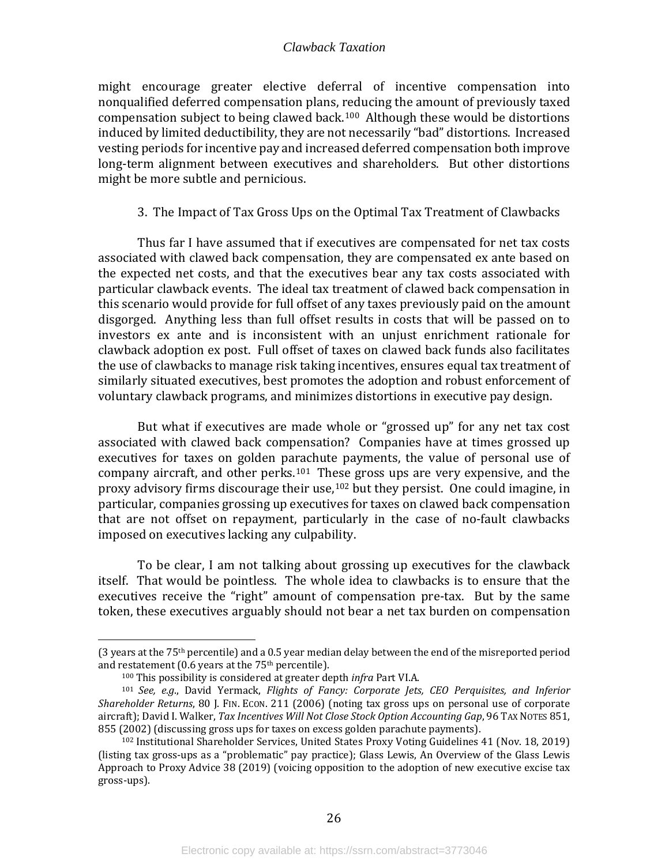might encourage greater elective deferral of incentive compensation into nonqualified deferred compensation plans, reducing the amount of previously taxed compensation subject to being clawed back.[100](#page-28-1) Although these would be distortions induced by limited deductibility, they are not necessarily "bad" distortions. Increased vesting periods for incentive pay and increased deferred compensation both improve long-term alignment between executives and shareholders. But other distortions might be more subtle and pernicious.

#### 3. The Impact of Tax Gross Ups on the Optimal Tax Treatment of Clawbacks

<span id="page-28-0"></span>Thus far I have assumed that if executives are compensated for net tax costs associated with clawed back compensation, they are compensated ex ante based on the expected net costs, and that the executives bear any tax costs associated with particular clawback events. The ideal tax treatment of clawed back compensation in this scenario would provide for full offset of any taxes previously paid on the amount disgorged. Anything less than full offset results in costs that will be passed on to investors ex ante and is inconsistent with an unjust enrichment rationale for clawback adoption ex post. Full offset of taxes on clawed back funds also facilitates the use of clawbacks to manage risk taking incentives, ensures equal tax treatment of similarly situated executives, best promotes the adoption and robust enforcement of voluntary clawback programs, and minimizes distortions in executive pay design.

But what if executives are made whole or "grossed up" for any net tax cost associated with clawed back compensation? Companies have at times grossed up executives for taxes on golden parachute payments, the value of personal use of company aircraft, and other perks. $101$  Th[ese](#page-28-3) gross ups are very expensive, and the proxy advisory firms discourage their use,  $102$  but they persist. One could imagine, in particular, companies grossing up executives for taxes on clawed back compensation that are not offset on repayment, particularly in the case of no-fault clawbacks imposed on executives lacking any culpability.

To be clear, I am not talking about grossing up executives for the clawback itself. That would be pointless. The whole idea to clawbacks is to ensure that the executives receive the "right" amount of compensation pre-tax. But by the same token, these executives arguably should not bear a net tax burden on compensation

<sup>(3</sup> years at the 75th percentile) and a 0.5 year median delay between the end of the misreported period and restatement (0.6 years at the  $75<sup>th</sup>$  percentile).

<sup>100</sup> This possibility is considered at greater depth *infra* Part VI.A.

<span id="page-28-2"></span><span id="page-28-1"></span><sup>101</sup> *See, e.g*., David Yermack, *Flights of Fancy: Corporate Jets, CEO Perquisites, and Inferior Shareholder Returns*, 80 J. FIN. ECON. 211 (2006) (noting tax gross ups on personal use of corporate aircraft); David I. Walker, *Tax Incentives Will Not Close Stock Option Accounting Gap*, 96 TAX NOTES 851, 855 (2002) (discussing gross ups for taxes on excess golden parachute payments).

<span id="page-28-3"></span><sup>102</sup> Institutional Shareholder Services, United States Proxy Voting Guidelines 41 (Nov. 18, 2019) (listing tax gross-ups as a "problematic" pay practice); Glass Lewis, An Overview of the Glass Lewis Approach to Proxy Advice 38 (2019) (voicing opposition to the adoption of new executive excise tax gross-ups).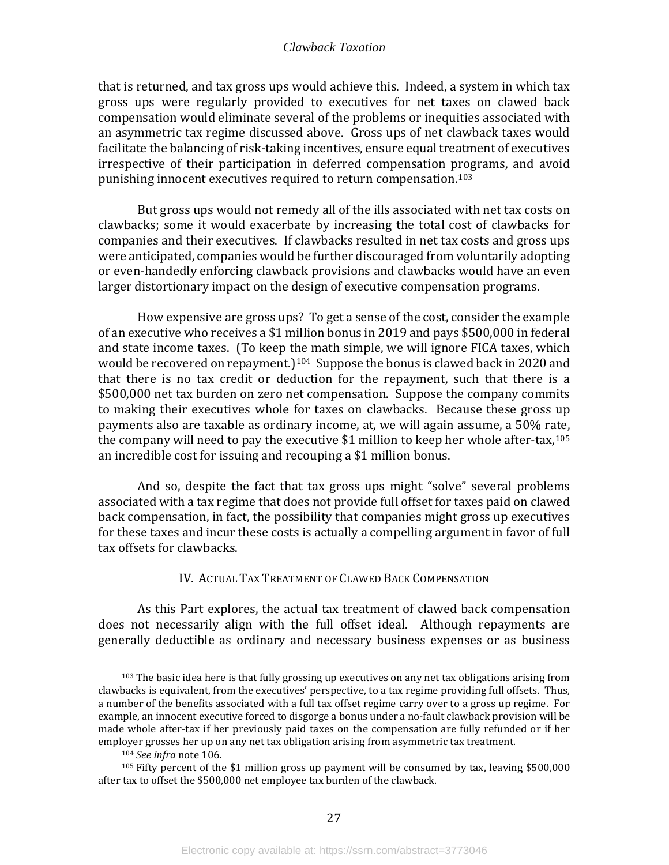that is returned, and tax gross ups would achieve this. Indeed, a system in which tax gross ups were regularly provided to executives for net taxes on clawed back compensation would eliminate several of the problems or inequities associated with an asymmetric tax regime discussed above. Gross ups of net clawback taxes would facilitate the balancing of risk-taking incentives, ensure equal treatment of executives irrespective of their participation in deferred compensation programs, and avoid punishing innocent executives required to return compensation.[103](#page-29-1)

But gross ups would not remedy all of the ills associated with net tax costs on clawbacks; some it would exacerbate by increasing the total cost of clawbacks for companies and their executives. If clawbacks resulted in net tax costs and gross ups were anticipated, companies would be further discouraged from voluntarily adopting or even-handedly enforcing clawback provisions and clawbacks would have an even larger distortionary impact on the design of executive compensation programs.

How expensive are gross ups? To get a sense of the cost, consider the example of an executive who receives a \$1 million bonus in 2019 and pays \$500,000 in federal and state income taxes. (To keep the math simple, we will ignore FICA taxes, which would be recovered on repayment.)<sup>104</sup> Suppose the bonus is clawed back in 2020 and that there is no tax credit or deduction for the repayment, such that there is a \$500,000 net tax burden on zero net compensation. Suppose the company commits to making their executives whole for taxes on clawbacks. Because these gross up payments also are taxable as ordinary income, at, we will again assume, a 50% rate, the company will need to pay the executive \$1 million to keep her whole after-tax,<sup>[105](#page-29-3)</sup> an incredible cost for issuing and recouping a \$1 million bonus.

And so, despite the fact that tax gross ups might "solve" several problems associated with a tax regime that does not provide full offset for taxes paid on clawed back compensation, in fact, the possibility that companies might gross up executives for these taxes and incur these costs is actually a compelling argument in favor of full tax offsets for clawbacks.

#### IV. ACTUAL TAX TREATMENT OF CLAWED BACK COMPENSATION

<span id="page-29-0"></span>As this Part explores, the actual tax treatment of clawed back compensation does not necessarily align with the full offset ideal. Although repayments are generally deductible as ordinary and necessary business expenses or as business

<span id="page-29-1"></span><sup>&</sup>lt;sup>103</sup> The basic idea here is that fully grossing up executives on any net tax obligations arising from clawbacks is equivalent, from the executives' perspective, to a tax regime providing full offsets. Thus, a number of the benefits associated with a full tax offset regime carry over to a gross up regime. For example, an innocent executive forced to disgorge a bonus under a no-fault clawback provision will be made whole after-tax if her previously paid taxes on the compensation are fully refunded or if her employer grosses her up on any net tax obligation arising from asymmetric tax treatment.

<sup>104</sup> *See infra* note 106.

<span id="page-29-3"></span><span id="page-29-2"></span> $105$  Fifty percent of the \$1 million gross up payment will be consumed by tax, leaving \$500,000 after tax to offset the \$500,000 net employee tax burden of the clawback.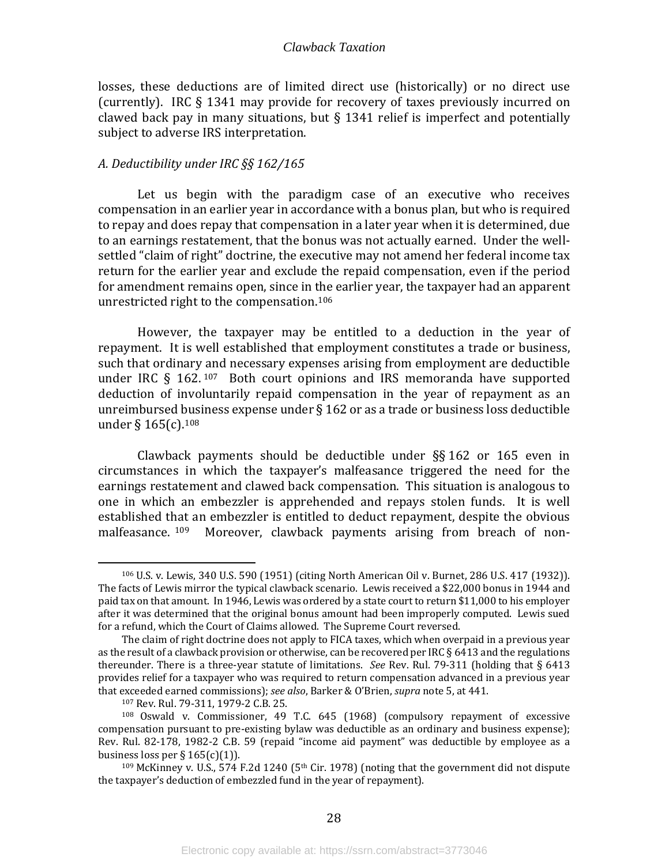losses, these deductions are of limited direct use (historically) or no direct use (currently). IRC § 1341 may provide for recovery of taxes previously incurred on clawed back pay in many situations, but § 1341 relief is imperfect and potentially subject to adverse IRS interpretation.

#### <span id="page-30-0"></span>*A. Deductibility under IRC §§ 162/165*

Let us begin with the paradigm case of an executive who receives compensation in an earlier year in accordance with a bonus plan, but who is required to repay and does repay that compensation in a later year when it is determined, due to an earnings restatement, that the bonus was not actually earned. Under the wellsettled "claim of right" doctrine, the executive may not amend her federal income tax return for the earlier year and exclude the repaid compensation, even if the period for amendment remains open, since in the earlier year, the taxpayer had an apparent unrestricted right to the compensation. [106](#page-30-1) 

However, the taxpayer may be entitled to a deduction in the year of repayment. It is well established that employment constitutes a trade or business, such that ordinary and necessary expenses arising from employment are deductible under IRC § 162. [107](#page-30-2) Both court opinions and IRS memoranda have supported deduction of involuntarily repaid compensation in the year of repayment as an unreimbursed business expense under § 162 or as a trade or business loss deductible under §  $165(c)$ .  $108$ 

Clawback payments should be deductible under §§ 162 or 165 even in circumstances in which the taxpayer's malfeasance triggered the need for the earnings restatement and clawed back compensation. This situation is analogous to one in which an embezzler is apprehended and repays stolen funds. It is well established that an embezzler is entitled to deduct repayment, despite the obvious malfeasance. <sup>109</sup> Moreover, clawback payments arising from breach of non-Moreover, clawback payments arising from breach of non-

<span id="page-30-1"></span><sup>106</sup> U.S. v. Lewis, 340 U.S. 590 (1951) (citing North American Oil v. Burnet, 286 U.S. 417 (1932)). The facts of Lewis mirror the typical clawback scenario. Lewis received a \$22,000 bonus in 1944 and paid tax on that amount. In 1946, Lewis was ordered by a state court to return \$11,000 to his employer after it was determined that the original bonus amount had been improperly computed. Lewis sued for a refund, which the Court of Claims allowed. The Supreme Court reversed.

The claim of right doctrine does not apply to FICA taxes, which when overpaid in a previous year as the result of a clawback provision or otherwise, can be recovered per IRC § 6413 and the regulations thereunder. There is a three-year statute of limitations. *See* Rev. Rul. 79-311 (holding that § 6413 provides relief for a taxpayer who was required to return compensation advanced in a previous year that exceeded earned commissions); *see also*, Barker & O'Brien, *supra* note 5, at 441.

<sup>107</sup> Rev. Rul. 79-311, 1979-2 C.B. 25.

<span id="page-30-3"></span><span id="page-30-2"></span><sup>108</sup> Oswald v. Commissioner, 49 T.C. 645 (1968) (compulsory repayment of excessive compensation pursuant to pre-existing bylaw was deductible as an ordinary and business expense); Rev. Rul. 82-178, 1982-2 C.B. 59 (repaid "income aid payment" was deductible by employee as a business loss per § 165(c)(1)).

<span id="page-30-4"></span> $109$  McKinney v. U.S., 574 F.2d 1240 (5<sup>th</sup> Cir. 1978) (noting that the government did not dispute the taxpayer's deduction of embezzled fund in the year of repayment).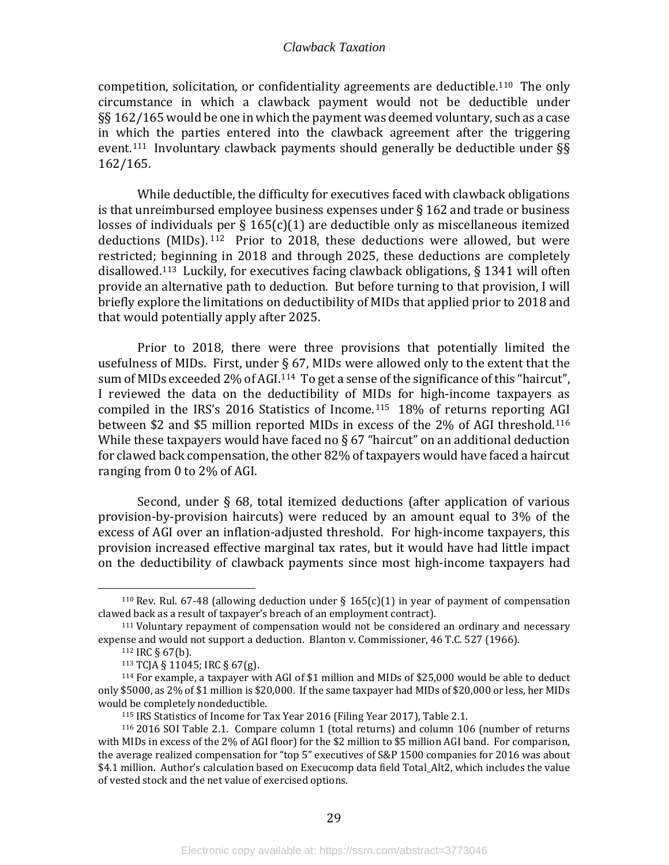competition, solicitation, or confidentiality agreements are deductible.[110](#page-31-0) The only circumstance in which a clawback payment would not be deductible under §§ 162/165 would be one in which the payment was deemed voluntary, such as a case in which the parties entered into the clawback agreement after the triggering event.<sup>111</sup> Involuntary clawback payments should generally be deductible under  $\S$ 162/165.

While deductible, the difficulty for executives faced with clawback obligations is that unreimbursed employee business expenses under § 162 and trade or business losses of individuals per  $\S 165(c)(1)$  are deductible only as miscellaneous itemized deductions (MIDs). [112](#page-31-2) Prior to 2018, these deductions were allowed, but were restricted; beginning in 2018 and through 2025, these deductions are completely disallowed. [113](#page-31-3) Luckily, for executives facing clawback obligations, § 1341 will often provide an alternative path to deduction. But before turning to that provision, I will briefly explore the limitations on deductibility of MIDs that applied prior to 2018 and that would potentially apply after 2025.

Prior to 2018, there were three provisions that potentially limited the usefulness of MIDs. First, under § 67, MIDs were allowed only to the extent that the sum of MIDs exceeded 2% of AGI.<sup>114</sup> To get a sense of the significance of this "haircut", I reviewed the data on the deductibility of MIDs for high-income taxpayers as compiled in the IRS's 2016 Statistics of Income.[115](#page-31-5) 18% of returns reporting [AGI](#page-31-6) between \$2 and \$5 million reported MIDs in excess of the 2% of AGI threshold.116 While these taxpayers would have faced no  $\S 67$  "haircut" on an additional deduction for clawed back compensation, the other 82% of taxpayers would have faced a haircut ranging from 0 to 2% of AGI.

Second, under § 68, total itemized deductions (after application of various provision-by-provision haircuts) were reduced by an amount equal to 3% of the excess of AGI over an inflation-adjusted threshold. For high-income taxpayers, this provision increased effective marginal tax rates, but it would have had little impact on the deductibility of clawback payments since most high-income taxpayers had

<span id="page-31-0"></span><sup>&</sup>lt;sup>110</sup> Rev. Rul. 67-48 (allowing deduction under  $\S$  165(c)(1) in year of payment of compensation clawed back as a result of taxpayer's breach of an employment contract).

<span id="page-31-2"></span><span id="page-31-1"></span><sup>111</sup> Voluntary repayment of compensation would not be considered an ordinary and necessary expense and would not support a deduction. Blanton v. Commissioner, 46 T.C. 527 (1966).

<sup>112</sup> IRC § 67(b).

<sup>113</sup> TCJA § 11045; IRC § 67(g).

<span id="page-31-4"></span><span id="page-31-3"></span><sup>&</sup>lt;sup>114</sup> For example, a taxpayer with AGI of \$1 million and MIDs of \$25,000 would be able to deduct only \$5000, as 2% of \$1 million is \$20,000. If the same taxpayer had MIDs of \$20,000 or less, her MIDs would be completely nondeductible.

<sup>115</sup> IRS Statistics of Income for Tax Year 2016 (Filing Year 2017), Table 2.1.

<span id="page-31-6"></span><span id="page-31-5"></span><sup>116</sup> 2016 SOI Table 2.1. Compare column 1 (total returns) and column 106 (number of returns with MIDs in excess of the 2% of AGI floor) for the \$2 million to \$5 million AGI band. For comparison, the average realized compensation for "top 5" executives of S&P 1500 companies for 2016 was about \$4.1 million. Author's calculation based on Execucomp data field Total Alt2, which includes the value of vested stock and the net value of exercised options.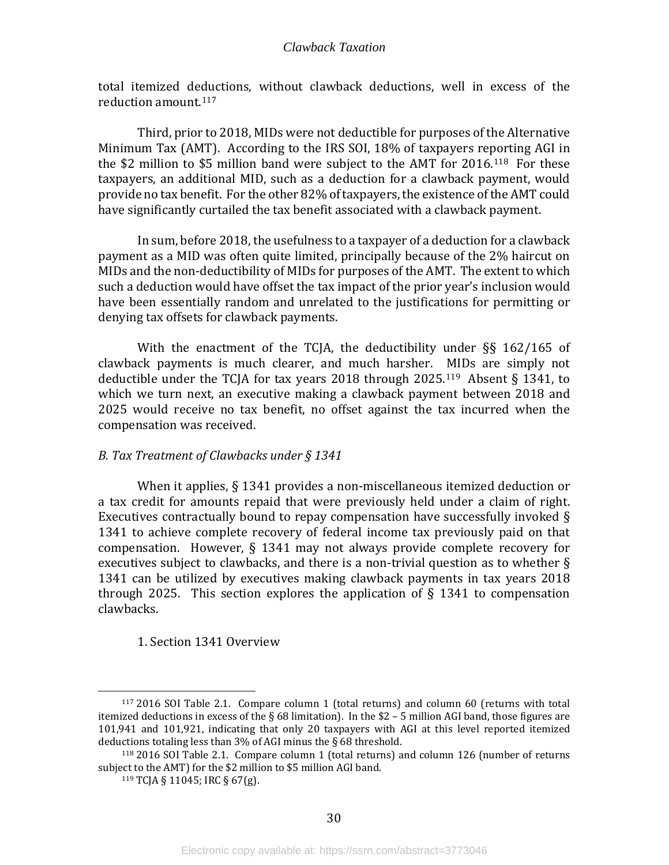total itemized deductions, without clawback deductions, well in excess of the reduction amount.[117](#page-32-2)

Third, prior to 2018, MIDs were not deductible for purposes of the Alternative Minimum Tax (AMT). According to the IRS SOI, 18% of taxpayers reporting AGI in the \$2 million to \$5 million band were subject to the AMT for 2016.[118](#page-32-3) For these taxpayers, an additional MID, such as a deduction for a clawback payment, would provide no tax benefit. For the other 82% of taxpayers, the existence of the AMT could have significantly curtailed the tax benefit associated with a clawback payment.

In sum, before 2018, the usefulness to a taxpayer of a deduction for a clawback payment as a MID was often quite limited, principally because of the 2% haircut on MIDs and the non-deductibility of MIDs for purposes of the AMT. The extent to which such a deduction would have offset the tax impact of the prior year's inclusion would have been essentially random and unrelated to the justifications for permitting or denying tax offsets for clawback payments.

With the enactment of the TCJA, the deductibility under §§ 162/165 of clawback payments is much clearer, and much harsher. MIDs are simply not deductible under the TCJA for tax years 2018 through 2025.<sup>[119](#page-32-4)</sup> Absent § 1341, to which we turn next, an executive making a clawback payment between 2018 and 2025 would receive no tax benefit, no offset against the tax incurred when the compensation was received.

#### <span id="page-32-0"></span>*B. Tax Treatment of Clawbacks under § 1341*

When it applies, § 1341 provides a non-miscellaneous itemized deduction or a tax credit for amounts repaid that were previously held under a claim of right. Executives contractually bound to repay compensation have successfully invoked § 1341 to achieve complete recovery of federal income tax previously paid on that compensation. However, § 1341 may not always provide complete recovery for executives subject to clawbacks, and there is a non-trivial question as to whether § 1341 can be utilized by executives making clawback payments in tax years 2018 through 2025. This section explores the application of  $\S$  1341 to compensation clawbacks.

#### <span id="page-32-1"></span>1. Section 1341 Overview

<span id="page-32-2"></span><sup>117</sup> 2016 SOI Table 2.1. Compare column 1 (total returns) and column 60 (returns with total itemized deductions in excess of the § 68 limitation). In the \$2 – 5 million AGI band, those figures are 101,941 and 101,921, indicating that only 20 taxpayers with AGI at this level reported itemized deductions totaling less than  $3\%$  of AGI minus the § 68 threshold.

<span id="page-32-4"></span><span id="page-32-3"></span> $118$  2016 SOI Table 2.1. Compare column 1 (total returns) and column 126 (number of returns) subject to the AMT) for the \$2 million to \$5 million AGI band.

<sup>119</sup> TCJA § 11045; IRC § 67(g).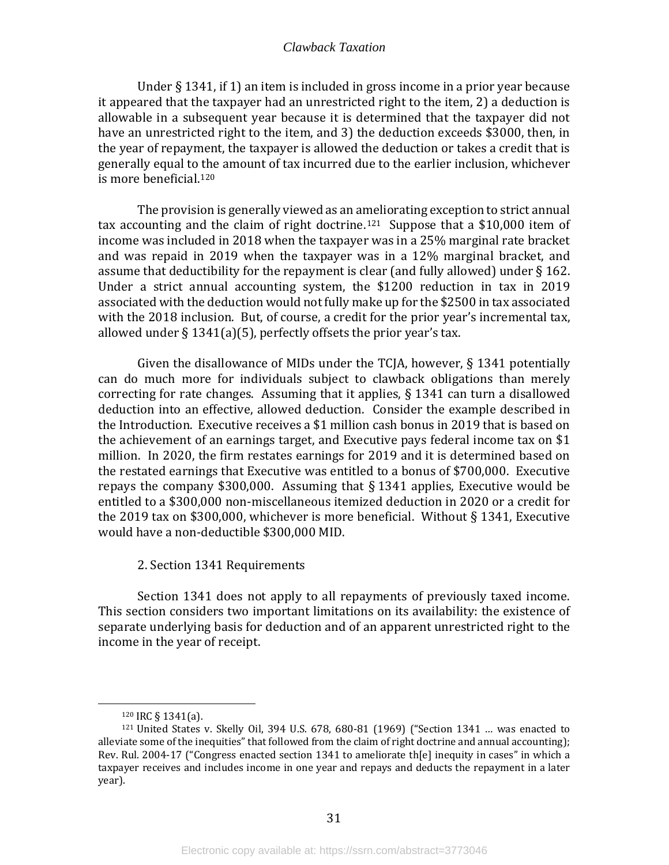Under § 1341, if 1) an item is included in gross income in a prior year because it appeared that the taxpayer had an unrestricted right to the item, 2) a deduction is allowable in a subsequent year because it is determined that the taxpayer did not have an unrestricted right to the item, and 3) the deduction exceeds \$3000, then, in the year of repayment, the taxpayer is allowed the deduction or takes a credit that is generally equal to the amount of tax incurred due to the earlier inclusion, whichever is more beneficial.[120](#page-33-1) 

The provision is generally viewed as an ameliorating exception to strict annual tax accounting and the claim of right doctrine.<sup>[121](#page-33-2)</sup> Suppose that a \$10,000 item of income was included in 2018 when the taxpayer was in a 25% marginal rate bracket and was repaid in 2019 when the taxpayer was in a 12% marginal bracket, and assume that deductibility for the repayment is clear (and fully allowed) under § 162. Under a strict annual accounting system, the \$1200 reduction in tax in 2019 associated with the deduction would not fully make up for the \$2500 in tax associated with the 2018 inclusion. But, of course, a credit for the prior year's incremental tax, allowed under  $\S 1341(a)(5)$ , perfectly offsets the prior year's tax.

Given the disallowance of MIDs under the TCJA, however, § 1341 potentially can do much more for individuals subject to clawback obligations than merely correcting for rate changes. Assuming that it applies, § 1341 can turn a disallowed deduction into an effective, allowed deduction. Consider the example described in the Introduction. Executive receives a \$1 million cash bonus in 2019 that is based on the achievement of an earnings target, and Executive pays federal income tax on \$1 million. In 2020, the firm restates earnings for 2019 and it is determined based on the restated earnings that Executive was entitled to a bonus of \$700,000. Executive repays the company \$300,000. Assuming that § 1341 applies, Executive would be entitled to a \$300,000 non-miscellaneous itemized deduction in 2020 or a credit for the 2019 tax on \$300,000, whichever is more beneficial. Without § 1341, Executive would have a non-deductible \$300,000 MID.

2. Section 1341 Requirements

<span id="page-33-0"></span>Section 1341 does not apply to all repayments of previously taxed income. This section considers two important limitations on its availability: the existence of separate underlying basis for deduction and of an apparent unrestricted right to the income in the year of receipt.

<sup>120</sup> IRC § 1341(a).

<span id="page-33-2"></span><span id="page-33-1"></span> $121$  United States v. Skelly Oil, 394 U.S. 678, 680-81 (1969) ("Section 1341 ... was enacted to alleviate some of the inequities" that followed from the claim of right doctrine and annual accounting); Rev. Rul. 2004-17 ("Congress enacted section 1341 to ameliorate th[e] inequity in cases" in which a taxpayer receives and includes income in one year and repays and deducts the repayment in a later year).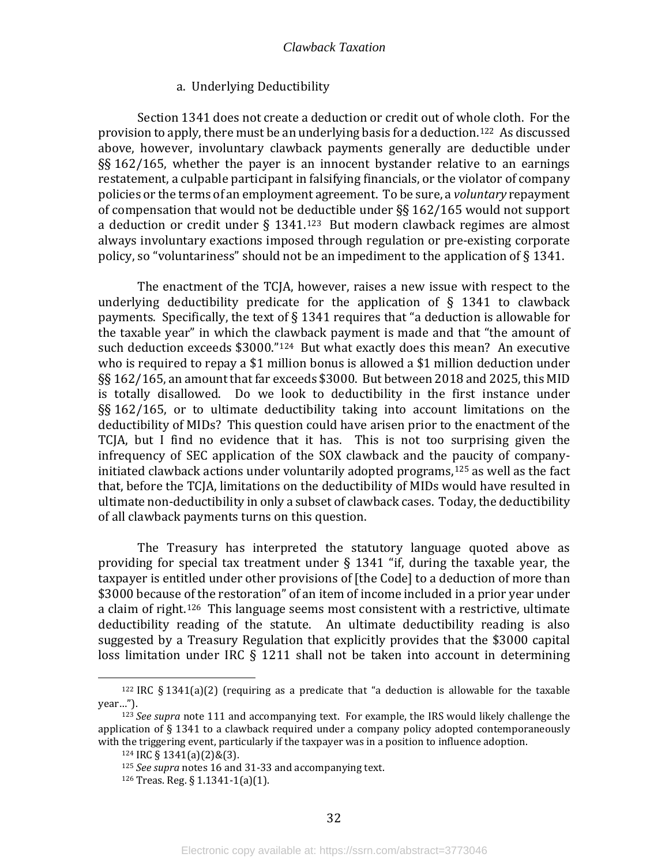#### a. Underlying Deductibility

Section 1341 does not create a deduction or credit out of whole cloth. For the provision to apply, there must be an underlying basis for a deduction.[122](#page-34-0) As discussed above, however, involuntary clawback payments generally are deductible under §§ 162/165, whether the payer is an innocent bystander relative to an earnings restatement, a culpable participant in falsifying financials, or the violator of company policies or the terms of an employment agreement. To be sure, a *voluntary* repayment of compensation that would not be deductible under §§ 162/165 would not support a deduction or credit under  $\S$  1341.<sup>[123](#page-34-1)</sup> But modern clawback regimes are almost always involuntary exactions imposed through regulation or pre-existing corporate policy, so "voluntariness" should not be an impediment to the application of § 1341.

The enactment of the TCJA, however, raises a new issue with respect to the underlying deductibility predicate for the application of  $\S$  1341 to clawback payments. Specifically, the text of § 1341 requires that "a deduction is allowable for the taxable year" in which the clawback payment is made and that "the amount of such deduction exceeds \$3000."<sup>[124](#page-34-2)</sup> But what exactly does this mean? An executive who is required to repay a \$1 million bonus is allowed a \$1 million deduction under §§ 162/165, an amount that far exceeds \$3000. But between 2018 and 2025, this MID is totally disallowed. Do we look to deductibility in the first instance under §§ 162/165, or to ultimate deductibility taking into account limitations on the deductibility of MIDs? This question could have arisen prior to the enactment of the TCJA, but I find no evidence that it has. This is not too surprising given the infrequency of SEC application of the SOX clawback and the paucity of companyinitiated clawback actions under voluntarily adopted programs,[125](#page-34-3) as well as the fact that, before the TCJA, limitations on the deductibility of MIDs would have resulted in ultimate non-deductibility in only a subset of clawback cases. Today, the deductibility of all clawback payments turns on this question.

The Treasury has interpreted the statutory language quoted above as providing for special tax treatment under  $\S$  1341 "if, during the taxable year, the taxpayer is entitled under other provisions of [the Code] to a deduction of more than \$3000 because of the restoration" of an item of income included in a prior year under a claim of right.[126](#page-34-4) This language seems most consistent with a restrictive, ultimate deductibility reading of the statute. An ultimate deductibility reading is also suggested by a Treasury Regulation that explicitly provides that the \$3000 capital loss limitation under IRC § 1211 shall not be taken into account in determining

<span id="page-34-0"></span> $122$  IRC § 1341(a)(2) (requiring as a predicate that "a deduction is allowable for the taxable year…").

<span id="page-34-4"></span><span id="page-34-3"></span><span id="page-34-2"></span><span id="page-34-1"></span><sup>123</sup> *See supra* note 111 and accompanying text. For example, the IRS would likely challenge the application of § 1341 to a clawback required under a company policy adopted contemporaneously with the triggering event, particularly if the taxpayer was in a position to influence adoption.<br><sup>124</sup> IRC § 1341(a)(2)&(3).

<sup>125</sup> *See supra* notes 16 and 31-33 and accompanying text.

<sup>126</sup> Treas. Reg. § 1.1341-1(a)(1).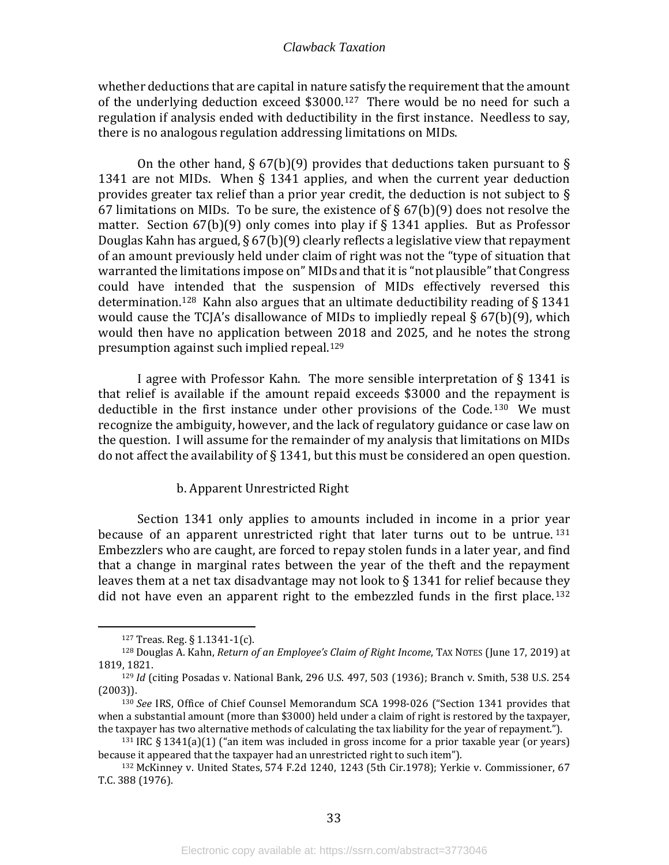whether deductions that are capital in nature satisfy the requirement that the amount of the underlying deduction exceed \$3000.[127](#page-35-0) There would be no need for such a regulation if analysis ended with deductibility in the first instance. Needless to say, there is no analogous regulation addressing limitations on MIDs.

On the other hand, § 67(b)(9) provides that deductions taken pursuant to § 1341 are not MIDs. When § 1341 applies, and when the current year deduction provides greater tax relief than a prior year credit, the deduction is not subject to § 67 limitations on MIDs. To be sure, the existence of  $\S$  67(b)(9) does not resolve the matter. Section  $67(b)(9)$  only comes into play if § 1341 applies. But as Professor Douglas Kahn has argued, § 67(b)(9) clearly reflects a legislative view that repayment of an amount previously held under claim of right was not the "type of situation that warranted the limitations impose on" MIDs and that it is "not plausible" that Congress could have intended that the suspension of MIDs effectively reversed this determination.<sup>[128](#page-35-1)</sup> Kahn also argues that an ultimate deductibility reading of  $\S 1341$ would cause the TCJA's disallowance of MIDs to impliedly repeal § 67(b)(9), which would then have no application between 2018 and 2025, and he notes the strong presumption against such implied repeal.[129](#page-35-2)

I agree with Professor Kahn. The more sensible interpretation of § 1341 is that relief is available if the amount repaid exceeds \$3000 and the repayment is deductible in the first instance under other provisions of the Code.<sup>[130](#page-35-3)</sup> We must recognize the ambiguity, however, and the lack of regulatory guidance or case law on the question. I will assume for the remainder of my analysis that limitations on MIDs do not affect the availability of  $\S$  1341, but this must be considered an open question.

#### b. Apparent Unrestricted Right

Section 1341 only applies to amounts included in income in a prior year because of an apparent unrestricted right that later turns out to be untrue.<sup>[131](#page-35-4)</sup> Embezzlers who are caught, are forced to repay stolen funds in a later year, and find that a change in marginal rates between the year of the theft and the repayment leaves them at a net tax disadvantage may not look to  $\S 1341$  for relief because they did not have even an apparent right to the embezzled funds in the first place.<sup>[132](#page-35-5)</sup>

<sup>127</sup> Treas. Reg. § 1.1341-1(c).

<span id="page-35-1"></span><span id="page-35-0"></span><sup>128</sup> Douglas A. Kahn, *Return of an Employee's Claim of Right Income*, TAX NOTES (June 17, 2019) at 1819, 1821.

<span id="page-35-2"></span><sup>129</sup> *Id* (citing Posadas v. National Bank, 296 U.S. 497, 503 (1936); Branch v. Smith, 538 U.S. 254 (2003)).

<span id="page-35-3"></span><sup>130</sup> *See* IRS, Office of Chief Counsel Memorandum SCA 1998-026 ("Section 1341 provides that when a substantial amount (more than \$3000) held under a claim of right is restored by the taxpayer, the taxpayer has two alternative methods of calculating the tax liability for the year of repayment.").

<span id="page-35-4"></span> $131$  IRC § 1341(a)(1) ("an item was included in gross income for a prior taxable year (or years) because it appeared that the taxpayer had an unrestricted right to such item").

<span id="page-35-5"></span><sup>132</sup> McKinney v. United States, [574 F.2d 1240, 1243](https://www.bloomberglaw.com/product/blaw/bc/W1siRG9jdW1lbnQiLCIvcHJvZHVjdC9ibGF3L2RvY3VtZW50L1gzRklHST9kb2NfaWQ9WDNGSUdJJmRvY190eXBlPU9QSU5JT05TJnJlbW92ZV9qcz1mYWxzZSJdXQ--e83f408202dfedb5c0fc6056b03eaebad47877e7/document/X3OQ9R?jcsearch=574%20f.2d%201240&summary=yes#jcite) (5th Cir.1978); Yerkie v. Commissioner, 67 T.C. 388 (1976).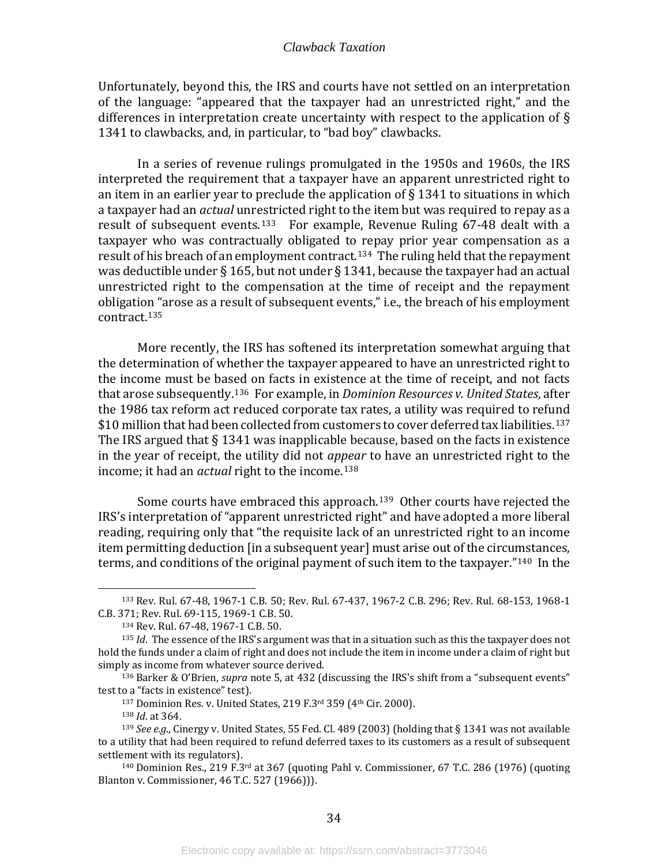Unfortunately, beyond this, the IRS and courts have not settled on an interpretation of the language: "appeared that the taxpayer had an unrestricted right," and the differences in interpretation create uncertainty with respect to the application of § 1341 to clawbacks, and, in particular, to "bad boy" clawbacks.

In a series of revenue rulings promulgated in the 1950s and 1960s, the IRS interpreted the requirement that a taxpayer have an apparent unrestricted right to an item in an earlier year to preclude the application of  $\S$  1341 to situations in which a taxpayer had an *actual* unrestricted right to the item but was required to repay as a result of subsequent events.<sup>[133](#page-36-0)</sup> For example, Revenue Ruling 67-48 dealt with a taxpayer who was contractually obligated to repay prior year compensation as a result of his breach of an employment contract.<sup>134</sup> The ruling held that the repayment was deductible under § 165, but not under § 1341, because the taxpayer had an actual unrestricted right to the compensation at the time of receipt and the repayment obligation "arose as a result of subsequent events," i.e., the breach of his employment contract.[135](#page-36-2) 

More recently, the IRS has softened its interpretation somewhat arguing that the determination of whether the taxpayer appeared to have an unrestricted right to the income must be based on facts in existence at the time of receipt, and not facts that arose subsequently.[136](#page-36-3) For example, in *Dominion Resources v. United States*, after the 1986 tax reform act reduced corporate tax rates, a utility was required to refund \$10 million that had been collected from customers to cover deferred tax liabilities.<sup>[137](#page-36-4)</sup> The IRS argued that § 1341 was inapplicable because, based on the facts in existence in the year of receipt, the utility did not *appear* to have an unrestricted right to the income; it had an *actual* right to the income.<sup>[138](#page-36-5)</sup>

Some courts have embraced this approach. <sup>139</sup> Other courts have rejected the IRS's interpretation of "apparent unrestricted righ[t" a](#page-36-6)nd have adopted a more liberal reading, requiring only that "the requisite lack of an unrestricted right to an income item permitting deduction [in a subsequent year] must arise out of the circumstances, terms, and conditions of the original payment of such item to the taxpayer."[140](#page-36-7) In the

<span id="page-36-0"></span><sup>133</sup> Rev. Rul. 67-48, 1967-1 C.B. 50; Rev. Rul. 67-437, 1967-2 C.B. 296; Rev. Rul. 68-153, 1968-1 C.B. 371; Rev. Rul. 69-115, 1969-1 C.B. 50.

<sup>134</sup> Rev. Rul. 67-48, 1967-1 C.B. 50.

<span id="page-36-2"></span><span id="page-36-1"></span><sup>135</sup> *Id*. The essence of the IRS's argument was that in a situation such as this the taxpayer does not hold the funds under a claim of right and does not include the item in income under a claim of right but simply as income from whatever source derived.

<span id="page-36-3"></span><sup>136</sup> Barker & O'Brien, *supra* note 5, at 432 (discussing the IRS's shift from a "subsequent events" test to a "facts in existence" test).

<sup>137</sup> Dominion Res. v. United States, 219 F.3rd 359 (4th Cir. 2000).

<sup>138</sup> *Id*. at 364.

<span id="page-36-6"></span><span id="page-36-5"></span><span id="page-36-4"></span><sup>139</sup> *See e.g*., Cinergy v. United States, 55 Fed. Cl. 489 (2003) (holding that § 1341 was not available to a utility that had been required to refund deferred taxes to its customers as a result of subsequent settlement with its regulators).

<span id="page-36-7"></span> $140$  Dominion Res., 219 F.3rd at 367 (quoting Pahl v. Commissioner, 67 T.C. 286 (1976) (quoting Blanton v. Commissioner, 46 T.C. 527 (1966))).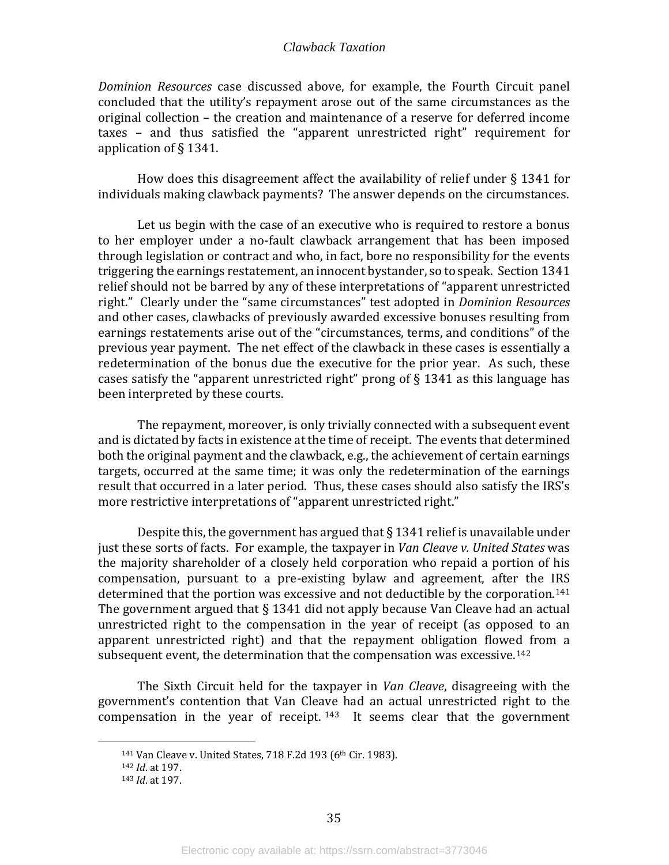*Dominion Resources* case discussed above, for example, the Fourth Circuit panel concluded that the utility's repayment arose out of the same circumstances as the original collection – the creation and maintenance of a reserve for deferred income taxes – and thus satisfied the "apparent unrestricted right" requirement for application of § 1341.

How does this disagreement affect the availability of relief under § 1341 for individuals making clawback payments? The answer depends on the circumstances.

Let us begin with the case of an executive who is required to restore a bonus to her employer under a no-fault clawback arrangement that has been imposed through legislation or contract and who, in fact, bore no responsibility for the events triggering the earnings restatement, an innocent bystander, so to speak. Section 1341 relief should not be barred by any of these interpretations of "apparent unrestricted right." Clearly under the "same circumstances" test adopted in *Dominion Resources* and other cases, clawbacks of previously awarded excessive bonuses resulting from earnings restatements arise out of the "circumstances, terms, and conditions" of the previous year payment. The net effect of the clawback in these cases is essentially a redetermination of the bonus due the executive for the prior year. As such, these cases satisfy the "apparent unrestricted right" prong of § 1341 as this language has been interpreted by these courts.

The repayment, moreover, is only trivially connected with a subsequent event and is dictated by facts in existence at the time of receipt. The events that determined both the original payment and the clawback, e.g., the achievement of certain earnings targets, occurred at the same time; it was only the redetermination of the earnings result that occurred in a later period. Thus, these cases should also satisfy the IRS's more restrictive interpretations of "apparent unrestricted right."

Despite this, the government has argued that  $\S 1341$  relief is unavailable under just these sorts of facts. For example, the taxpayer in *Van Cleave v. United States* was the majority shareholder of a closely held corporation who repaid a portion of his compensation, pursuant to a pre-existing bylaw and agreement, after the IRS determined that the portion was excessive and not deductible by the corporation.[141](#page-37-0) The government argued that § 1341 did not apply because Van Cleave had an actual unrestricted right to the compensation in the year of receipt (as opposed to an apparent unrestricted right) and that the repayment obligation flowed from a subsequent event, the determination that the compensation was excessive.<sup>[142](#page-37-1)</sup>

<span id="page-37-0"></span>The Sixth Circuit held for the taxpayer in *Van Cleave*, disagreeing with the government's contention that Van Cleave had an actual unrestricted right to the compensation in the year of receipt.  $143$  It seems clear that the government

<sup>&</sup>lt;sup>141</sup> Van Cleave v. United States, 718 F.2d 193 (6<sup>th</sup> Cir. 1983).

<span id="page-37-2"></span><span id="page-37-1"></span><sup>142</sup> *Id*. at 197.

<sup>143</sup> *Id*. at 197.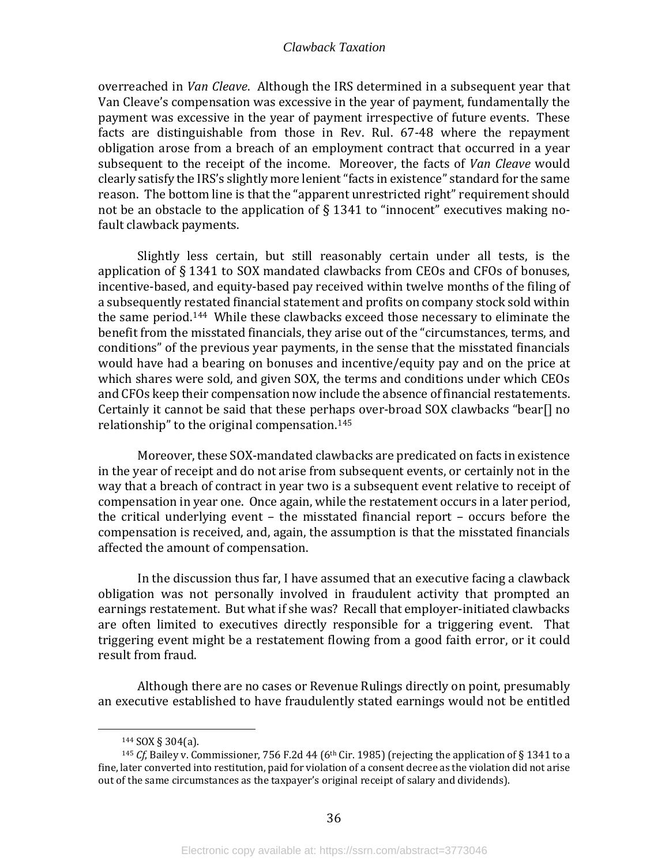overreached in *Van Cleave*. Although the IRS determined in a subsequent year that Van Cleave's compensation was excessive in the year of payment, fundamentally the payment was excessive in the year of payment irrespective of future events. These facts are distinguishable from those in Rev. Rul. 67-48 where the repayment obligation arose from a breach of an employment contract that occurred in a year subsequent to the receipt of the income. Moreover, the facts of *Van Cleave* would clearly satisfy the IRS's slightly more lenient "facts in existence" standard for the same reason. The bottom line is that the "apparent unrestricted right" requirement should not be an obstacle to the application of § 1341 to "innocent" executives making nofault clawback payments.

Slightly less certain, but still reasonably certain under all tests, is the application of § 1341 to SOX mandated clawbacks from CEOs and CFOs of bonuses, incentive-based, and equity-based pay received within twelve months of the filing of a subsequently restated financial statement and profits on company stock sold within the same period.[144](#page-38-0) While these clawbacks exceed those necessary to eliminate the benefit from the misstated financials, they arise out of the "circumstances, terms, and conditions" of the previous year payments, in the sense that the misstated financials would have had a bearing on bonuses and incentive/equity pay and on the price at which shares were sold, and given SOX, the terms and conditions under which CEOs and CFOs keep their compensation now include the absence of financial restatements. Certainly it cannot be said that these perhaps over-broad SOX clawbacks "bear[] no relationship" to the original compensation.[145](#page-38-1) 

Moreover, these SOX-mandated clawbacks are predicated on facts in existence in the year of receipt and do not arise from subsequent events, or certainly not in the way that a breach of contract in year two is a subsequent event relative to receipt of compensation in year one. Once again, while the restatement occurs in a later period, the critical underlying event – the misstated financial report – occurs before the compensation is received, and, again, the assumption is that the misstated financials affected the amount of compensation.

In the discussion thus far, I have assumed that an executive facing a clawback obligation was not personally involved in fraudulent activity that prompted an earnings restatement. But what if she was? Recall that employer-initiated clawbacks are often limited to executives directly responsible for a triggering event. That triggering event might be a restatement flowing from a good faith error, or it could result from fraud.

Although there are no cases or Revenue Rulings directly on point, presumably an executive established to have fraudulently stated earnings would not be entitled

<sup>144</sup> SOX § 304(a).

<span id="page-38-1"></span><span id="page-38-0"></span><sup>&</sup>lt;sup>145</sup> *Cf*, Bailey v. Commissioner, 756 F.2d 44 (6<sup>th</sup> Cir. 1985) (rejecting the application of § 1341 to a fine, later converted into restitution, paid for violation of a consent decree as the violation did not arise out of the same circumstances as the taxpayer's original receipt of salary and dividends).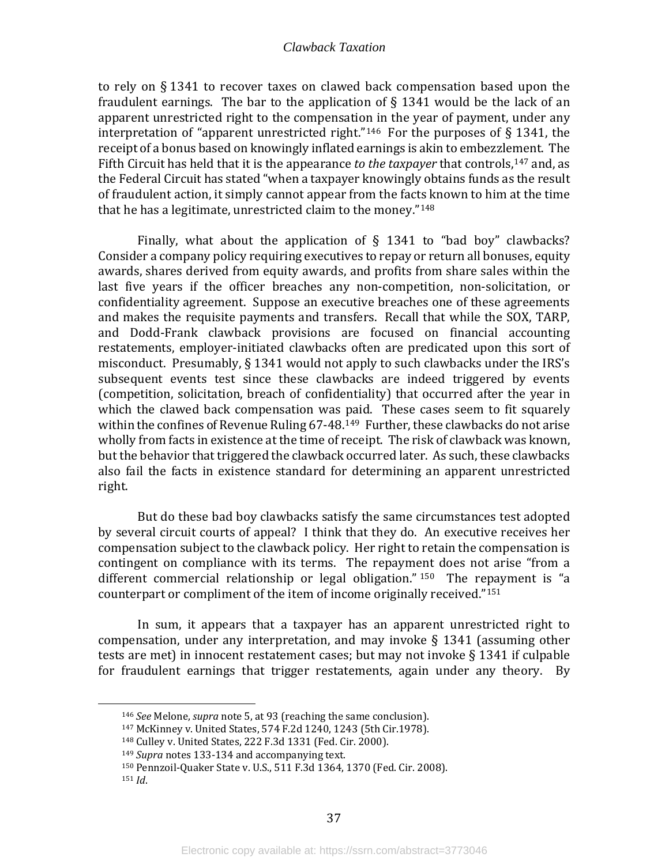to rely on § 1341 to recover taxes on clawed back compensation based upon the fraudulent earnings. The bar to the application of  $\S$  1341 would be the lack of an apparent unrestricted right to the compensation in the year of payment, under any interpretation of "apparent unrestricted right."<sup>146</sup> For the purposes of  $\S$  1341, the receipt of a bonus based on knowingly inflated earnings is akin to embezzlement. The Fifth Circuit has held that it is the appearance *to the taxpayer* that controls,[147](#page-39-1) and, as the Federal Circuit has stated "when a taxpayer knowingly obtains funds as the result of fraudulent action, it simply cannot appear from the facts known to him at the time that he has a legitimate, unrestricted claim to the money."[148](#page-39-2)

Finally, what about the application of  $\S$  1341 to "bad boy" clawbacks? Consider a company policy requiring executives to repay or return all bonuses, equity awards, shares derived from equity awards, and profits from share sales within the last five years if the officer breaches any non-competition, non-solicitation, or confidentiality agreement. Suppose an executive breaches one of these agreements and makes the requisite payments and transfers. Recall that while the SOX, TARP, and Dodd-Frank clawback provisions are focused on financial accounting restatements, employer-initiated clawbacks often are predicated upon this sort of misconduct. Presumably, § 1341 would not apply to such clawbacks under the IRS's subsequent events test since these clawbacks are indeed triggered by events (competition, solicitation, breach of confidentiality) that occurred after the year in which the clawed back compensation was paid. These cases seem to fit squarely within the confines of Revenue Ruling 67-48.<sup>[149](#page-39-3)</sup> Further, these clawbacks do not arise wholly from facts in existence at the time of receipt. The risk of clawback was known, but the behavior that triggered the clawback occurred later. As such, these clawbacks also fail the facts in existence standard for determining an apparent unrestricted right.

But do these bad boy clawbacks satisfy the same circumstances test adopted by several circuit courts of appeal? I think that they do. An executive receives her compensation subject to the clawback policy. Her right to retain the compensation is contingent on compliance with its terms. The repaym[ent](#page-39-4) does not arise "from a different commercial relationship or legal obligation." <sup>150</sup> The repayment is "a counterpart or compliment of the item of income originally received."[151](#page-39-5)

In sum, it appears that a taxpayer has an apparent unrestricted right to compensation, under any interpretation, and may invoke § 1341 (assuming other tests are met) in innocent restatement cases; but may not invoke § 1341 if culpable for fraudulent earnings that trigger restatements, again under any theory. By

<sup>146</sup> *See* Melone, *supra* note 5, at 93 (reaching the same conclusion).

<span id="page-39-0"></span><sup>147</sup> McKinney v. United States, [574 F.2d 1240, 1243](https://www.bloomberglaw.com/product/blaw/bc/W1siRG9jdW1lbnQiLCIvcHJvZHVjdC9ibGF3L2RvY3VtZW50L1gzRklHST9kb2NfaWQ9WDNGSUdJJmRvY190eXBlPU9QSU5JT05TJnJlbW92ZV9qcz1mYWxzZSJdXQ--e83f408202dfedb5c0fc6056b03eaebad47877e7/document/X3OQ9R?jcsearch=574%20f.2d%201240&summary=yes#jcite) (5th Cir.1978).

<span id="page-39-3"></span><span id="page-39-2"></span><span id="page-39-1"></span><sup>148</sup> Culley v. United States, 222 F.3d 1331 (Fed. Cir. 2000).

<sup>149</sup> *Supra* notes 133-134 and accompanying text.

<span id="page-39-5"></span><span id="page-39-4"></span><sup>150</sup> Pennzoil-Quaker State v. U.S., 511 F.3d 1364, 1370 (Fed. Cir. 2008). <sup>151</sup> *Id*.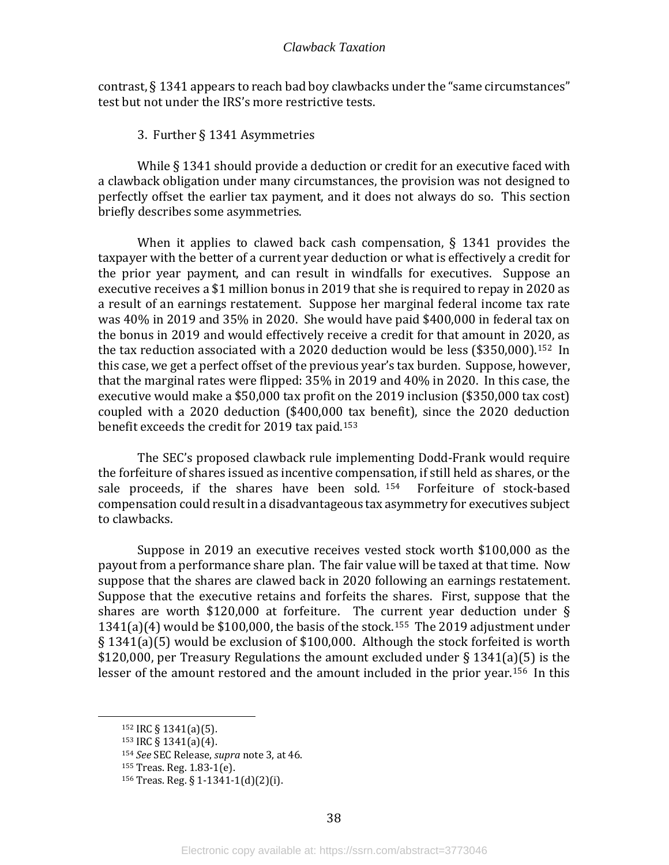contrast, § 1341 appears to reach bad boy clawbacks under the "same circumstances" test but not under the IRS's more restrictive tests.

3. Further § 1341 Asymmetries

<span id="page-40-0"></span>While § 1341 should provide a deduction or credit for an executive faced with a clawback obligation under many circumstances, the provision was not designed to perfectly offset the earlier tax payment, and it does not always do so. This section briefly describes some asymmetries.

When it applies to clawed back cash compensation, § 1341 provides the taxpayer with the better of a current year deduction or what is effectively a credit for the prior year payment, and can result in windfalls for executives. Suppose an executive receives a \$1 million bonus in 2019 that she is required to repay in 2020 as a result of an earnings restatement. Suppose her marginal federal income tax rate was 40% in 2019 and 35% in 2020. She would have paid \$400,000 in federal tax on the bonus in 2019 and would effectively receive a credit for that amount in 2020, as the tax reduction associated with a 2020 deduction would be less  $$350,000$ ).<sup>152</sup> In this case, we get a perfect offset of the previous year's tax burden. Suppose, however, that the marginal rates were flipped: 35% in 2019 and 40% in 2020. In this case, the executive would make a \$50,000 tax profit on the 2019 inclusion (\$350,000 tax cost) coupled with a 2020 deduction (\$400,000 tax benefit), since the 2020 deduction benefit exceeds the credit for 2019 tax paid.[153](#page-40-2)

The SEC's proposed clawback rule implementing Dodd-Frank would require the forfeiture of shares issued as incentive compensation, if still held as shares, or the sale proceeds, if the shares have been sold.  $154$  Forfeiture of stock-based compensation could result in a disadvantageous tax asymmetry for executives subject to clawbacks.

Suppose in 2019 an executive receives vested stock worth \$100,000 as the payout from a performance share plan. The fair value will be taxed at that time. Now suppose that the shares are clawed back in 2020 following an earnings restatement. Suppose that the executive retains and forfeits the shares. First, suppose that the shares are worth \$120,000 at forfeiture. The current year deduction under § 1341(a)(4) would be \$100,000, the basis of the stock.[155](#page-40-4) The 2019 adjustment under § 1341(a)(5) would be exclusion of \$100,000. Although the stock forfeited is worth \$120,000, per Treasury Regulations the amount excluded under § 1341(a)(5) is the lesser of the amount restored and the amount included in the prior year.[156](#page-40-5) In this

<span id="page-40-1"></span><sup>152</sup> IRC § 1341(a)(5).

<span id="page-40-3"></span><span id="page-40-2"></span> $153$  IRC § 1341(a)(4).

<sup>154</sup> *See* SEC Release, *supra* note 3, at 46.

<span id="page-40-4"></span><sup>155</sup> Treas. Reg. 1.83-1(e).

<span id="page-40-5"></span><sup>156</sup> Treas. Reg. § 1-1341-1(d)(2)(i).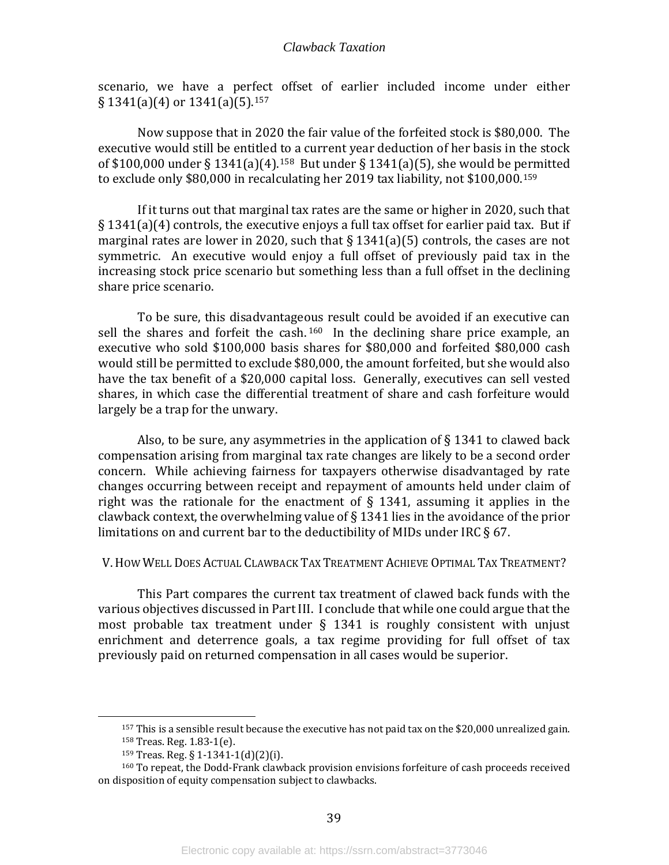scenario, we have a perfect offset of earlier included income under either  $\S 1341(a)(4)$  or  $1341(a)(5)$ . [157](#page-41-1)

Now suppose that in 2020 the fair value of the forfeited stock is \$80,000. The executive would still be entitled to a current year deduction of her basis in the stock of \$100,000 under § 1341(a)(4).[158](#page-41-2) But under § 1341(a)(5), she would be p[erm](#page-41-3)itted to exclude only \$80,000 in recalculating her 2019 tax liability, not \$100,000.<sup>159</sup>

If it turns out that marginal tax rates are the same or higher in 2020, such that § 1341(a)(4) controls, the executive enjoys a full tax offset for earlier paid tax. But if marginal rates are lower in 2020, such that  $\S 1341(a)(5)$  controls, the cases are not symmetric. An executive would enjoy a full offset of previously paid tax in the increasing stock price scenario but something less than a full offset in the declining share price scenario.

To be sure, this disadvantageous result could be avoided if an executive can sell the shares and forfeit the cash.  $160$  In the declining share price example, an executive who sold \$100,000 basis shares for \$80,000 and forfeited \$80,000 cash would still be permitted to exclude \$80,000, the amount forfeited, but she would also have the tax benefit of a \$20,000 capital loss. Generally, executives can sell vested shares, in which case the differential treatment of share and cash forfeiture would largely be a trap for the unwary.

Also, to be sure, any asymmetries in the application of  $\S 1341$  to clawed back compensation arising from marginal tax rate changes are likely to be a second order concern. While achieving fairness for taxpayers otherwise disadvantaged by rate changes occurring between receipt and repayment of amounts held under claim of right was the rationale for the enactment of  $\S$  1341, assuming it applies in the clawback context, the overwhelming value of § 1341 lies in the avoidance of the prior limitations on and current bar to the deductibility of MIDs under IRC § 67.

#### <span id="page-41-0"></span>V. HOW WELL DOES ACTUAL CLAWBACK TAX TREATMENT ACHIEVE OPTIMAL TAX TREATMENT?

This Part compares the current tax treatment of clawed back funds with the various objectives discussed in Part III. I conclude that while one could argue that the most probable tax treatment under  $\S$  1341 is roughly consistent with unjust enrichment and deterrence goals, a tax regime providing for full offset of tax previously paid on returned compensation in all cases would be superior.

<sup>157</sup> This is a sensible result because the executive has not paid tax on the \$20,000 unrealized gain. <sup>158</sup> Treas. Reg. 1.83-1(e).

<sup>159</sup> Treas. Reg. § 1-1341-1(d)(2)(i).

<span id="page-41-4"></span><span id="page-41-3"></span><span id="page-41-2"></span><span id="page-41-1"></span><sup>160</sup> To repeat, the Dodd-Frank clawback provision envisions forfeiture of cash proceeds received on disposition of equity compensation subject to clawbacks.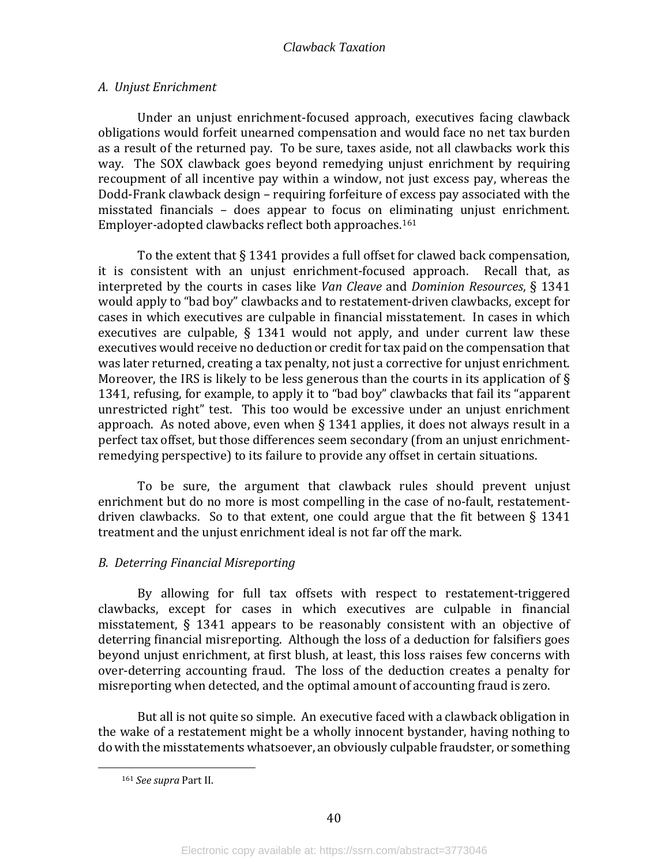#### <span id="page-42-0"></span>*A. Unjust Enrichment*

Under an unjust enrichment-focused approach, executives facing clawback obligations would forfeit unearned compensation and would face no net tax burden as a result of the returned pay. To be sure, taxes aside, not all clawbacks work this way. The SOX clawback goes beyond remedying unjust enrichment by requiring recoupment of all incentive pay within a window, not just excess pay, whereas the Dodd-Frank clawback design – requiring forfeiture of excess pay associated with the misstated financials – does appear to focus on eliminating unjust enrichment. Employer-adopted clawbacks reflect both approaches.[161](#page-42-2)

To the extent that § 1341 provides a full offset for clawed back compensation, it is consistent with an unjust enrichment-focused approach. Recall that, as interpreted by the courts in cases like *Van Cleave* and *Dominion Resources*, § 1341 would apply to "bad boy" clawbacks and to restatement-driven clawbacks, except for cases in which executives are culpable in financial misstatement. In cases in which executives are culpable, § 1341 would not apply, and under current law these executives would receive no deduction or credit for tax paid on the compensation that was later returned, creating a tax penalty, not just a corrective for unjust enrichment. Moreover, the IRS is likely to be less generous than the courts in its application of  $\S$ 1341, refusing, for example, to apply it to "bad boy" clawbacks that fail its "apparent unrestricted right" test. This too would be excessive under an unjust enrichment approach. As noted above, even when § 1341 applies, it does not always result in a perfect tax offset, but those differences seem secondary (from an unjust enrichmentremedying perspective) to its failure to provide any offset in certain situations.

To be sure, the argument that clawback rules should prevent unjust enrichment but do no more is most compelling in the case of no-fault, restatementdriven clawbacks. So to that extent, one could argue that the fit between  $\S 1341$ treatment and the unjust enrichment ideal is not far off the mark.

#### <span id="page-42-1"></span>*B. Deterring Financial Misreporting*

By allowing for full tax offsets with respect to restatement-triggered clawbacks, except for cases in which executives are culpable in financial misstatement, § 1341 appears to be reasonably consistent with an objective of deterring financial misreporting. Although the loss of a deduction for falsifiers goes beyond unjust enrichment, at first blush, at least, this loss raises few concerns with over-deterring accounting fraud. The loss of the deduction creates a penalty for misreporting when detected, and the optimal amount of accounting fraud is zero.

<span id="page-42-2"></span>But all is not quite so simple. An executive faced with a clawback obligation in the wake of a restatement might be a wholly innocent bystander, having nothing to do with the misstatements whatsoever, an obviously culpable fraudster, or something

<sup>161</sup> *See supra* Part II.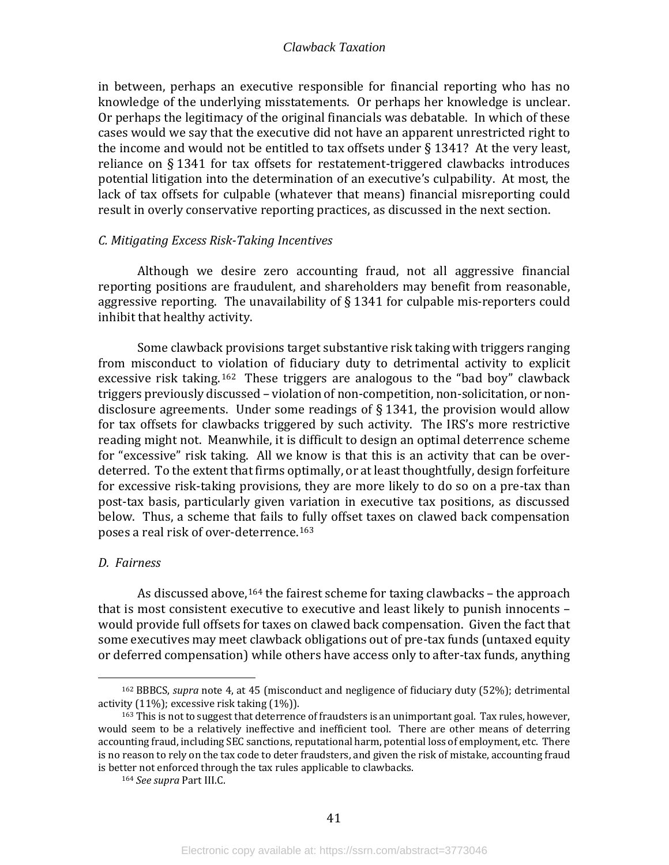in between, perhaps an executive responsible for financial reporting who has no knowledge of the underlying misstatements. Or perhaps her knowledge is unclear. Or perhaps the legitimacy of the original financials was debatable. In which of these cases would we say that the executive did not have an apparent unrestricted right to the income and would not be entitled to tax offsets under § 1341? At the very least, reliance on § 1341 for tax offsets for restatement-triggered clawbacks introduces potential litigation into the determination of an executive's culpability. At most, the lack of tax offsets for culpable (whatever that means) financial misreporting could result in overly conservative reporting practices, as discussed in the next section.

#### <span id="page-43-0"></span>*C. Mitigating Excess Risk-Taking Incentives*

Although we desire zero accounting fraud, not all aggressive financial reporting positions are fraudulent, and shareholders may benefit from reasonable, aggressive reporting. The unavailability of § 1341 for culpable mis-reporters could inhibit that healthy activity.

Some clawback provisions target substantive risk taking with triggers ranging from misconduct to violation of fiduciary duty to detrimental activity to explicit excessive risk taking.<sup>[162](#page-43-2)</sup> These triggers are analogous to the "bad boy" clawback triggers previously discussed – violation of non-competition, non-solicitation, or nondisclosure agreements. Under some readings of § 1341, the provision would allow for tax offsets for clawbacks triggered by such activity. The IRS's more restrictive reading might not. Meanwhile, it is difficult to design an optimal deterrence scheme for "excessive" risk taking. All we know is that this is an activity that can be overdeterred. To the extent that firms optimally, or at least thoughtfully, design forfeiture for excessive risk-taking provisions, they are more likely to do so on a pre-tax than post-tax basis, particularly given variation in executive tax positions, as discussed below. Thus, a scheme that fails to fully offset taxes on clawed back compensation poses a real risk of over-deterrence.[163](#page-43-3)

#### <span id="page-43-1"></span>*D. Fairness*

As discussed above,  $164$  the fairest scheme for taxing clawbacks – the approach that is most consistent executive to executive and least likely to punish innocents – would provide full offsets for taxes on clawed back compensation. Given the fact that some executives may meet clawback obligations out of pre-tax funds (untaxed equity or deferred compensation) while others have access only to after-tax funds, anything

<span id="page-43-2"></span><sup>162</sup> BBBCS, *supra* note 4, at 45 (misconduct and negligence of fiduciary duty (52%); detrimental activity (11%); excessive risk taking (1%)).

<span id="page-43-4"></span><span id="page-43-3"></span><sup>&</sup>lt;sup>163</sup> This is not to suggest that deterrence of fraudsters is an unimportant goal. Tax rules, however, would seem to be a relatively ineffective and inefficient tool. There are other means of deterring accounting fraud, including SEC sanctions, reputational harm, potential loss of employment, etc. There is no reason to rely on the tax code to deter fraudsters, and given the risk of mistake, accounting fraud is better not enforced through the tax rules applicable to clawbacks.

<sup>164</sup> *See supra* Part III.C.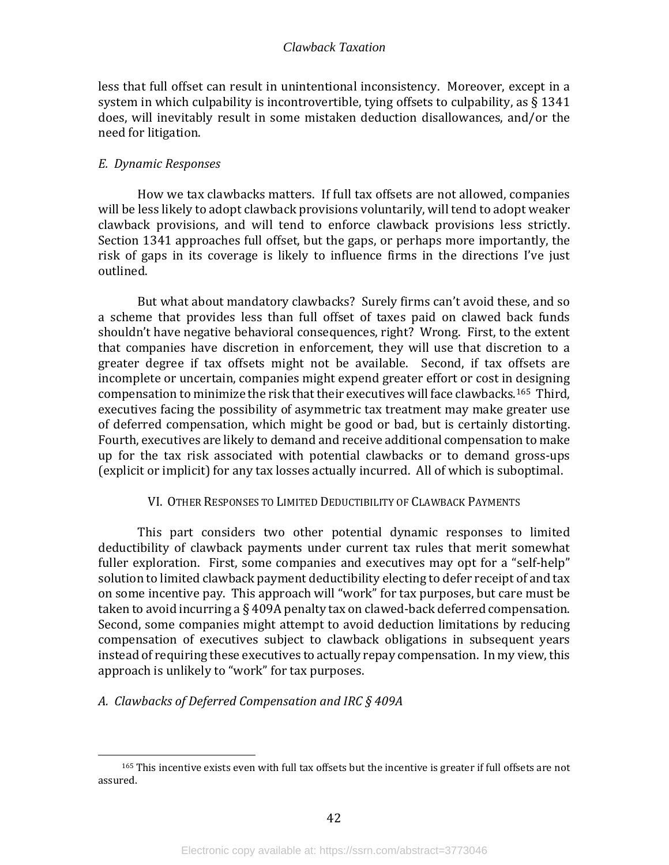less that full offset can result in unintentional inconsistency. Moreover, except in a system in which culpability is incontrovertible, tying offsets to culpability, as § 1341 does, will inevitably result in some mistaken deduction disallowances, and/or the need for litigation.

#### <span id="page-44-0"></span>*E. Dynamic Responses*

How we tax clawbacks matters. If full tax offsets are not allowed, companies will be less likely to adopt clawback provisions voluntarily, will tend to adopt weaker clawback provisions, and will tend to enforce clawback provisions less strictly. Section 1341 approaches full offset, but the gaps, or perhaps more importantly, the risk of gaps in its coverage is likely to influence firms in the directions I've just outlined.

But what about mandatory clawbacks? Surely firms can't avoid these, and so a scheme that provides less than full offset of taxes paid on clawed back funds shouldn't have negative behavioral consequences, right? Wrong. First, to the extent that companies have discretion in enforcement, they will use that discretion to a greater degree if tax offsets might not be available. Second, if tax offsets are incomplete or uncertain, companies might expend greater effort or cost in designing compensation to minimize the risk that their executives will face clawbacks.[165](#page-44-3) Third, executives facing the possibility of asymmetric tax treatment may make greater use of deferred compensation, which might be good or bad, but is certainly distorting. Fourth, executives are likely to demand and receive additional compensation to make up for the tax risk associated with potential clawbacks or to demand gross-ups (explicit or implicit) for any tax losses actually incurred. All of which is suboptimal.

#### VI. OTHER RESPONSES TO LIMITED DEDUCTIBILITY OF CLAWBACK PAYMENTS

<span id="page-44-1"></span>This part considers two other potential dynamic responses to limited deductibility of clawback payments under current tax rules that merit somewhat fuller exploration. First, some companies and executives may opt for a "self-help" solution to limited clawback payment deductibility electing to defer receipt of and tax on some incentive pay. This approach will "work" for tax purposes, but care must be taken to avoid incurring a § 409A penalty tax on clawed-back deferred compensation. Second, some companies might attempt to avoid deduction limitations by reducing compensation of executives subject to clawback obligations in subsequent years instead of requiring these executives to actually repay compensation. In my view, this approach is unlikely to "work" for tax purposes.

#### <span id="page-44-2"></span>*A. Clawbacks of Deferred Compensation and IRC § 409A*

<span id="page-44-3"></span><sup>165</sup> This incentive exists even with full tax offsets but the incentive is greater if full offsets are not assured.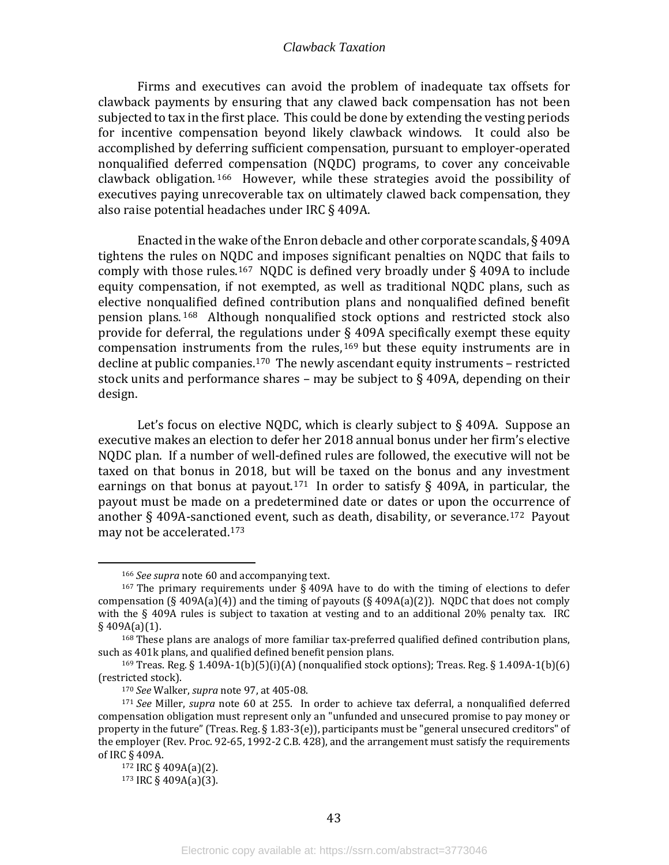Firms and executives can avoid the problem of inadequate tax offsets for clawback payments by ensuring that any clawed back compensation has not been subjected to tax in the first place. This could be done by extending the vesting periods for incentive compensation beyond likely clawback windows. It could also be accomplished by deferring sufficient compensation, pursuant to employer-operated nonqualified deferred compensation (NQDC) programs, to cover any conceivable clawback obligation. [166](#page-45-0) However, while these strategies avoid the possibility of executives paying unrecoverable tax on ultimately clawed back compensation, they also raise potential headaches under IRC § 409A.

Enacted in the wake of the Enron debacle and other corporate scandals, § 409A tightens the rules on NQDC and imposes significant penalties on NQDC that fails to comply with those rules.<sup>167</sup> NODC is defined very broadly under  $\S$  409A to include equity compensation, if not exempted, as well as traditional NQDC plans, such as elective nonqualified defined contribution plans and nonqualified defined benefit pension plans. [168](#page-45-2) Although nonqualified stock options and restricted stock also provide for deferral, the regulations under [§ 4](#page-45-3)09A specifically exempt these equity compensation instruments from the rules, <sup>169</sup> but these equity instruments are in decline at public companies.<sup>170</sup> The newly ascendant equity instruments – restricted stock units and performance shares – may be subject to  $\S$  409A, depending on their design.

Let's focus on elective NQDC, which is clearly subject to §409A. Suppose an executive makes an election to defer her 2018 annual bonus under her firm's elective NQDC plan. If a number of well-defined rules are followed, the executive will not be taxed on that bonus in 2018, but will be taxed on the bonus and any investment earnings on that bonus at payout.<sup>[171](#page-45-5)</sup> In order to satisfy  $\S$  409A, in particular, the payout must be made on a predetermined date or dates or upon the occurrence of another § 409A-sancti[oned](#page-45-7) event, such as death, disability, or severance.[172](#page-45-6) Payout may not be accelerated.173

<sup>166</sup> *See supra* note 60 and accompanying text.

<span id="page-45-1"></span><span id="page-45-0"></span><sup>&</sup>lt;sup>167</sup> The primary requirements under  $\S$  409A have to do with the timing of elections to defer compensation (§ 409A(a)(4)) and the timing of payouts (§ 409A(a)(2)). NQDC that does not comply with the § 409A rules is subject to taxation at vesting and to an additional 20% penalty tax. IRC  $§$  409A(a)(1).

<span id="page-45-2"></span><sup>168</sup> These plans are analogs of more familiar tax-preferred qualified defined contribution plans, such as 401k plans, and qualified defined benefit pension plans.

<span id="page-45-3"></span><sup>&</sup>lt;sup>169</sup> Treas. Reg. § 1.409A-1(b)(5)(i)(A) (nonqualified stock options); Treas. Reg. § 1.409A-1(b)(6) (restricted stock).

<sup>170</sup> *See* Walker, *supra* note 97, at 405-08.

<span id="page-45-6"></span><span id="page-45-5"></span><span id="page-45-4"></span><sup>171</sup> *See* Miller, *supra* note 60 at 255. In order to achieve tax deferral, a nonqualified deferred compensation obligation must represent only an "unfunded and unsecured promise to pay money or property in the future" (Treas. Reg. § 1.83-3(e)), participants must be "general unsecured creditors" of the employer (Rev. Proc. 92-65, 1992-2 C.B. 428), and the arrangement must satisfy the requirements of IRC § 409A.

<span id="page-45-7"></span><sup>172</sup> IRC § 409A(a)(2).

<sup>173</sup> IRC § 409A(a)(3).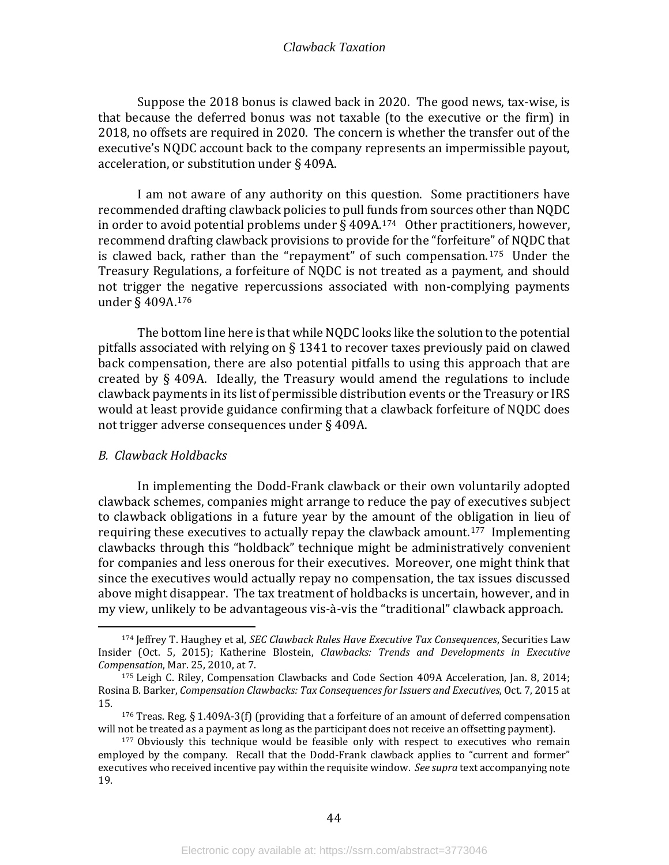Suppose the 2018 bonus is clawed back in 2020. The good news, tax-wise, is that because the deferred bonus was not taxable (to the executive or the firm) in 2018, no offsets are required in 2020. The concern is whether the transfer out of the executive's NQDC account back to the company represents an impermissible payout, acceleration, or substitution under § 409A.

I am not aware of any authority on this question. Some practitioners have recommended drafting clawback policies to pull funds from sources other than NQDC in order to avoid potential problems under  $\S$  409A.<sup>[174](#page-46-1)</sup> Other practitioners, however, recommend drafting clawback provisions to provide for the "forfeiture" of NQDC that is clawed back, rather than the "repayment" of such compensation.[175](#page-46-2) Under the Treasury Regulations, a forfeiture of NQDC is not treated as a payment, and should not trigger the negative repercussions associated with non-complying payments under § 409A.[176](#page-46-3)

The bottom line here is that while NQDC looks like the solution to the potential pitfalls associated with relying on § 1341 to recover taxes previously paid on clawed back compensation, there are also potential pitfalls to using this approach that are created by § 409A. Ideally, the Treasury would amend the regulations to include clawback payments in its list of permissible distribution events or the Treasury or IRS would at least provide guidance confirming that a clawback forfeiture of NQDC does not trigger adverse consequences under § 409A.

#### <span id="page-46-0"></span>*B. Clawback Holdbacks*

In implementing the Dodd-Frank clawback or their own voluntarily adopted clawback schemes, companies might arrange to reduce the pay of executives subject to clawback obligations in a future year by the amount of the obligation in lieu of requiring these executives to actually repay the clawback amount.[177](#page-46-4) Implementing clawbacks through this "holdback" technique might be administratively convenient for companies and less onerous for their executives. Moreover, one might think that since the executives would actually repay no compensation, the tax issues discussed above might disappear. The tax treatment of holdbacks is uncertain, however, and in my view, unlikely to be advantageous vis-à-vis the "traditional" clawback approach.

<span id="page-46-1"></span><sup>174</sup> Jeffrey T. Haughey et al, *SEC Clawback Rules Have Executive Tax Consequences*, Securities Law Insider (Oct. 5, 2015); Katherine Blostein, *Clawbacks: Trends and Developments in Executive Compensation*, Mar. 25, 2010, at 7.

<span id="page-46-2"></span><sup>175</sup> Leigh C. Riley, Compensation Clawbacks and Code Section 409A Acceleration, Jan. 8, 2014; Rosina B. Barker, *Compensation Clawbacks: Tax Consequences for Issuers and Executives*, Oct. 7, 2015 at 15.

<span id="page-46-3"></span><sup>&</sup>lt;sup>176</sup> Treas. Reg. § 1.409A-3(f) (providing that a forfeiture of an amount of deferred compensation will not be treated as a payment as long as the participant does not receive an offsetting payment).

<span id="page-46-4"></span><sup>&</sup>lt;sup>177</sup> Obviously this technique would be feasible only with respect to executives who remain employed by the company. Recall that the Dodd-Frank clawback applies to "current and former" executives who received incentive pay within the requisite window. *See supra* text accompanying note 19.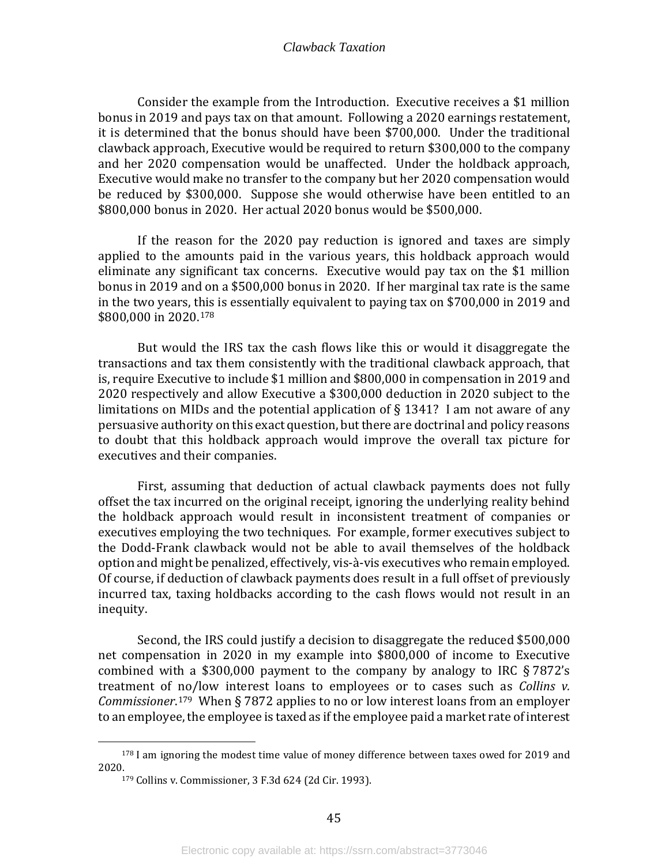Consider the example from the Introduction. Executive receives a \$1 million bonus in 2019 and pays tax on that amount. Following a 2020 earnings restatement, it is determined that the bonus should have been \$700,000. Under the traditional clawback approach, Executive would be required to return \$300,000 to the company and her 2020 compensation would be unaffected. Under the holdback approach, Executive would make no transfer to the company but her 2020 compensation would be reduced by \$300,000. Suppose she would otherwise have been entitled to an \$800,000 bonus in 2020. Her actual 2020 bonus would be \$500,000.

If the reason for the 2020 pay reduction is ignored and taxes are simply applied to the amounts paid in the various years, this holdback approach would eliminate any significant tax concerns. Executive would pay tax on the \$1 million bonus in 2019 and on a \$500,000 bonus in 2020. If her marginal tax rate is the same in the two years, t[his](#page-47-0) is essentially equivalent to paying tax on \$700,000 in 2019 and \$800,000 in 2020. 178

But would the IRS tax the cash flows like this or would it disaggregate the transactions and tax them consistently with the traditional clawback approach, that is, require Executive to include \$1 million and \$800,000 in compensation in 2019 and 2020 respectively and allow Executive a \$300,000 deduction in 2020 subject to the limitations on MIDs and the potential application of  $\S$  1341? I am not aware of any persuasive authority on this exact question, but there are doctrinal and policy reasons to doubt that this holdback approach would improve the overall tax picture for executives and their companies.

First, assuming that deduction of actual clawback payments does not fully offset the tax incurred on the original receipt, ignoring the underlying reality behind the holdback approach would result in inconsistent treatment of companies or executives employing the two techniques. For example, former executives subject to the Dodd-Frank clawback would not be able to avail themselves of the holdback option and might be penalized, effectively, vis-à-vis executives who remain employed. Of course, if deduction of clawback payments does result in a full offset of previously incurred tax, taxing holdbacks according to the cash flows would not result in an inequity.

Second, the IRS could justify a decision to disaggregate the reduced \$500,000 net compensation in 2020 in my example into \$800,000 of income to Executive combined with a \$300,000 payment to the company by analogy to IRC § 7872's treatment of no/low interest loans to employees or to cases such as *Collins v. Commissioner*. [179](#page-47-1) When § 7872 applies to no or low interest loans from an employer to an employee, the employee is taxed as if the employee paid a market rate of interest

<span id="page-47-1"></span><span id="page-47-0"></span> $178$  I am ignoring the modest time value of money difference between taxes owed for 2019 and 2020.

<sup>179</sup> Collins v. Commissioner, 3 F.3d 624 (2d Cir. 1993).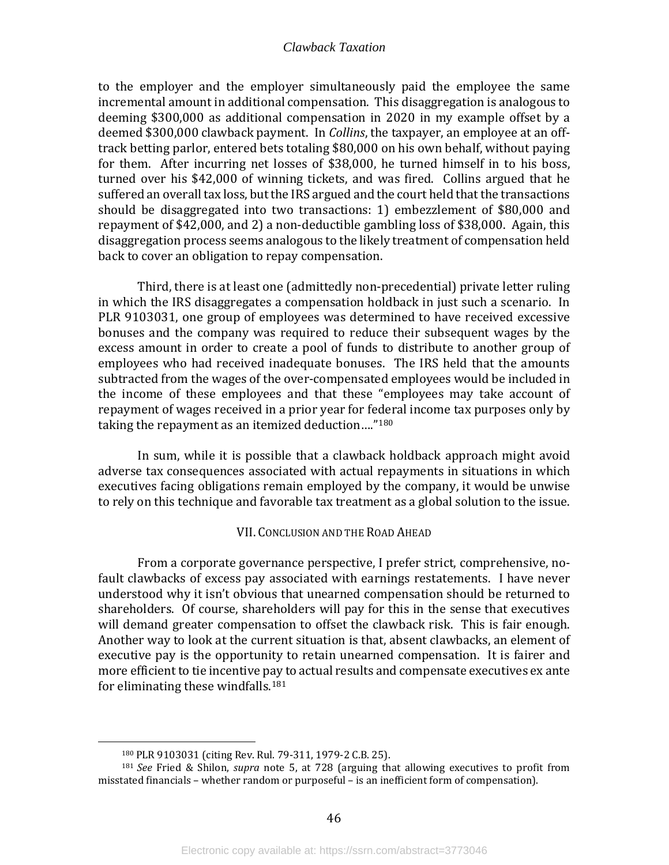to the employer and the employer simultaneously paid the employee the same incremental amount in additional compensation. This disaggregation is analogous to deeming \$300,000 as additional compensation in 2020 in my example offset by a deemed \$300,000 clawback payment. In *Collins*, the taxpayer, an employee at an offtrack betting parlor, entered bets totaling \$80,000 on his own behalf, without paying for them. After incurring net losses of \$38,000, he turned himself in to his boss, turned over his \$42,000 of winning tickets, and was fired. Collins argued that he suffered an overall tax loss, but the IRS argued and the court held that the transactions should be disaggregated into two transactions: 1) embezzlement of \$80,000 and repayment of \$42,000, and 2) a non-deductible gambling loss of \$38,000. Again, this disaggregation process seems analogous to the likely treatment of compensation held back to cover an obligation to repay compensation.

Third, there is at least one (admittedly non-precedential) private letter ruling in which the IRS disaggregates a compensation holdback in just such a scenario. In PLR 9103031, one group of employees was determined to have received excessive bonuses and the company was required to reduce their subsequent wages by the excess amount in order to create a pool of funds to distribute to another group of employees who had received inadequate bonuses. The IRS held that the amounts subtracted from the wages of the over-compensated employees would be included in the income of these employees and that these "employees may take account of repayment of wages received in a prior year for federal income tax purposes only by taking the repayment as an itemized deduction...."<sup>[180](#page-48-1)</sup>

In sum, while it is possible that a clawback holdback approach might avoid adverse tax consequences associated with actual repayments in situations in which executives facing obligations remain employed by the company, it would be unwise to rely on this technique and favorable tax treatment as a global solution to the issue.

#### VII. CONCLUSION AND THE ROAD AHEAD

<span id="page-48-0"></span>From a corporate governance perspective, I prefer strict, comprehensive, nofault clawbacks of excess pay associated with earnings restatements. I have never understood why it isn't obvious that unearned compensation should be returned to shareholders. Of course, shareholders will pay for this in the sense that executives will demand greater compensation to offset the clawback risk. This is fair enough. Another way to look at the current situation is that, absent clawbacks, an element of executive pay is the opportunity to retain unearned compensation. It is fairer and more efficient to tie incentive pay to actual results and compensate executives ex ante for eliminating these windfalls.[181](#page-48-2)

<sup>180</sup> PLR 9103031 (citing Rev. Rul. 79-311, 1979-2 C.B. 25).

<span id="page-48-2"></span><span id="page-48-1"></span><sup>181</sup> *See* Fried & Shilon, *supra* note 5, at 728 (arguing that allowing executives to profit from misstated financials – whether random or purposeful – is an inefficient form of compensation).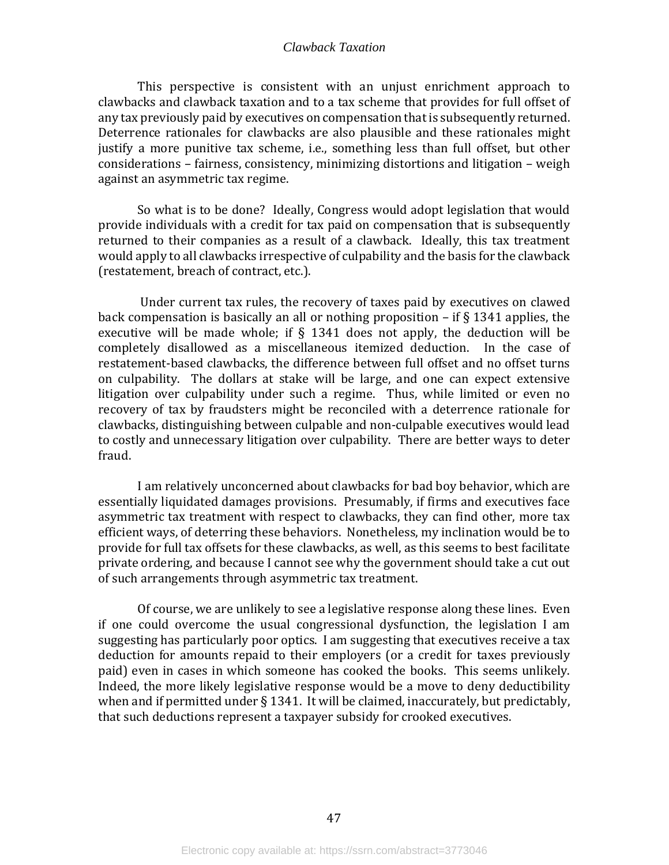This perspective is consistent with an unjust enrichment approach to clawbacks and clawback taxation and to a tax scheme that provides for full offset of any tax previously paid by executives on compensation that is subsequently returned. Deterrence rationales for clawbacks are also plausible and these rationales might justify a more punitive tax scheme, i.e., something less than full offset, but other considerations – fairness, consistency, minimizing distortions and litigation – weigh against an asymmetric tax regime.

So what is to be done? Ideally, Congress would adopt legislation that would provide individuals with a credit for tax paid on compensation that is subsequently returned to their companies as a result of a clawback. Ideally, this tax treatment would apply to all clawbacks irrespective of culpability and the basis for the clawback (restatement, breach of contract, etc.).

Under current tax rules, the recovery of taxes paid by executives on clawed back compensation is basically an all or nothing proposition  $-$  if  $\S 1341$  applies, the executive will be made whole; if  $\S$  1341 does not apply, the deduction will be completely disallowed as a miscellaneous itemized deduction. In the case of restatement-based clawbacks, the difference between full offset and no offset turns on culpability. The dollars at stake will be large, and one can expect extensive litigation over culpability under such a regime. Thus, while limited or even no recovery of tax by fraudsters might be reconciled with a deterrence rationale for clawbacks, distinguishing between culpable and non-culpable executives would lead to costly and unnecessary litigation over culpability. There are better ways to deter fraud.

I am relatively unconcerned about clawbacks for bad boy behavior, which are essentially liquidated damages provisions. Presumably, if firms and executives face asymmetric tax treatment with respect to clawbacks, they can find other, more tax efficient ways, of deterring these behaviors. Nonetheless, my inclination would be to provide for full tax offsets for these clawbacks, as well, as this seems to best facilitate private ordering, and because I cannot see why the government should take a cut out of such arrangements through asymmetric tax treatment.

Of course, we are unlikely to see a legislative response along these lines. Even if one could overcome the usual congressional dysfunction, the legislation I am suggesting has particularly poor optics. I am suggesting that executives receive a tax deduction for amounts repaid to their employers (or a credit for taxes previously paid) even in cases in which someone has cooked the books. This seems unlikely. Indeed, the more likely legislative response would be a move to deny deductibility when and if permitted under § 1341. It will be claimed, inaccurately, but predictably, that such deductions represent a taxpayer subsidy for crooked executives.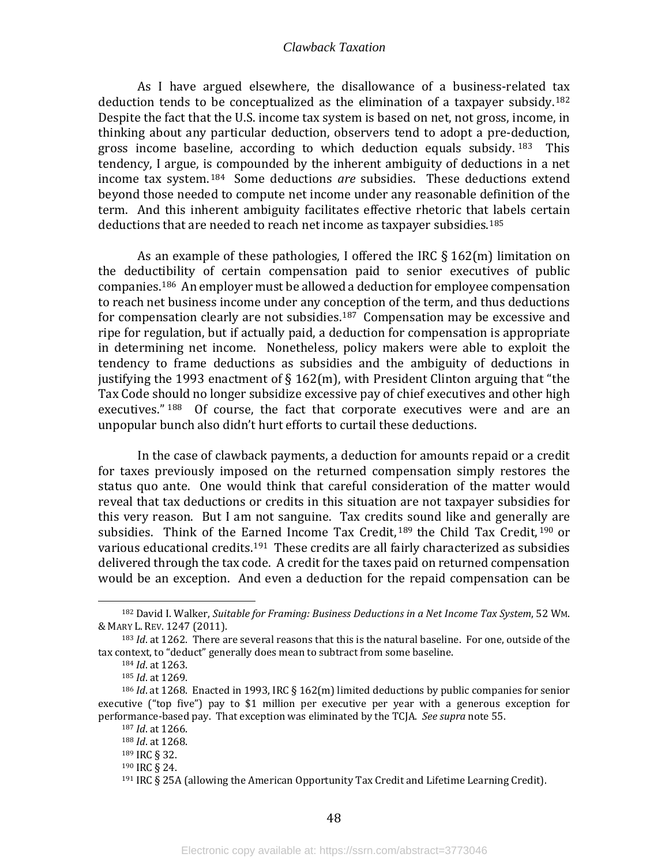As I have argued elsewhere, the disallowance of a business-related tax deduction tends to be conceptualized as the elimination of a taxpayer subsidy.<sup>[182](#page-50-0)</sup> Despite the fact that the U.S. income tax system is based on net, not gross, income, in thinking about any particular deduction, observers tend to adopt a pre-deduction, gross income baseline, according to which deduction equals subsidy.  $183$  This tendency, I argue, is compounded by the inherent ambiguity of deductions in a net income tax system. [184](#page-50-2) Some deductions *are* subsidies. These deductions extend beyond those needed to compute net income under any reasonable definition of the term. And this inherent ambiguity facilitates effective rhetoric that labels certain deductions that are needed to reach net income as taxpayer subsidies.[185](#page-50-3)

As an example of these pathologies, I offered the IRC § 162(m) limitation on the deductibility of certain compensation paid to senior executives of public companies. [186](#page-50-4) An employer must be allowed a deduction for employee compensation to reach net business income under any conception of the term, and thus deductions for compensation clearly are not subsidies.[187](#page-50-5) Compensation may be excessive and ripe for regulation, but if actually paid, a deduction for compensation is appropriate in determining net income. Nonetheless, policy makers were able to exploit the tendency to frame deductions as subsidies and the ambiguity of deductions in justifying the 1993 enactment of  $\S 162(m)$ , with President Clinton arguing that "the Tax Code should no longer subsidize excessive pay of chief executives and other high executives." [188](#page-50-6) Of course, the fact that corporate executives were and are an unpopular bunch also didn't hurt efforts to curtail these deductions.

In the case of clawback payments, a deduction for amounts repaid or a credit for taxes previously imposed on the returned compensation simply restores the status quo ante. One would think that careful consideration of the matter would reveal that tax deductions or credits in this situation are not taxpayer subsidies for this very reason. But I am not sanguine. Tax credit[s s](#page-50-7)ound like and general[ly a](#page-50-8)re subsidies. Think of the Earned Income Tax Credit,  $189$  the Child Tax Credit,  $190$  or various educational credits.<sup>191</sup> These credits are all fairly characterized as subsidies delivered through the tax code. A credit for the taxes paid on returned compensation would be an exception. And even a deduction for the repaid compensation can be

<span id="page-50-0"></span><sup>182</sup> David I. Walker, *Suitable for Framing: Business Deductions in a Net Income Tax System*, 52 WM. & MARY L. REV. 1247 (2011).

<span id="page-50-2"></span><span id="page-50-1"></span><sup>183</sup> *Id*. at 1262. There are several reasons that this is the natural baseline. For one, outside of the tax context, to "deduct" generally does mean to subtract from some baseline.

<sup>184</sup> *Id*. at 1263.

<sup>185</sup> *Id*. at 1269.

<span id="page-50-7"></span><span id="page-50-6"></span><span id="page-50-5"></span><span id="page-50-4"></span><span id="page-50-3"></span><sup>186</sup> *Id*. at 1268. Enacted in 1993, IRC § 162(m) limited deductions by public companies for senior executive ("top five") pay to \$1 million per executive per year with a generous exception for performance-based pay. That exception was eliminated by the TCJA. *See supra* note 55.

<sup>187</sup> *Id*. at 1266.

<sup>188</sup> *Id*. at 1268.

<sup>189</sup> IRC § 32.

<span id="page-50-9"></span><span id="page-50-8"></span><sup>190</sup> IRC § 24.

<sup>191</sup> IRC § 25A (allowing the American Opportunity Tax Credit and Lifetime Learning Credit).